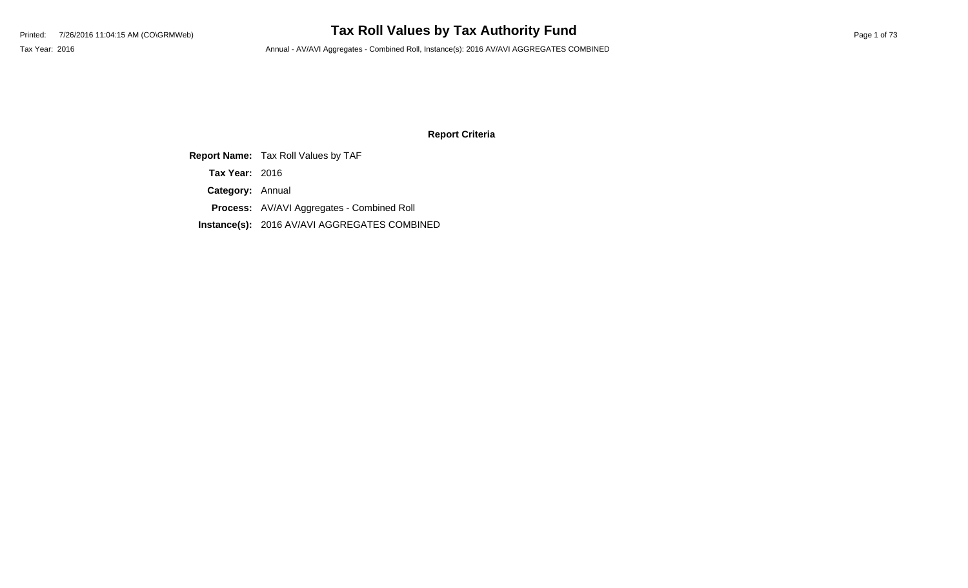### **Report Criteria**

**Report Name:** Tax Roll Values by TAF

**Tax Year:** 2016

**Category:** Annual

**Process:** AV/AVI Aggregates - Combined Roll

**Instance(s):** 2016 AV/AVI AGGREGATES COMBINED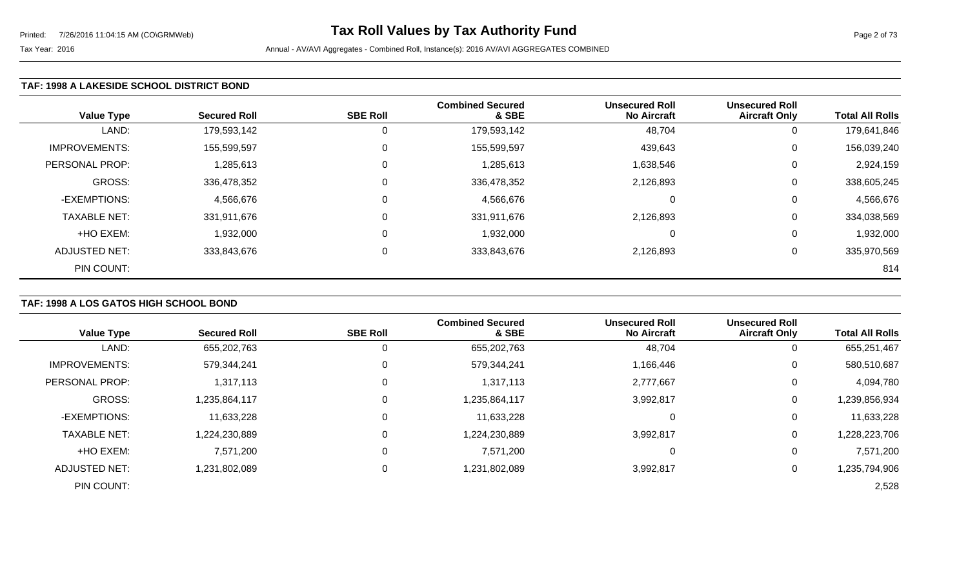### **TAF: 1998 A LAKESIDE SCHOOL DISTRICT BOND**

| <b>Value Type</b>    | <b>Secured Roll</b> | <b>SBE Roll</b> | <b>Combined Secured</b><br>& SBE | <b>Unsecured Roll</b><br><b>No Aircraft</b> | <b>Unsecured Roll</b><br><b>Aircraft Only</b> | <b>Total All Rolls</b> |
|----------------------|---------------------|-----------------|----------------------------------|---------------------------------------------|-----------------------------------------------|------------------------|
| LAND:                | 179,593,142         |                 | 179,593,142                      | 48,704                                      | 0                                             | 179,641,846            |
| <b>IMPROVEMENTS:</b> | 155,599,597         | 0               | 155,599,597                      | 439,643                                     | 0                                             | 156,039,240            |
| PERSONAL PROP:       | 1,285,613           | 0               | 1,285,613                        | 1,638,546                                   | 0                                             | 2,924,159              |
| GROSS:               | 336,478,352         |                 | 336,478,352                      | 2,126,893                                   | 0                                             | 338,605,245            |
| -EXEMPTIONS:         | 4,566,676           |                 | 4,566,676                        | ∩                                           | 0                                             | 4,566,676              |
| <b>TAXABLE NET:</b>  | 331,911,676         |                 | 331,911,676                      | 2,126,893                                   | 0                                             | 334,038,569            |
| +HO EXEM:            | 1,932,000           | $\Omega$        | 1,932,000                        | $\Omega$                                    | 0                                             | 1,932,000              |
| ADJUSTED NET:        | 333,843,676         | 0               | 333,843,676                      | 2,126,893                                   | 0                                             | 335,970,569            |
| PIN COUNT:           |                     |                 |                                  |                                             |                                               | 814                    |

### **TAF: 1998 A LOS GATOS HIGH SCHOOL BOND**

| <b>Value Type</b>    | <b>Secured Roll</b> | <b>SBE Roll</b> | <b>Combined Secured</b><br>& SBE | <b>Unsecured Roll</b><br><b>No Aircraft</b> | <b>Unsecured Roll</b><br><b>Aircraft Only</b> | <b>Total All Rolls</b> |
|----------------------|---------------------|-----------------|----------------------------------|---------------------------------------------|-----------------------------------------------|------------------------|
| LAND:                | 655,202,763         | U               | 655,202,763                      | 48,704                                      |                                               | 655,251,467            |
| <b>IMPROVEMENTS:</b> | 579,344,241         | 0               | 579,344,241                      | 1,166,446                                   | 0                                             | 580,510,687            |
| PERSONAL PROP:       | 1,317,113           | 0               | 1,317,113                        | 2,777,667                                   | 0                                             | 4,094,780              |
| GROSS:               | 1,235,864,117       | 0               | 1,235,864,117                    | 3,992,817                                   | 0                                             | 1,239,856,934          |
| -EXEMPTIONS:         | 11,633,228          | 0               | 11,633,228                       |                                             | 0                                             | 11,633,228             |
| <b>TAXABLE NET:</b>  | 1,224,230,889       | 0               | 1,224,230,889                    | 3,992,817                                   | 0                                             | ,228,223,706           |
| +HO EXEM:            | 7,571,200           | 0               | 7,571,200                        | 0                                           | 0                                             | 7,571,200              |
| ADJUSTED NET:        | 1,231,802,089       | 0               | 1,231,802,089                    | 3,992,817                                   | 0                                             | 1,235,794,906          |
| PIN COUNT:           |                     |                 |                                  |                                             |                                               | 2,528                  |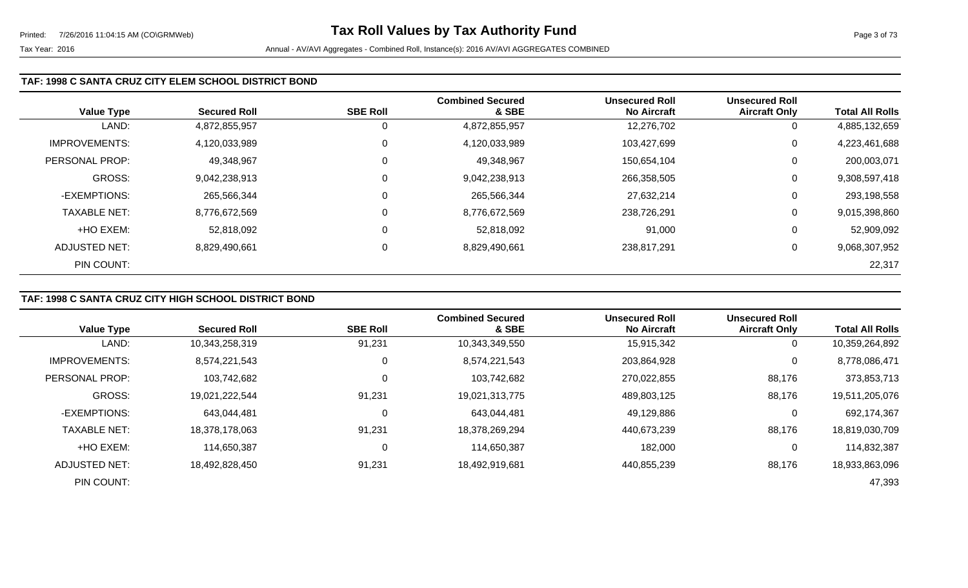### **TAF: 1998 C SANTA CRUZ CITY ELEM SCHOOL DISTRICT BOND**

| <b>Value Type</b>    | <b>Secured Roll</b> | <b>SBE Roll</b> | <b>Combined Secured</b><br>& SBE | <b>Unsecured Roll</b><br><b>No Aircraft</b> | <b>Unsecured Roll</b><br><b>Aircraft Only</b> | <b>Total All Rolls</b> |
|----------------------|---------------------|-----------------|----------------------------------|---------------------------------------------|-----------------------------------------------|------------------------|
| LAND:                | 4,872,855,957       |                 | 4,872,855,957                    | 12,276,702                                  | 0                                             | 4,885,132,659          |
| <b>IMPROVEMENTS:</b> | 4,120,033,989       |                 | 4,120,033,989                    | 103,427,699                                 | 0                                             | 4,223,461,688          |
| PERSONAL PROP:       | 49,348,967          | 0               | 49,348,967                       | 150,654,104                                 | 0                                             | 200,003,071            |
| <b>GROSS:</b>        | 9,042,238,913       | 0               | 9,042,238,913                    | 266,358,505                                 | 0                                             | 9,308,597,418          |
| -EXEMPTIONS:         | 265,566,344         |                 | 265,566,344                      | 27,632,214                                  | 0                                             | 293,198,558            |
| <b>TAXABLE NET:</b>  | 8,776,672,569       | 0               | 8,776,672,569                    | 238,726,291                                 | 0                                             | 9,015,398,860          |
| +HO EXEM:            | 52,818,092          | 0               | 52,818,092                       | 91,000                                      | 0                                             | 52,909,092             |
| ADJUSTED NET:        | 8,829,490,661       | 0               | 8,829,490,661                    | 238,817,291                                 | 0                                             | 9,068,307,952          |
| PIN COUNT:           |                     |                 |                                  |                                             |                                               | 22,317                 |

### **TAF: 1998 C SANTA CRUZ CITY HIGH SCHOOL DISTRICT BOND**

|                      |                     |                 | <b>Combined Secured</b> | <b>Unsecured Roll</b> | <b>Unsecured Roll</b> |                        |
|----------------------|---------------------|-----------------|-------------------------|-----------------------|-----------------------|------------------------|
| <b>Value Type</b>    | <b>Secured Roll</b> | <b>SBE Roll</b> | & SBE                   | <b>No Aircraft</b>    | <b>Aircraft Only</b>  | <b>Total All Rolls</b> |
| LAND:                | 10,343,258,319      | 91,231          | 10,343,349,550          | 15,915,342            | 0                     | 10,359,264,892         |
| <b>IMPROVEMENTS:</b> | 8,574,221,543       | 0               | 8,574,221,543           | 203,864,928           | $\mathbf 0$           | 8,778,086,471          |
| PERSONAL PROP:       | 103,742,682         | 0               | 103,742,682             | 270,022,855           | 88,176                | 373,853,713            |
| GROSS:               | 19,021,222,544      | 91,231          | 19,021,313,775          | 489,803,125           | 88,176                | 19,511,205,076         |
| -EXEMPTIONS:         | 643.044.481         | 0               | 643,044,481             | 49,129,886            | 0                     | 692,174,367            |
| <b>TAXABLE NET:</b>  | 18,378,178,063      | 91,231          | 18,378,269,294          | 440,673,239           | 88,176                | 18,819,030,709         |
| +HO EXEM:            | 114,650,387         | 0               | 114,650,387             | 182,000               | 0                     | 114,832,387            |
| ADJUSTED NET:        | 18,492,828,450      | 91,231          | 18,492,919,681          | 440,855,239           | 88,176                | 18,933,863,096         |
| PIN COUNT:           |                     |                 |                         |                       |                       | 47,393                 |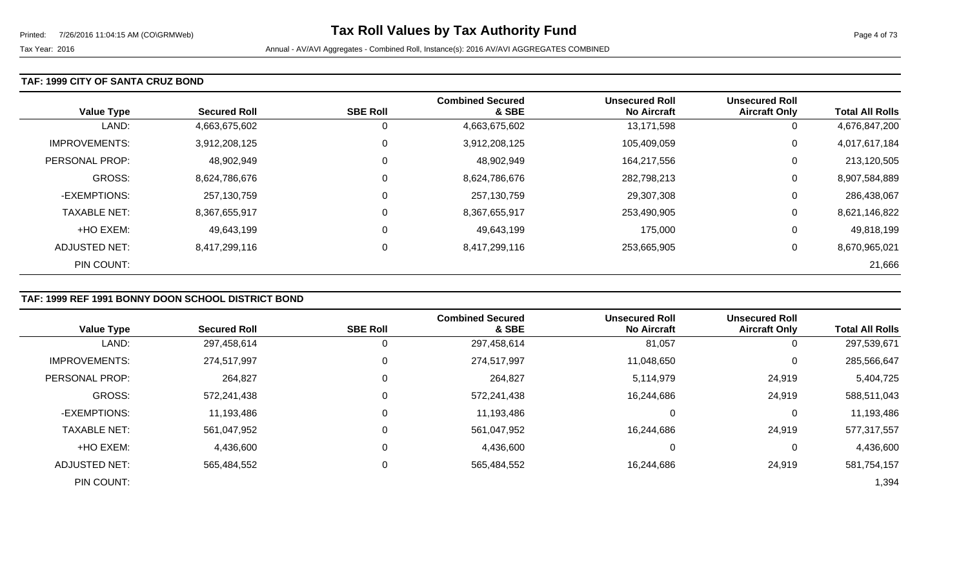### **TAF: 1999 CITY OF SANTA CRUZ BOND**

| <b>Value Type</b>    | <b>Secured Roll</b> | <b>SBE Roll</b> | <b>Combined Secured</b><br>& SBE | <b>Unsecured Roll</b><br><b>No Aircraft</b> | <b>Unsecured Roll</b><br><b>Aircraft Only</b> | <b>Total All Rolls</b> |
|----------------------|---------------------|-----------------|----------------------------------|---------------------------------------------|-----------------------------------------------|------------------------|
| LAND:                | 4,663,675,602       | 0               | 4,663,675,602                    | 13,171,598                                  | 0                                             | 4,676,847,200          |
| <b>IMPROVEMENTS:</b> | 3,912,208,125       | 0               | 3,912,208,125                    | 105,409,059                                 | 0                                             | 4,017,617,184          |
| PERSONAL PROP:       | 48,902,949          | 0               | 48,902,949                       | 164,217,556                                 | 0                                             | 213,120,505            |
| <b>GROSS:</b>        | 8,624,786,676       | $\mathbf 0$     | 8,624,786,676                    | 282,798,213                                 | 0                                             | 8,907,584,889          |
| -EXEMPTIONS:         | 257,130,759         | 0               | 257,130,759                      | 29,307,308                                  | 0                                             | 286,438,067            |
| <b>TAXABLE NET:</b>  | 8,367,655,917       | 0               | 8,367,655,917                    | 253,490,905                                 | 0                                             | 8,621,146,822          |
| +HO EXEM:            | 49,643,199          | 0               | 49,643,199                       | 175,000                                     | 0                                             | 49,818,199             |
| ADJUSTED NET:        | 8,417,299,116       | 0               | 8,417,299,116                    | 253,665,905                                 | 0                                             | 8,670,965,021          |
| PIN COUNT:           |                     |                 |                                  |                                             |                                               | 21,666                 |

### **TAF: 1999 REF 1991 BONNY DOON SCHOOL DISTRICT BOND**

|                       |                     |                 | <b>Combined Secured</b> | <b>Unsecured Roll</b> | <b>Unsecured Roll</b> |                        |
|-----------------------|---------------------|-----------------|-------------------------|-----------------------|-----------------------|------------------------|
| <b>Value Type</b>     | <b>Secured Roll</b> | <b>SBE Roll</b> | & SBE                   | <b>No Aircraft</b>    | <b>Aircraft Only</b>  | <b>Total All Rolls</b> |
| LAND:                 | 297,458,614         | 0               | 297,458,614             | 81,057                | 0                     | 297,539,671            |
| <b>IMPROVEMENTS:</b>  | 274,517,997         | $\mathbf 0$     | 274,517,997             | 11,048,650            | 0                     | 285,566,647            |
| <b>PERSONAL PROP:</b> | 264,827             | 0               | 264,827                 | 5,114,979             | 24,919                | 5,404,725              |
| <b>GROSS:</b>         | 572,241,438         | 0               | 572,241,438             | 16,244,686            | 24,919                | 588,511,043            |
| -EXEMPTIONS:          | 11,193,486          | 0               | 11,193,486              | 0                     | 0                     | 11,193,486             |
| <b>TAXABLE NET:</b>   | 561,047,952         | 0               | 561,047,952             | 16,244,686            | 24,919                | 577,317,557            |
| +HO EXEM:             | 4,436,600           | 0               | 4,436,600               | 0                     | $\overline{0}$        | 4,436,600              |
| ADJUSTED NET:         | 565,484,552         | 0               | 565,484,552             | 16,244,686            | 24,919                | 581,754,157            |
| PIN COUNT:            |                     |                 |                         |                       |                       | 1,394                  |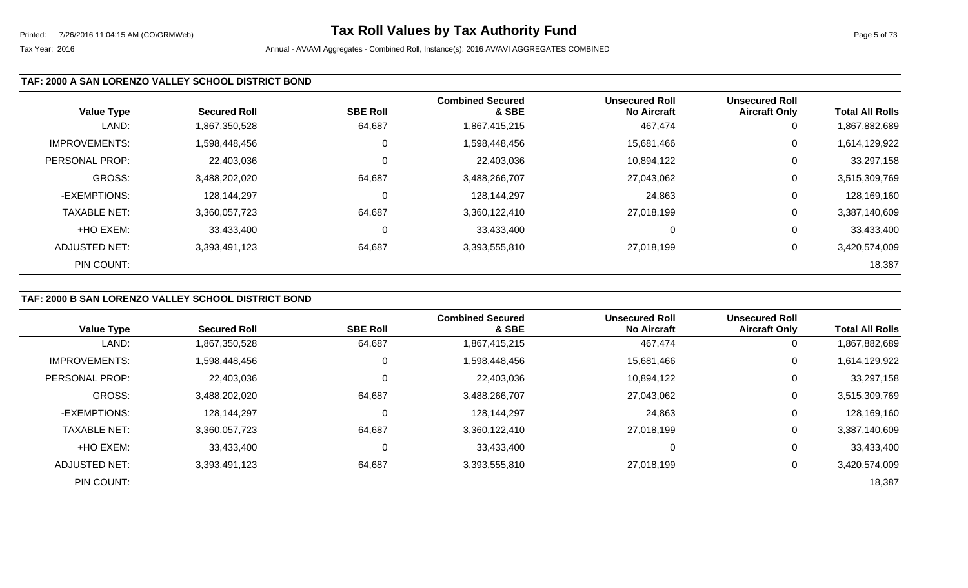### **TAF: 2000 A SAN LORENZO VALLEY SCHOOL DISTRICT BOND**

| <b>Value Type</b>    | <b>Secured Roll</b> | <b>SBE Roll</b> | <b>Combined Secured</b><br>& SBE | <b>Unsecured Roll</b><br><b>No Aircraft</b> | <b>Unsecured Roll</b><br><b>Aircraft Only</b> | <b>Total All Rolls</b> |
|----------------------|---------------------|-----------------|----------------------------------|---------------------------------------------|-----------------------------------------------|------------------------|
| LAND:                | 1,867,350,528       | 64,687          | 1,867,415,215                    | 467,474                                     | 0                                             | 1,867,882,689          |
| <b>IMPROVEMENTS:</b> | 1,598,448,456       | 0               | 1,598,448,456                    | 15,681,466                                  | $\mathbf 0$                                   | 1,614,129,922          |
| PERSONAL PROP:       | 22,403,036          | 0               | 22,403,036                       | 10,894,122                                  | $\mathbf 0$                                   | 33,297,158             |
| GROSS:               | 3,488,202,020       | 64,687          | 3,488,266,707                    | 27,043,062                                  | 0                                             | 3,515,309,769          |
| -EXEMPTIONS:         | 128,144,297         | 0               | 128,144,297                      | 24,863                                      | $\mathbf 0$                                   | 128,169,160            |
| <b>TAXABLE NET:</b>  | 3,360,057,723       | 64,687          | 3,360,122,410                    | 27,018,199                                  | $\mathbf 0$                                   | 3,387,140,609          |
| +HO EXEM:            | 33,433,400          | 0               | 33,433,400                       |                                             | 0                                             | 33,433,400             |
| ADJUSTED NET:        | 3,393,491,123       | 64,687          | 3,393,555,810                    | 27,018,199                                  | 0                                             | 3,420,574,009          |
| PIN COUNT:           |                     |                 |                                  |                                             |                                               | 18,387                 |

### **TAF: 2000 B SAN LORENZO VALLEY SCHOOL DISTRICT BOND**

|                      |                     |                 | <b>Combined Secured</b> | <b>Unsecured Roll</b> | <b>Unsecured Roll</b> |                        |
|----------------------|---------------------|-----------------|-------------------------|-----------------------|-----------------------|------------------------|
| <b>Value Type</b>    | <b>Secured Roll</b> | <b>SBE Roll</b> | & SBE                   | <b>No Aircraft</b>    | <b>Aircraft Only</b>  | <b>Total All Rolls</b> |
| LAND:                | 1,867,350,528       | 64,687          | 1,867,415,215           | 467,474               | 0                     | 1,867,882,689          |
| <b>IMPROVEMENTS:</b> | 1,598,448,456       | 0               | 1,598,448,456           | 15,681,466            | 0                     | 1,614,129,922          |
| PERSONAL PROP:       | 22,403,036          | 0               | 22,403,036              | 10,894,122            | 0                     | 33,297,158             |
| GROSS:               | 3,488,202,020       | 64,687          | 3,488,266,707           | 27,043,062            | 0                     | 3,515,309,769          |
| -EXEMPTIONS:         | 128,144,297         | $\mathbf 0$     | 128,144,297             | 24,863                | 0                     | 128,169,160            |
| <b>TAXABLE NET:</b>  | 3,360,057,723       | 64,687          | 3,360,122,410           | 27,018,199            | 0                     | 3,387,140,609          |
| +HO EXEM:            | 33,433,400          | $\mathbf 0$     | 33,433,400              | 0                     | 0                     | 33,433,400             |
| ADJUSTED NET:        | 3,393,491,123       | 64,687          | 3,393,555,810           | 27,018,199            | 0                     | 3,420,574,009          |
| PIN COUNT:           |                     |                 |                         |                       |                       | 18,387                 |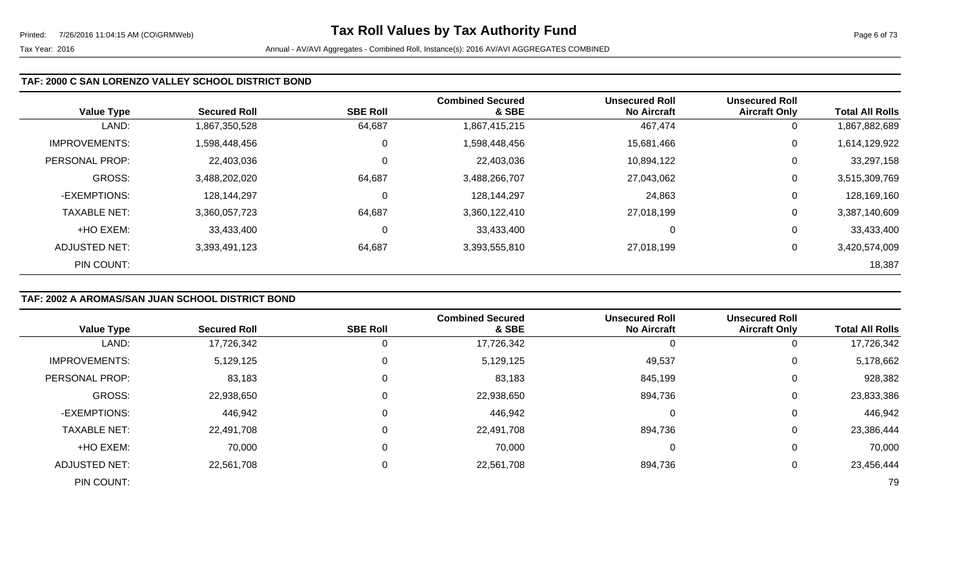### **TAF: 2000 C SAN LORENZO VALLEY SCHOOL DISTRICT BOND**

| <b>Value Type</b>    | <b>Secured Roll</b> | <b>SBE Roll</b> | <b>Combined Secured</b><br>& SBE | <b>Unsecured Roll</b><br><b>No Aircraft</b> | <b>Unsecured Roll</b><br><b>Aircraft Only</b> | <b>Total All Rolls</b> |
|----------------------|---------------------|-----------------|----------------------------------|---------------------------------------------|-----------------------------------------------|------------------------|
| LAND:                | 1,867,350,528       | 64,687          | 1,867,415,215                    | 467,474                                     | 0                                             | 1,867,882,689          |
| <b>IMPROVEMENTS:</b> | 1,598,448,456       | 0               | 1,598,448,456                    | 15,681,466                                  | 0                                             | 1,614,129,922          |
| PERSONAL PROP:       | 22,403,036          | $\mathbf 0$     | 22,403,036                       | 10,894,122                                  | 0                                             | 33,297,158             |
| <b>GROSS:</b>        | 3,488,202,020       | 64,687          | 3,488,266,707                    | 27,043,062                                  | 0                                             | 3,515,309,769          |
| -EXEMPTIONS:         | 128,144,297         | $\overline{0}$  | 128,144,297                      | 24,863                                      | 0                                             | 128,169,160            |
| <b>TAXABLE NET:</b>  | 3,360,057,723       | 64,687          | 3,360,122,410                    | 27,018,199                                  | 0                                             | 3,387,140,609          |
| +HO EXEM:            | 33,433,400          | $\overline{0}$  | 33,433,400                       | 0                                           | 0                                             | 33,433,400             |
| ADJUSTED NET:        | 3,393,491,123       | 64,687          | 3,393,555,810                    | 27,018,199                                  | 0                                             | 3,420,574,009          |
| PIN COUNT:           |                     |                 |                                  |                                             |                                               | 18,387                 |

## **TAF: 2002 A AROMAS/SAN JUAN SCHOOL DISTRICT BOND**

| <b>Value Type</b>    | <b>Secured Roll</b> | <b>SBE Roll</b> | <b>Combined Secured</b><br>& SBE | <b>Unsecured Roll</b><br><b>No Aircraft</b> | <b>Unsecured Roll</b><br><b>Aircraft Only</b> | <b>Total All Rolls</b> |
|----------------------|---------------------|-----------------|----------------------------------|---------------------------------------------|-----------------------------------------------|------------------------|
| LAND:                | 17,726,342          | 0               | 17,726,342                       |                                             | 0                                             | 17,726,342             |
| <b>IMPROVEMENTS:</b> | 5,129,125           | 0               | 5,129,125                        | 49,537                                      | 0                                             | 5,178,662              |
| PERSONAL PROP:       | 83,183              | 0               | 83,183                           | 845,199                                     | 0                                             | 928,382                |
| <b>GROSS:</b>        | 22,938,650          | 0               | 22,938,650                       | 894,736                                     | 0                                             | 23,833,386             |
| -EXEMPTIONS:         | 446,942             | 0               | 446,942                          | 0                                           | 0                                             | 446,942                |
| <b>TAXABLE NET:</b>  | 22,491,708          | 0               | 22,491,708                       | 894,736                                     | 0                                             | 23,386,444             |
| +HO EXEM:            | 70,000              | 0               | 70,000                           | 0                                           | 0                                             | 70,000                 |
| ADJUSTED NET:        | 22,561,708          | 0               | 22,561,708                       | 894,736                                     | 0                                             | 23,456,444             |
| PIN COUNT:           |                     |                 |                                  |                                             |                                               | 79                     |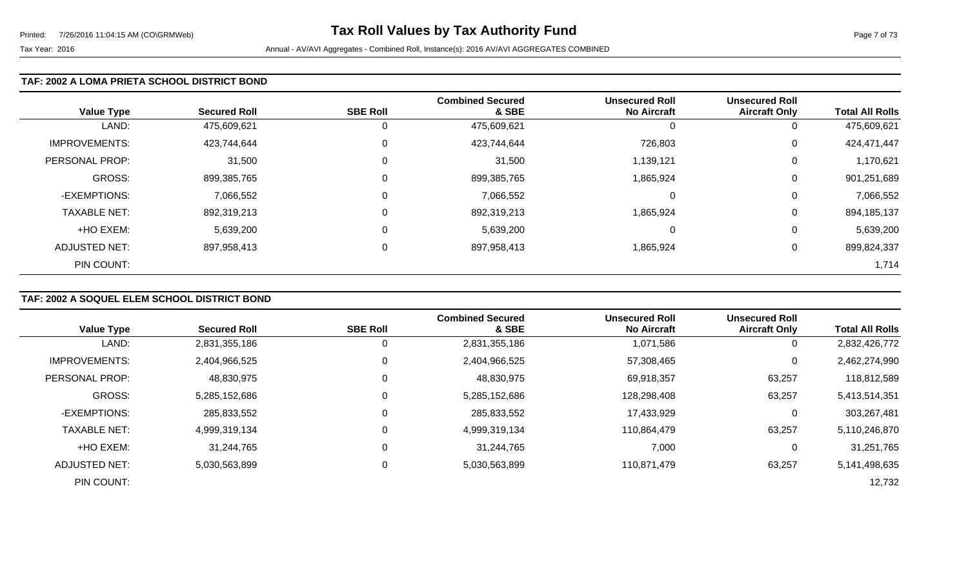### **TAF: 2002 A LOMA PRIETA SCHOOL DISTRICT BOND**

| <b>Value Type</b>    | <b>Secured Roll</b> | <b>SBE Roll</b> | <b>Combined Secured</b><br>& SBE | <b>Unsecured Roll</b><br><b>No Aircraft</b> | <b>Unsecured Roll</b><br><b>Aircraft Only</b> | <b>Total All Rolls</b> |
|----------------------|---------------------|-----------------|----------------------------------|---------------------------------------------|-----------------------------------------------|------------------------|
| LAND:                | 475,609,621         | 0               | 475,609,621                      |                                             | 0                                             | 475,609,621            |
| <b>IMPROVEMENTS:</b> | 423,744,644         | 0               | 423,744,644                      | 726,803                                     | 0                                             | 424,471,447            |
| PERSONAL PROP:       | 31,500              | 0               | 31,500                           | 1,139,121                                   | 0                                             | 1,170,621              |
| <b>GROSS:</b>        | 899,385,765         | 0               | 899,385,765                      | 1,865,924                                   | 0                                             | 901,251,689            |
| -EXEMPTIONS:         | 7,066,552           | 0               | 7,066,552                        | $\Omega$                                    | 0                                             | 7,066,552              |
| <b>TAXABLE NET:</b>  | 892,319,213         | $\Omega$        | 892,319,213                      | 1,865,924                                   | 0                                             | 894,185,137            |
| +HO EXEM:            | 5,639,200           | $\mathbf 0$     | 5,639,200                        | 0                                           | 0                                             | 5,639,200              |
| <b>ADJUSTED NET:</b> | 897,958,413         | 0               | 897,958,413                      | 1,865,924                                   | 0                                             | 899,824,337            |
| PIN COUNT:           |                     |                 |                                  |                                             |                                               | 1,714                  |

### **TAF: 2002 A SOQUEL ELEM SCHOOL DISTRICT BOND**

|                      |                     |                 | <b>Combined Secured</b> | <b>Unsecured Roll</b> | <b>Unsecured Roll</b> |                        |
|----------------------|---------------------|-----------------|-------------------------|-----------------------|-----------------------|------------------------|
| <b>Value Type</b>    | <b>Secured Roll</b> | <b>SBE Roll</b> | & SBE                   | <b>No Aircraft</b>    | <b>Aircraft Only</b>  | <b>Total All Rolls</b> |
| LAND:                | 2,831,355,186       |                 | 2,831,355,186           | 1,071,586             |                       | 2,832,426,772          |
| <b>IMPROVEMENTS:</b> | 2,404,966,525       | $\Omega$        | 2,404,966,525           | 57,308,465            | 0                     | 2,462,274,990          |
| PERSONAL PROP:       | 48,830,975          | 0               | 48,830,975              | 69,918,357            | 63,257                | 118,812,589            |
| <b>GROSS:</b>        | 5,285,152,686       | $\Omega$        | 5,285,152,686           | 128,298,408           | 63,257                | 5,413,514,351          |
| -EXEMPTIONS:         | 285,833,552         | 0               | 285,833,552             | 17,433,929            |                       | 303,267,481            |
| <b>TAXABLE NET:</b>  | 4,999,319,134       | $\Omega$        | 4,999,319,134           | 110,864,479           | 63,257                | 5,110,246,870          |
| +HO EXEM:            | 31,244,765          | $\mathbf 0$     | 31,244,765              | 7,000                 |                       | 31,251,765             |
| <b>ADJUSTED NET:</b> | 5,030,563,899       | 0               | 5,030,563,899           | 110,871,479           | 63,257                | 5,141,498,635          |
| PIN COUNT:           |                     |                 |                         |                       |                       | 12,732                 |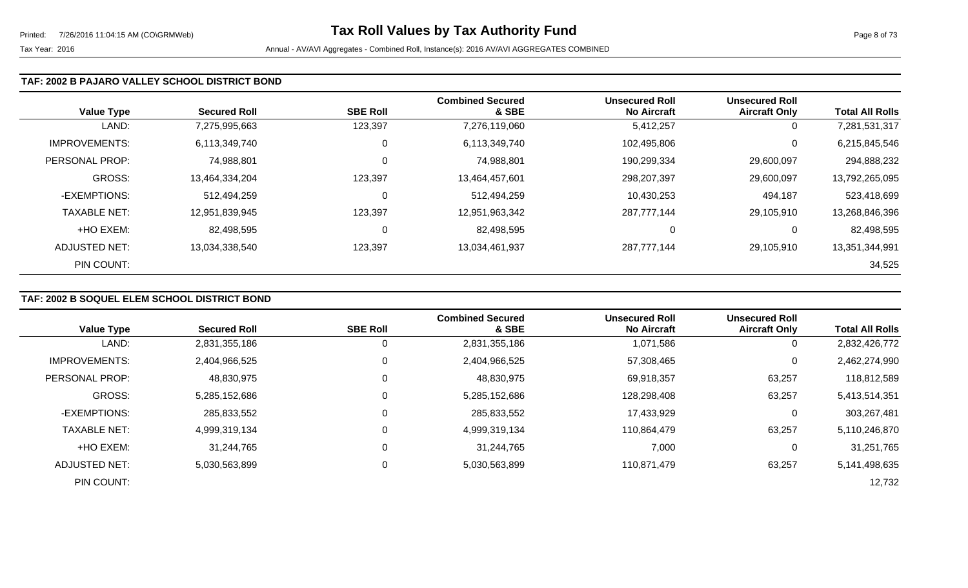#### **TAF: 2002 B PAJARO VALLEY SCHOOL DISTRICT BOND**

| <b>Value Type</b>    | <b>Secured Roll</b> | <b>SBE Roll</b> | <b>Combined Secured</b><br>& SBE | <b>Unsecured Roll</b><br><b>No Aircraft</b> | <b>Unsecured Roll</b><br><b>Aircraft Only</b> | <b>Total All Rolls</b> |
|----------------------|---------------------|-----------------|----------------------------------|---------------------------------------------|-----------------------------------------------|------------------------|
| LAND:                | 7,275,995,663       | 123,397         | 7,276,119,060                    | 5,412,257                                   | 0                                             | 7,281,531,317          |
| <b>IMPROVEMENTS:</b> | 6,113,349,740       | 0               | 6,113,349,740                    | 102,495,806                                 | 0                                             | 6,215,845,546          |
| PERSONAL PROP:       | 74,988,801          | 0               | 74,988,801                       | 190,299,334                                 | 29,600,097                                    | 294,888,232            |
| <b>GROSS:</b>        | 13,464,334,204      | 123,397         | 13,464,457,601                   | 298,207,397                                 | 29,600,097                                    | 13,792,265,095         |
| -EXEMPTIONS:         | 512,494,259         | 0               | 512,494,259                      | 10,430,253                                  | 494,187                                       | 523,418,699            |
| <b>TAXABLE NET:</b>  | 12,951,839,945      | 123,397         | 12,951,963,342                   | 287,777,144                                 | 29,105,910                                    | 13,268,846,396         |
| +HO EXEM:            | 82,498,595          | 0               | 82,498,595                       | 0                                           | 0                                             | 82,498,595             |
| <b>ADJUSTED NET:</b> | 13,034,338,540      | 123,397         | 13,034,461,937                   | 287,777,144                                 | 29,105,910                                    | 13,351,344,991         |
| PIN COUNT:           |                     |                 |                                  |                                             |                                               | 34,525                 |

## **TAF: 2002 B SOQUEL ELEM SCHOOL DISTRICT BOND**

|                      |                     |                 | <b>Combined Secured</b> | <b>Unsecured Roll</b> | <b>Unsecured Roll</b> |                        |
|----------------------|---------------------|-----------------|-------------------------|-----------------------|-----------------------|------------------------|
| <b>Value Type</b>    | <b>Secured Roll</b> | <b>SBE Roll</b> | & SBE                   | <b>No Aircraft</b>    | <b>Aircraft Only</b>  | <b>Total All Rolls</b> |
| LAND:                | 2,831,355,186       | 0               | 2,831,355,186           | 1,071,586             | 0                     | 2,832,426,772          |
| <b>IMPROVEMENTS:</b> | 2,404,966,525       | 0               | 2,404,966,525           | 57,308,465            | $\mathbf 0$           | 2,462,274,990          |
| PERSONAL PROP:       | 48,830,975          | 0               | 48,830,975              | 69,918,357            | 63,257                | 118,812,589            |
| <b>GROSS:</b>        | 5,285,152,686       | $\Omega$        | 5,285,152,686           | 128,298,408           | 63,257                | 5,413,514,351          |
| -EXEMPTIONS:         | 285,833,552         | $\Omega$        | 285,833,552             | 17,433,929            | 0                     | 303,267,481            |
| <b>TAXABLE NET:</b>  | 4,999,319,134       | $\mathbf 0$     | 4,999,319,134           | 110,864,479           | 63,257                | 5,110,246,870          |
| +HO EXEM:            | 31,244,765          | $\Omega$        | 31,244,765              | 7,000                 | $\overline{0}$        | 31,251,765             |
| ADJUSTED NET:        | 5,030,563,899       | 0               | 5,030,563,899           | 110,871,479           | 63,257                | 5, 141, 498, 635       |
| PIN COUNT:           |                     |                 |                         |                       |                       | 12,732                 |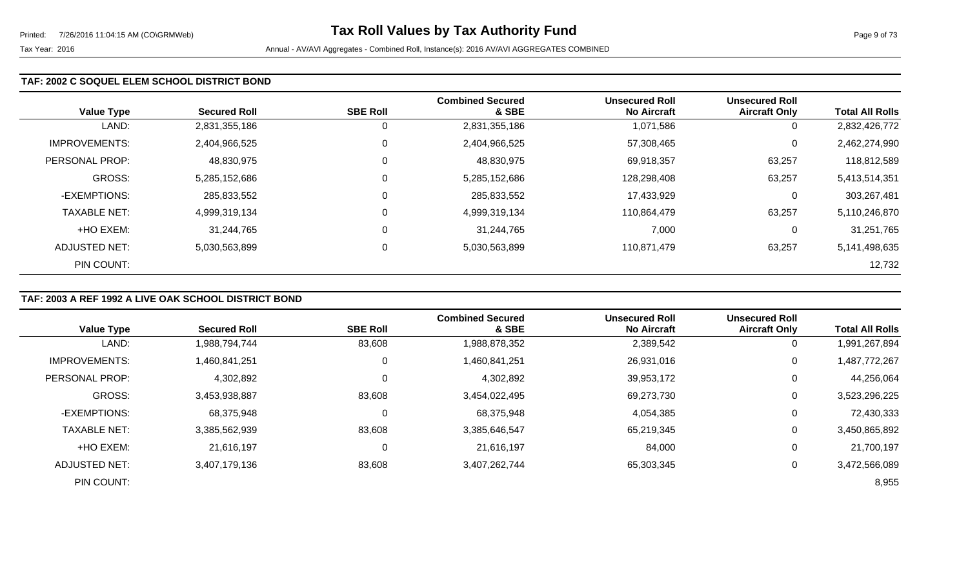#### **TAF: 2002 C SOQUEL ELEM SCHOOL DISTRICT BOND**

| <b>Value Type</b>    | <b>Secured Roll</b> | <b>SBE Roll</b> | <b>Combined Secured</b><br>& SBE | <b>Unsecured Roll</b><br><b>No Aircraft</b> | <b>Unsecured Roll</b><br><b>Aircraft Only</b> | <b>Total All Rolls</b> |
|----------------------|---------------------|-----------------|----------------------------------|---------------------------------------------|-----------------------------------------------|------------------------|
| LAND:                | 2,831,355,186       | 0               | 2,831,355,186                    | 1,071,586                                   | 0                                             | 2,832,426,772          |
| <b>IMPROVEMENTS:</b> | 2,404,966,525       | $\mathbf 0$     | 2,404,966,525                    | 57,308,465                                  | 0                                             | 2,462,274,990          |
| PERSONAL PROP:       | 48,830,975          | $\overline{0}$  | 48,830,975                       | 69,918,357                                  | 63,257                                        | 118,812,589            |
| <b>GROSS:</b>        | 5,285,152,686       | $\mathbf 0$     | 5,285,152,686                    | 128,298,408                                 | 63,257                                        | 5,413,514,351          |
| -EXEMPTIONS:         | 285,833,552         | $\overline{0}$  | 285,833,552                      | 17,433,929                                  | 0                                             | 303,267,481            |
| <b>TAXABLE NET:</b>  | 4,999,319,134       | $\overline{0}$  | 4,999,319,134                    | 110,864,479                                 | 63,257                                        | 5,110,246,870          |
| +HO EXEM:            | 31.244.765          | 0               | 31,244,765                       | 7,000                                       | 0                                             | 31,251,765             |
| ADJUSTED NET:        | 5,030,563,899       | 0               | 5,030,563,899                    | 110,871,479                                 | 63,257                                        | 5,141,498,635          |
| PIN COUNT:           |                     |                 |                                  |                                             |                                               | 12,732                 |

### **TAF: 2003 A REF 1992 A LIVE OAK SCHOOL DISTRICT BOND**

|                       |                     |                 | <b>Combined Secured</b> | <b>Unsecured Roll</b> | <b>Unsecured Roll</b> |                        |
|-----------------------|---------------------|-----------------|-------------------------|-----------------------|-----------------------|------------------------|
| <b>Value Type</b>     | <b>Secured Roll</b> | <b>SBE Roll</b> | & SBE                   | <b>No Aircraft</b>    | <b>Aircraft Only</b>  | <b>Total All Rolls</b> |
| LAND:                 | 1,988,794,744       | 83,608          | 1,988,878,352           | 2,389,542             | 0                     | 1,991,267,894          |
| <b>IMPROVEMENTS:</b>  | 1,460,841,251       | $\mathbf 0$     | 1,460,841,251           | 26,931,016            | $\mathbf 0$           | 1,487,772,267          |
| <b>PERSONAL PROP:</b> | 4,302,892           | $\Omega$        | 4,302,892               | 39,953,172            | 0                     | 44,256,064             |
| <b>GROSS:</b>         | 3,453,938,887       | 83,608          | 3,454,022,495           | 69,273,730            | 0                     | 3,523,296,225          |
| -EXEMPTIONS:          | 68,375,948          | 0               | 68,375,948              | 4,054,385             | 0                     | 72,430,333             |
| <b>TAXABLE NET:</b>   | 3,385,562,939       | 83,608          | 3,385,646,547           | 65,219,345            | $\boldsymbol{0}$      | 3,450,865,892          |
| +HO EXEM:             | 21,616,197          | 0               | 21,616,197              | 84,000                | 0                     | 21,700,197             |
| <b>ADJUSTED NET:</b>  | 3,407,179,136       | 83,608          | 3,407,262,744           | 65,303,345            | 0                     | 3,472,566,089          |
| PIN COUNT:            |                     |                 |                         |                       |                       | 8,955                  |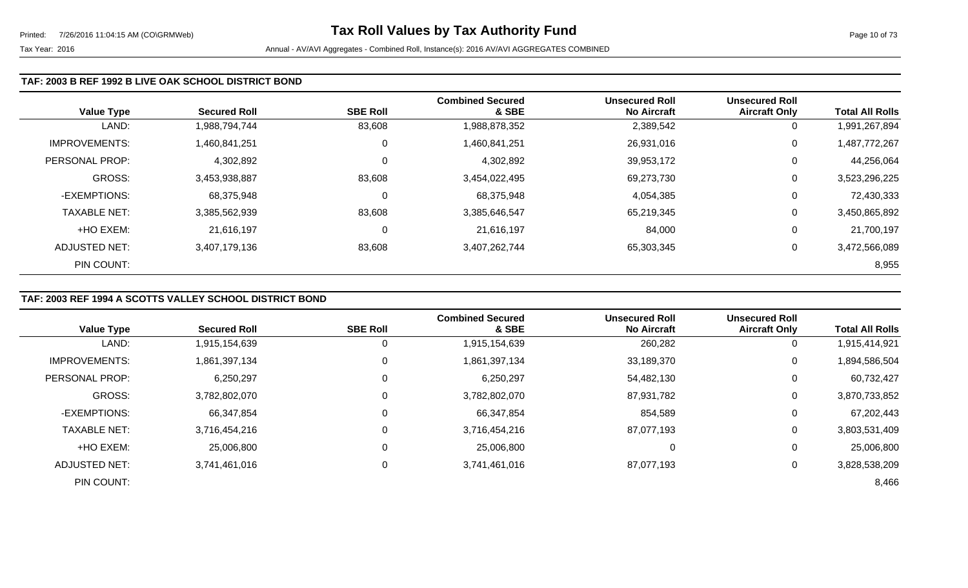#### **TAF: 2003 B REF 1992 B LIVE OAK SCHOOL DISTRICT BOND**

| <b>Value Type</b>    | <b>Secured Roll</b> | <b>SBE Roll</b> | <b>Combined Secured</b><br>& SBE | <b>Unsecured Roll</b><br><b>No Aircraft</b> | <b>Unsecured Roll</b><br><b>Aircraft Only</b> | <b>Total All Rolls</b> |
|----------------------|---------------------|-----------------|----------------------------------|---------------------------------------------|-----------------------------------------------|------------------------|
| LAND:                | 1,988,794,744       | 83,608          | 1,988,878,352                    | 2,389,542                                   | U                                             | ,991,267,894           |
| <b>IMPROVEMENTS:</b> | 1,460,841,251       | $\overline{0}$  | 1,460,841,251                    | 26,931,016                                  | 0                                             | 1,487,772,267          |
| PERSONAL PROP:       | 4,302,892           | $\mathbf 0$     | 4,302,892                        | 39,953,172                                  | 0                                             | 44,256,064             |
| GROSS:               | 3,453,938,887       | 83,608          | 3,454,022,495                    | 69,273,730                                  | 0                                             | 3,523,296,225          |
| -EXEMPTIONS:         | 68,375,948          | 0               | 68,375,948                       | 4,054,385                                   | 0                                             | 72,430,333             |
| <b>TAXABLE NET:</b>  | 3,385,562,939       | 83,608          | 3,385,646,547                    | 65,219,345                                  | 0                                             | 3,450,865,892          |
| +HO EXEM:            | 21.616.197          | 0               | 21,616,197                       | 84,000                                      | 0                                             | 21,700,197             |
| <b>ADJUSTED NET:</b> | 3,407,179,136       | 83,608          | 3,407,262,744                    | 65,303,345                                  | 0                                             | 3,472,566,089          |
| PIN COUNT:           |                     |                 |                                  |                                             |                                               | 8,955                  |

## **TAF: 2003 REF 1994 A SCOTTS VALLEY SCHOOL DISTRICT BOND**

|                      |                     |                 | <b>Combined Secured</b> | <b>Unsecured Roll</b> | <b>Unsecured Roll</b> |                        |
|----------------------|---------------------|-----------------|-------------------------|-----------------------|-----------------------|------------------------|
| <b>Value Type</b>    | <b>Secured Roll</b> | <b>SBE Roll</b> | & SBE                   | <b>No Aircraft</b>    | <b>Aircraft Only</b>  | <b>Total All Rolls</b> |
| LAND:                | 1,915,154,639       | 0               | 1,915,154,639           | 260,282               | 0                     | 1,915,414,921          |
| <b>IMPROVEMENTS:</b> | 1,861,397,134       | 0               | 1,861,397,134           | 33,189,370            | 0                     | 1,894,586,504          |
| PERSONAL PROP:       | 6,250,297           | 0               | 6,250,297               | 54,482,130            | 0                     | 60,732,427             |
| <b>GROSS:</b>        | 3,782,802,070       | 0               | 3,782,802,070           | 87,931,782            | 0                     | 3,870,733,852          |
| -EXEMPTIONS:         | 66,347,854          | 0               | 66,347,854              | 854,589               | 0                     | 67,202,443             |
| <b>TAXABLE NET:</b>  | 3,716,454,216       | 0               | 3,716,454,216           | 87,077,193            | 0                     | 3,803,531,409          |
| +HO EXEM:            | 25,006,800          | 0               | 25,006,800              | 0                     | 0                     | 25,006,800             |
| <b>ADJUSTED NET:</b> | 3,741,461,016       | 0               | 3,741,461,016           | 87,077,193            | $\mathbf 0$           | 3,828,538,209          |
| PIN COUNT:           |                     |                 |                         |                       |                       | 8,466                  |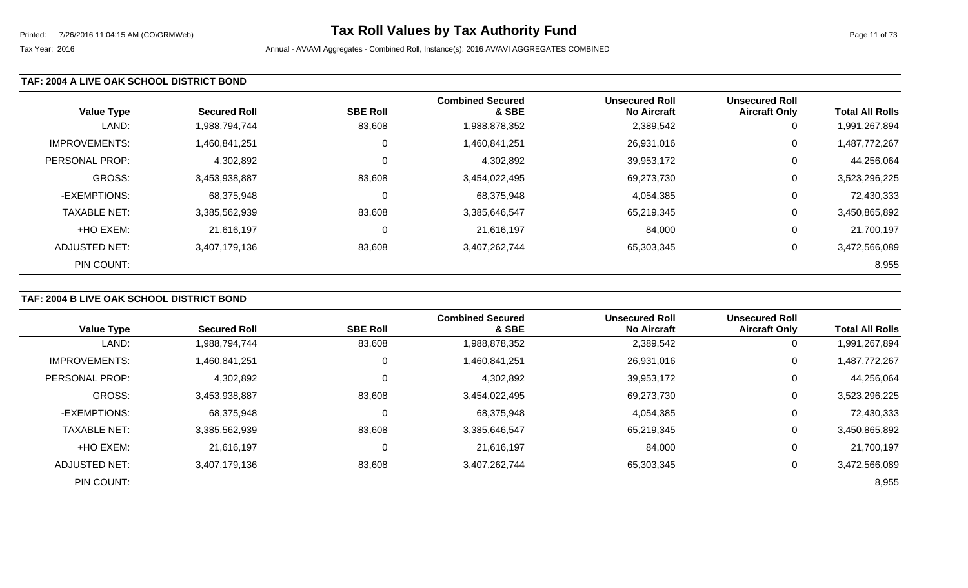#### **TAF: 2004 A LIVE OAK SCHOOL DISTRICT BOND**

| <b>Value Type</b>    | <b>Secured Roll</b> | <b>SBE Roll</b> | <b>Combined Secured</b><br>& SBE | <b>Unsecured Roll</b><br><b>No Aircraft</b> | <b>Unsecured Roll</b><br><b>Aircraft Only</b> | <b>Total All Rolls</b> |
|----------------------|---------------------|-----------------|----------------------------------|---------------------------------------------|-----------------------------------------------|------------------------|
| LAND:                | 1,988,794,744       | 83,608          | 1,988,878,352                    | 2,389,542                                   | 0                                             | 1,991,267,894          |
| <b>IMPROVEMENTS:</b> | 1,460,841,251       | 0               | 1,460,841,251                    | 26,931,016                                  | 0                                             | 1,487,772,267          |
| PERSONAL PROP:       | 4,302,892           | 0               | 4,302,892                        | 39,953,172                                  | 0                                             | 44,256,064             |
| <b>GROSS:</b>        | 3,453,938,887       | 83,608          | 3,454,022,495                    | 69,273,730                                  | 0                                             | 3,523,296,225          |
| -EXEMPTIONS:         | 68,375,948          | 0               | 68,375,948                       | 4,054,385                                   | 0                                             | 72,430,333             |
| <b>TAXABLE NET:</b>  | 3,385,562,939       | 83,608          | 3,385,646,547                    | 65,219,345                                  | 0                                             | 3,450,865,892          |
| +HO EXEM:            | 21,616,197          | 0               | 21,616,197                       | 84,000                                      | 0                                             | 21,700,197             |
| ADJUSTED NET:        | 3,407,179,136       | 83,608          | 3,407,262,744                    | 65,303,345                                  | 0                                             | 3,472,566,089          |
| PIN COUNT:           |                     |                 |                                  |                                             |                                               | 8,955                  |

### **TAF: 2004 B LIVE OAK SCHOOL DISTRICT BOND**

|                      |                     |                 | <b>Combined Secured</b> | <b>Unsecured Roll</b> | <b>Unsecured Roll</b> |                        |
|----------------------|---------------------|-----------------|-------------------------|-----------------------|-----------------------|------------------------|
| <b>Value Type</b>    | <b>Secured Roll</b> | <b>SBE Roll</b> | & SBE                   | <b>No Aircraft</b>    | <b>Aircraft Only</b>  | <b>Total All Rolls</b> |
| LAND:                | 1,988,794,744       | 83,608          | 1,988,878,352           | 2,389,542             | 0                     | ,991,267,894           |
| <b>IMPROVEMENTS:</b> | 1,460,841,251       | 0               | 1,460,841,251           | 26,931,016            | $\mathbf 0$           | 1,487,772,267          |
| PERSONAL PROP:       | 4,302,892           |                 | 4,302,892               | 39,953,172            | 0                     | 44,256,064             |
| <b>GROSS:</b>        | 3,453,938,887       | 83,608          | 3,454,022,495           | 69,273,730            | 0                     | 3,523,296,225          |
| -EXEMPTIONS:         | 68,375,948          |                 | 68,375,948              | 4,054,385             | 0                     | 72,430,333             |
| <b>TAXABLE NET:</b>  | 3,385,562,939       | 83,608          | 3,385,646,547           | 65,219,345            | 0                     | 3,450,865,892          |
| +HO EXEM:            | 21,616,197          |                 | 21,616,197              | 84,000                | 0                     | 21,700,197             |
| ADJUSTED NET:        | 3,407,179,136       | 83,608          | 3,407,262,744           | 65,303,345            | 0                     | 3,472,566,089          |
| PIN COUNT:           |                     |                 |                         |                       |                       | 8,955                  |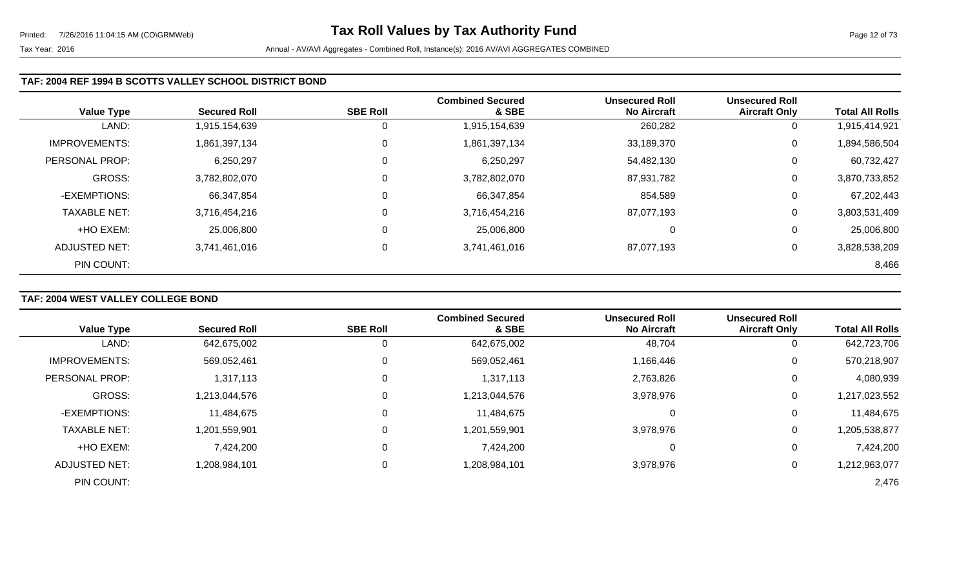### **TAF: 2004 REF 1994 B SCOTTS VALLEY SCHOOL DISTRICT BOND**

| <b>Value Type</b>    | <b>Secured Roll</b> | <b>SBE Roll</b> | <b>Combined Secured</b><br>& SBE | <b>Unsecured Roll</b><br><b>No Aircraft</b> | <b>Unsecured Roll</b><br><b>Aircraft Only</b> | <b>Total All Rolls</b> |
|----------------------|---------------------|-----------------|----------------------------------|---------------------------------------------|-----------------------------------------------|------------------------|
| LAND:                | 1,915,154,639       | 0               | 1,915,154,639                    | 260,282                                     | 0                                             | 1,915,414,921          |
| <b>IMPROVEMENTS:</b> | 1,861,397,134       | 0               | 1,861,397,134                    | 33,189,370                                  | 0                                             | 1,894,586,504          |
| PERSONAL PROP:       | 6,250,297           | 0               | 6,250,297                        | 54,482,130                                  | 0                                             | 60,732,427             |
| GROSS:               | 3,782,802,070       | 0               | 3,782,802,070                    | 87,931,782                                  | 0                                             | 3,870,733,852          |
| -EXEMPTIONS:         | 66,347,854          | 0               | 66,347,854                       | 854,589                                     | 0                                             | 67,202,443             |
| <b>TAXABLE NET:</b>  | 3,716,454,216       | 0               | 3,716,454,216                    | 87,077,193                                  | 0                                             | 3,803,531,409          |
| +HO EXEM:            | 25,006,800          | 0               | 25,006,800                       |                                             | 0                                             | 25,006,800             |
| ADJUSTED NET:        | 3,741,461,016       | 0               | 3,741,461,016                    | 87,077,193                                  | 0                                             | 3,828,538,209          |
| PIN COUNT:           |                     |                 |                                  |                                             |                                               | 8,466                  |

# **TAF: 2004 WEST VALLEY COLLEGE BOND**

|                      |                     |                 | <b>Combined Secured</b> | <b>Unsecured Roll</b> | <b>Unsecured Roll</b> |                        |
|----------------------|---------------------|-----------------|-------------------------|-----------------------|-----------------------|------------------------|
| <b>Value Type</b>    | <b>Secured Roll</b> | <b>SBE Roll</b> | & SBE                   | <b>No Aircraft</b>    | <b>Aircraft Only</b>  | <b>Total All Rolls</b> |
| LAND:                | 642,675,002         | O               | 642,675,002             | 48,704                | $\overline{0}$        | 642,723,706            |
| <b>IMPROVEMENTS:</b> | 569,052,461         | 0               | 569,052,461             | 1,166,446             | 0                     | 570,218,907            |
| PERSONAL PROP:       | 1,317,113           | 0               | 1,317,113               | 2,763,826             | 0                     | 4,080,939              |
| <b>GROSS:</b>        | 1,213,044,576       | 0               | 1,213,044,576           | 3,978,976             | 0                     | 1,217,023,552          |
| -EXEMPTIONS:         | 11,484,675          | 0               | 11,484,675              |                       | 0                     | 11,484,675             |
| <b>TAXABLE NET:</b>  | 1,201,559,901       | $\Omega$        | 1,201,559,901           | 3,978,976             | 0                     | 1,205,538,877          |
| +HO EXEM:            | 7,424,200           | $\Omega$        | 7,424,200               |                       | 0                     | 7,424,200              |
| <b>ADJUSTED NET:</b> | 1,208,984,101       | 0               | 1,208,984,101           | 3,978,976             | 0                     | 1,212,963,077          |
| PIN COUNT:           |                     |                 |                         |                       |                       | 2,476                  |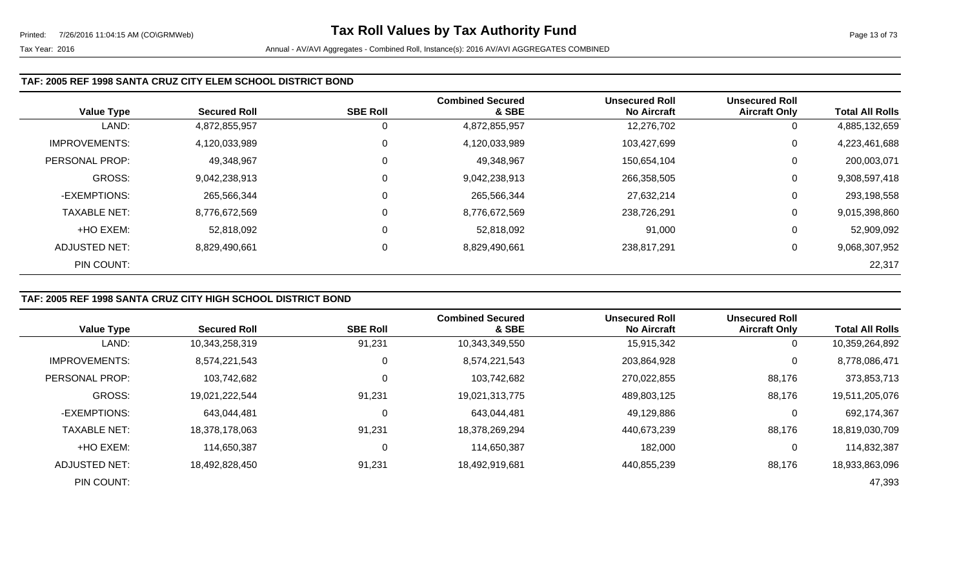### **TAF: 2005 REF 1998 SANTA CRUZ CITY ELEM SCHOOL DISTRICT BOND**

| <b>Value Type</b>    | <b>Secured Roll</b> | <b>SBE Roll</b> | <b>Combined Secured</b><br>& SBE | <b>Unsecured Roll</b><br><b>No Aircraft</b> | <b>Unsecured Roll</b><br><b>Aircraft Only</b> | <b>Total All Rolls</b> |
|----------------------|---------------------|-----------------|----------------------------------|---------------------------------------------|-----------------------------------------------|------------------------|
| LAND:                | 4,872,855,957       |                 | 4,872,855,957                    | 12,276,702                                  | 0                                             | 4,885,132,659          |
| <b>IMPROVEMENTS:</b> | 4,120,033,989       | 0               | 4,120,033,989                    | 103,427,699                                 | 0                                             | 4,223,461,688          |
| PERSONAL PROP:       | 49,348,967          | 0               | 49,348,967                       | 150,654,104                                 | 0                                             | 200,003,071            |
| <b>GROSS:</b>        | 9,042,238,913       |                 | 9,042,238,913                    | 266,358,505                                 | 0                                             | 9,308,597,418          |
| -EXEMPTIONS:         | 265,566,344         |                 | 265,566,344                      | 27,632,214                                  | 0                                             | 293,198,558            |
| <b>TAXABLE NET:</b>  | 8,776,672,569       | 0               | 8,776,672,569                    | 238,726,291                                 | 0                                             | 9,015,398,860          |
| +HO EXEM:            | 52,818,092          | 0               | 52,818,092                       | 91,000                                      | 0                                             | 52,909,092             |
| ADJUSTED NET:        | 8,829,490,661       | 0               | 8,829,490,661                    | 238,817,291                                 | 0                                             | 9,068,307,952          |
| PIN COUNT:           |                     |                 |                                  |                                             |                                               | 22,317                 |

## **TAF: 2005 REF 1998 SANTA CRUZ CITY HIGH SCHOOL DISTRICT BOND**

|                      |                     |                 | <b>Combined Secured</b> | <b>Unsecured Roll</b> | <b>Unsecured Roll</b> |                        |
|----------------------|---------------------|-----------------|-------------------------|-----------------------|-----------------------|------------------------|
| <b>Value Type</b>    | <b>Secured Roll</b> | <b>SBE Roll</b> | & SBE                   | <b>No Aircraft</b>    | <b>Aircraft Only</b>  | <b>Total All Rolls</b> |
| LAND:                | 10,343,258,319      | 91,231          | 10,343,349,550          | 15,915,342            | 0                     | 10,359,264,892         |
| <b>IMPROVEMENTS:</b> | 8,574,221,543       | 0               | 8,574,221,543           | 203,864,928           | 0                     | 8,778,086,471          |
| PERSONAL PROP:       | 103,742,682         |                 | 103,742,682             | 270,022,855           | 88,176                | 373,853,713            |
| <b>GROSS:</b>        | 19,021,222,544      | 91,231          | 19,021,313,775          | 489,803,125           | 88,176                | 19,511,205,076         |
| -EXEMPTIONS:         | 643,044,481         |                 | 643,044,481             | 49,129,886            | 0                     | 692,174,367            |
| <b>TAXABLE NET:</b>  | 18,378,178,063      | 91,231          | 18,378,269,294          | 440,673,239           | 88,176                | 18,819,030,709         |
| +HO EXEM:            | 114,650,387         |                 | 114,650,387             | 182,000               | $\mathbf{0}$          | 114,832,387            |
| ADJUSTED NET:        | 18.492.828.450      | 91,231          | 18,492,919,681          | 440.855.239           | 88,176                | 18,933,863,096         |
| PIN COUNT:           |                     |                 |                         |                       |                       | 47,393                 |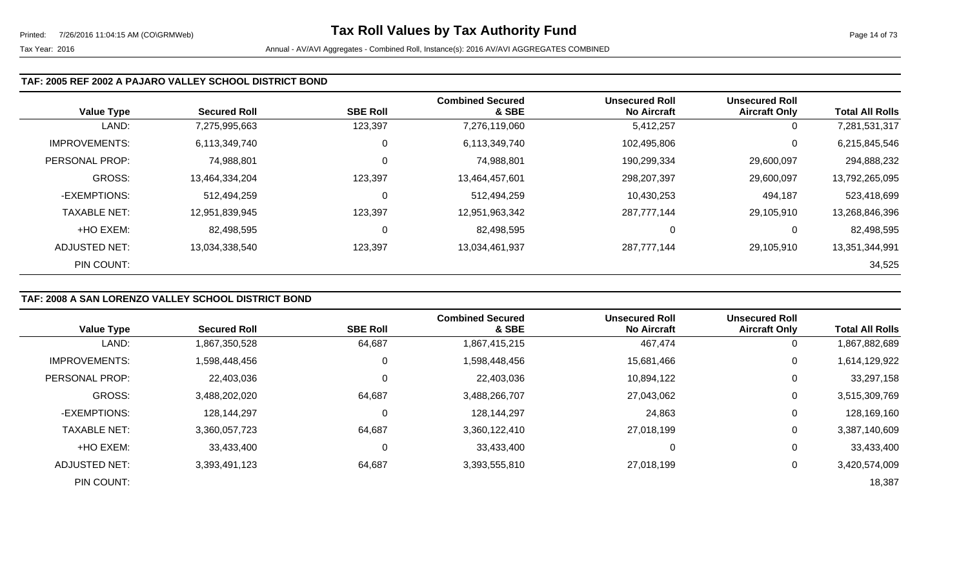#### **TAF: 2005 REF 2002 A PAJARO VALLEY SCHOOL DISTRICT BOND**

| <b>Value Type</b>    | <b>Secured Roll</b> | <b>SBE Roll</b> | <b>Combined Secured</b><br>& SBE | <b>Unsecured Roll</b><br><b>No Aircraft</b> | <b>Unsecured Roll</b><br><b>Aircraft Only</b> | <b>Total All Rolls</b> |
|----------------------|---------------------|-----------------|----------------------------------|---------------------------------------------|-----------------------------------------------|------------------------|
| LAND:                | 7,275,995,663       | 123,397         | 7,276,119,060                    | 5,412,257                                   | 0                                             | 7,281,531,317          |
| <b>IMPROVEMENTS:</b> | 6,113,349,740       | 0               | 6,113,349,740                    | 102,495,806                                 | 0                                             | 6,215,845,546          |
| PERSONAL PROP:       | 74,988,801          | 0               | 74,988,801                       | 190,299,334                                 | 29,600,097                                    | 294,888,232            |
| <b>GROSS:</b>        | 13,464,334,204      | 123,397         | 13,464,457,601                   | 298,207,397                                 | 29,600,097                                    | 13,792,265,095         |
| -EXEMPTIONS:         | 512,494,259         | 0               | 512,494,259                      | 10,430,253                                  | 494,187                                       | 523,418,699            |
| <b>TAXABLE NET:</b>  | 12,951,839,945      | 123,397         | 12,951,963,342                   | 287,777,144                                 | 29,105,910                                    | 13,268,846,396         |
| +HO EXEM:            | 82,498,595          | 0               | 82,498,595                       |                                             | 0                                             | 82,498,595             |
| ADJUSTED NET:        | 13,034,338,540      | 123,397         | 13,034,461,937                   | 287,777,144                                 | 29,105,910                                    | 13,351,344,991         |
| PIN COUNT:           |                     |                 |                                  |                                             |                                               | 34,525                 |

### **TAF: 2008 A SAN LORENZO VALLEY SCHOOL DISTRICT BOND**

|                      |                     |                 | <b>Combined Secured</b> | <b>Unsecured Roll</b> | <b>Unsecured Roll</b> |                        |
|----------------------|---------------------|-----------------|-------------------------|-----------------------|-----------------------|------------------------|
| <b>Value Type</b>    | <b>Secured Roll</b> | <b>SBE Roll</b> | & SBE                   | <b>No Aircraft</b>    | <b>Aircraft Only</b>  | <b>Total All Rolls</b> |
| LAND:                | 1,867,350,528       | 64,687          | 1,867,415,215           | 467,474               | 0                     | 1,867,882,689          |
| <b>IMPROVEMENTS:</b> | 1,598,448,456       | 0               | 1,598,448,456           | 15,681,466            | 0                     | 1,614,129,922          |
| PERSONAL PROP:       | 22,403,036          | 0               | 22,403,036              | 10,894,122            | 0                     | 33,297,158             |
| <b>GROSS:</b>        | 3,488,202,020       | 64,687          | 3,488,266,707           | 27,043,062            | 0                     | 3,515,309,769          |
| -EXEMPTIONS:         | 128,144,297         | $\mathbf 0$     | 128,144,297             | 24,863                | 0                     | 128,169,160            |
| <b>TAXABLE NET:</b>  | 3,360,057,723       | 64,687          | 3,360,122,410           | 27,018,199            | 0                     | 3,387,140,609          |
| +HO EXEM:            | 33,433,400          | $\mathbf 0$     | 33,433,400              | 0                     | 0                     | 33,433,400             |
| ADJUSTED NET:        | 3,393,491,123       | 64,687          | 3,393,555,810           | 27,018,199            | 0                     | 3,420,574,009          |
| PIN COUNT:           |                     |                 |                         |                       |                       | 18,387                 |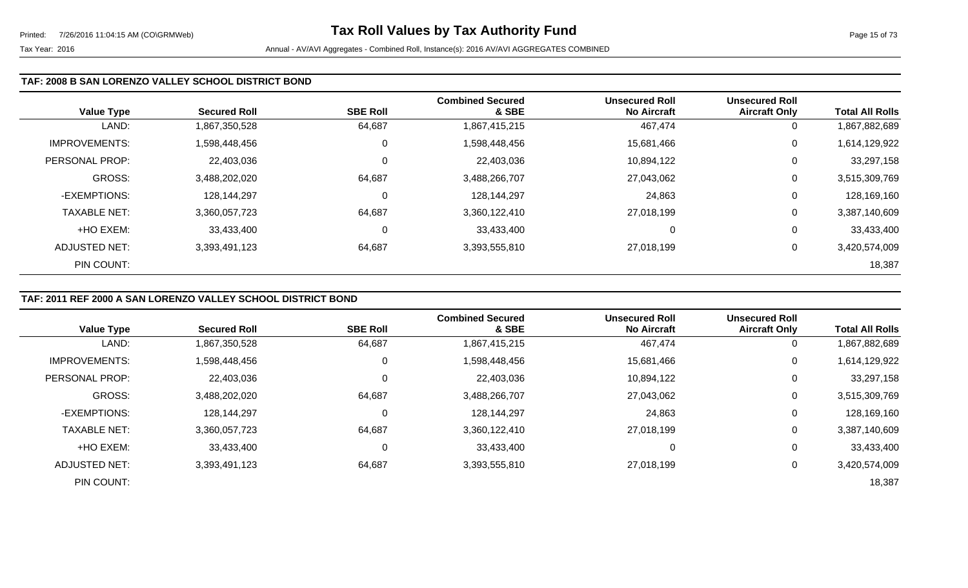### **TAF: 2008 B SAN LORENZO VALLEY SCHOOL DISTRICT BOND**

| <b>Value Type</b>    | <b>Secured Roll</b> | <b>SBE Roll</b> | <b>Combined Secured</b><br>& SBE | <b>Unsecured Roll</b><br><b>No Aircraft</b> | <b>Unsecured Roll</b><br><b>Aircraft Only</b> | <b>Total All Rolls</b> |
|----------------------|---------------------|-----------------|----------------------------------|---------------------------------------------|-----------------------------------------------|------------------------|
| LAND:                | 1,867,350,528       | 64,687          | 1,867,415,215                    | 467,474                                     | 0                                             | 1,867,882,689          |
| <b>IMPROVEMENTS:</b> | 1,598,448,456       | 0               | 1,598,448,456                    | 15,681,466                                  | 0                                             | 1,614,129,922          |
| PERSONAL PROP:       | 22,403,036          | 0               | 22,403,036                       | 10,894,122                                  | 0                                             | 33,297,158             |
| GROSS:               | 3,488,202,020       | 64,687          | 3,488,266,707                    | 27,043,062                                  | 0                                             | 3,515,309,769          |
| -EXEMPTIONS:         | 128,144,297         | 0               | 128,144,297                      | 24,863                                      | 0                                             | 128,169,160            |
| <b>TAXABLE NET:</b>  | 3,360,057,723       | 64,687          | 3,360,122,410                    | 27,018,199                                  | 0                                             | 3,387,140,609          |
| +HO EXEM:            | 33,433,400          | 0               | 33,433,400                       | 0                                           | 0                                             | 33,433,400             |
| ADJUSTED NET:        | 3,393,491,123       | 64,687          | 3,393,555,810                    | 27,018,199                                  | 0                                             | 3,420,574,009          |
| PIN COUNT:           |                     |                 |                                  |                                             |                                               | 18,387                 |

## **TAF: 2011 REF 2000 A SAN LORENZO VALLEY SCHOOL DISTRICT BOND**

|                      |                     |                 | <b>Combined Secured</b> | <b>Unsecured Roll</b> | <b>Unsecured Roll</b> |                        |
|----------------------|---------------------|-----------------|-------------------------|-----------------------|-----------------------|------------------------|
| <b>Value Type</b>    | <b>Secured Roll</b> | <b>SBE Roll</b> | & SBE                   | <b>No Aircraft</b>    | <b>Aircraft Only</b>  | <b>Total All Rolls</b> |
| LAND:                | 1,867,350,528       | 64,687          | 1,867,415,215           | 467,474               | 0                     | 1,867,882,689          |
| <b>IMPROVEMENTS:</b> | 1,598,448,456       |                 | 1,598,448,456           | 15,681,466            | $\mathbf 0$           | 1,614,129,922          |
| PERSONAL PROP:       | 22,403,036          |                 | 22,403,036              | 10,894,122            | 0                     | 33,297,158             |
| <b>GROSS:</b>        | 3,488,202,020       | 64,687          | 3,488,266,707           | 27,043,062            | 0                     | 3,515,309,769          |
| -EXEMPTIONS:         | 128,144,297         | 0               | 128,144,297             | 24,863                | 0                     | 128,169,160            |
| <b>TAXABLE NET:</b>  | 3,360,057,723       | 64,687          | 3,360,122,410           | 27,018,199            | $\mathbf 0$           | 3,387,140,609          |
| +HO EXEM:            | 33,433,400          | 0               | 33,433,400              | 0                     | 0                     | 33,433,400             |
| ADJUSTED NET:        | 3,393,491,123       | 64,687          | 3,393,555,810           | 27.018.199            | $\mathbf 0$           | 3,420,574,009          |
| PIN COUNT:           |                     |                 |                         |                       |                       | 18,387                 |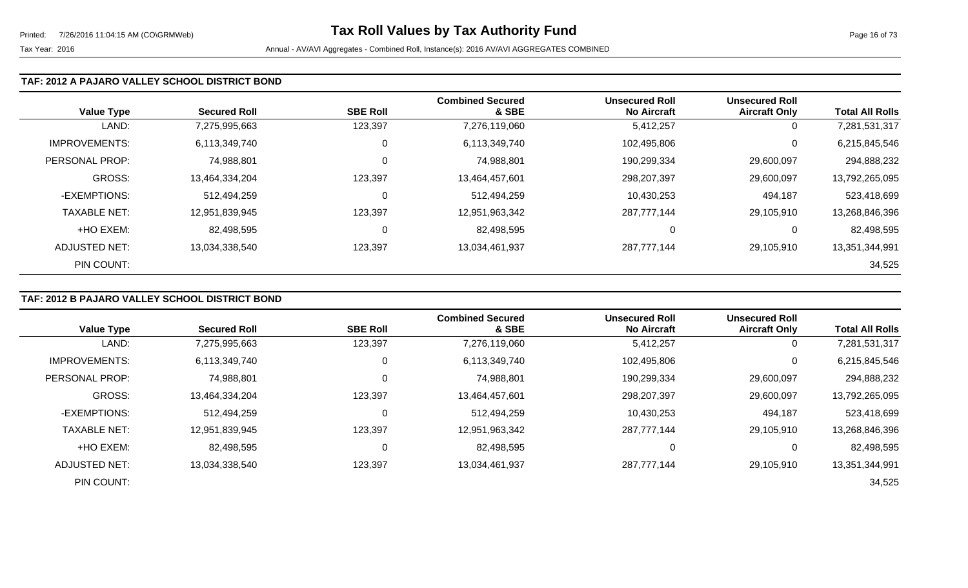#### **TAF: 2012 A PAJARO VALLEY SCHOOL DISTRICT BOND**

| <b>Value Type</b>    | <b>Secured Roll</b> | <b>SBE Roll</b> | <b>Combined Secured</b><br>& SBE | <b>Unsecured Roll</b><br><b>No Aircraft</b> | <b>Unsecured Roll</b><br><b>Aircraft Only</b> | <b>Total All Rolls</b> |
|----------------------|---------------------|-----------------|----------------------------------|---------------------------------------------|-----------------------------------------------|------------------------|
| LAND:                | 7,275,995,663       | 123,397         | 7,276,119,060                    | 5,412,257                                   | 0                                             | 7,281,531,317          |
| <b>IMPROVEMENTS:</b> | 6,113,349,740       | 0               | 6,113,349,740                    | 102,495,806                                 | 0                                             | 6,215,845,546          |
| PERSONAL PROP:       | 74,988,801          | $\mathbf 0$     | 74,988,801                       | 190,299,334                                 | 29,600,097                                    | 294,888,232            |
| <b>GROSS:</b>        | 13,464,334,204      | 123,397         | 13,464,457,601                   | 298,207,397                                 | 29,600,097                                    | 13,792,265,095         |
| -EXEMPTIONS:         | 512,494,259         | 0               | 512,494,259                      | 10,430,253                                  | 494,187                                       | 523,418,699            |
| <b>TAXABLE NET:</b>  | 12,951,839,945      | 123,397         | 12,951,963,342                   | 287,777,144                                 | 29,105,910                                    | 13,268,846,396         |
| +HO EXEM:            | 82,498,595          | $\mathbf 0$     | 82,498,595                       | 0                                           | 0                                             | 82,498,595             |
| <b>ADJUSTED NET:</b> | 13,034,338,540      | 123,397         | 13,034,461,937                   | 287,777,144                                 | 29,105,910                                    | 13,351,344,991         |
| PIN COUNT:           |                     |                 |                                  |                                             |                                               | 34,525                 |

## **TAF: 2012 B PAJARO VALLEY SCHOOL DISTRICT BOND**

|                      |                     |                 | <b>Combined Secured</b> | <b>Unsecured Roll</b> | <b>Unsecured Roll</b> |                        |
|----------------------|---------------------|-----------------|-------------------------|-----------------------|-----------------------|------------------------|
| <b>Value Type</b>    | <b>Secured Roll</b> | <b>SBE Roll</b> | & SBE                   | <b>No Aircraft</b>    | <b>Aircraft Only</b>  | <b>Total All Rolls</b> |
| LAND:                | 7,275,995,663       | 123,397         | 7,276,119,060           | 5,412,257             | 0                     | 7,281,531,317          |
| <b>IMPROVEMENTS:</b> | 6,113,349,740       | 0               | 6,113,349,740           | 102,495,806           | 0                     | 6,215,845,546          |
| PERSONAL PROP:       | 74,988,801          | 0               | 74,988,801              | 190,299,334           | 29,600,097            | 294,888,232            |
| GROSS:               | 13,464,334,204      | 123,397         | 13,464,457,601          | 298,207,397           | 29,600,097            | 13,792,265,095         |
| -EXEMPTIONS:         | 512,494,259         | 0               | 512,494,259             | 10,430,253            | 494,187               | 523,418,699            |
| <b>TAXABLE NET:</b>  | 12,951,839,945      | 123,397         | 12,951,963,342          | 287,777,144           | 29,105,910            | 13,268,846,396         |
| +HO EXEM:            | 82,498,595          | 0               | 82,498,595              | 0                     | 0                     | 82,498,595             |
| ADJUSTED NET:        | 13,034,338,540      | 123,397         | 13,034,461,937          | 287,777,144           | 29,105,910            | 13,351,344,991         |
| PIN COUNT:           |                     |                 |                         |                       |                       | 34,525                 |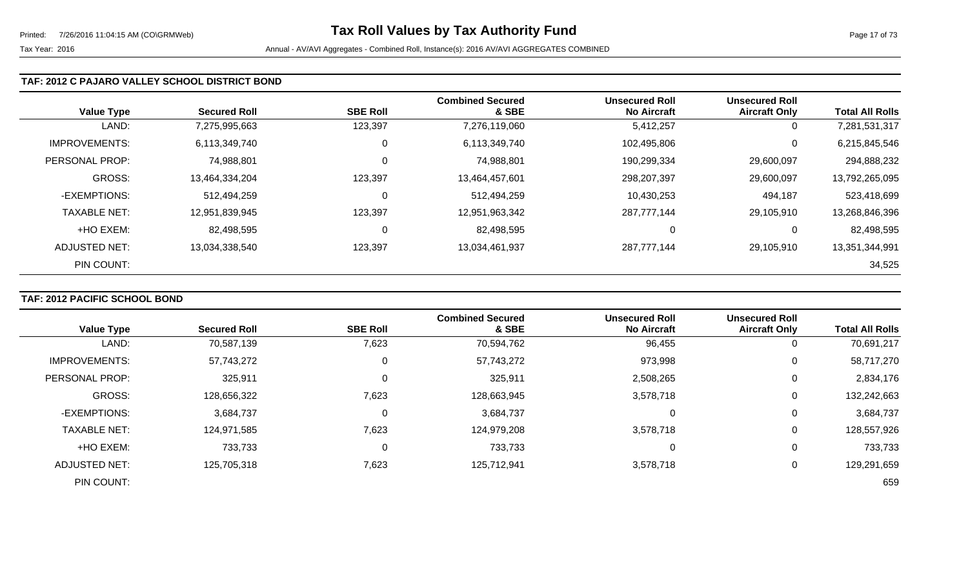### **TAF: 2012 C PAJARO VALLEY SCHOOL DISTRICT BOND**

| <b>Value Type</b>    | <b>Secured Roll</b> | <b>SBE Roll</b> | <b>Combined Secured</b><br>& SBE | <b>Unsecured Roll</b><br><b>No Aircraft</b> | <b>Unsecured Roll</b><br><b>Aircraft Only</b> | <b>Total All Rolls</b> |
|----------------------|---------------------|-----------------|----------------------------------|---------------------------------------------|-----------------------------------------------|------------------------|
| LAND:                | 7,275,995,663       | 123,397         | 7,276,119,060                    | 5,412,257                                   | 0                                             | 7,281,531,317          |
| <b>IMPROVEMENTS:</b> | 6,113,349,740       | 0               | 6,113,349,740                    | 102,495,806                                 | 0                                             | 6,215,845,546          |
| PERSONAL PROP:       | 74,988,801          | 0               | 74,988,801                       | 190,299,334                                 | 29,600,097                                    | 294,888,232            |
| <b>GROSS:</b>        | 13,464,334,204      | 123,397         | 13,464,457,601                   | 298,207,397                                 | 29,600,097                                    | 13,792,265,095         |
| -EXEMPTIONS:         | 512,494,259         | 0               | 512,494,259                      | 10,430,253                                  | 494,187                                       | 523,418,699            |
| <b>TAXABLE NET:</b>  | 12,951,839,945      | 123,397         | 12,951,963,342                   | 287,777,144                                 | 29,105,910                                    | 13,268,846,396         |
| +HO EXEM:            | 82,498,595          | 0               | 82,498,595                       | 0                                           | 0                                             | 82,498,595             |
| <b>ADJUSTED NET:</b> | 13,034,338,540      | 123,397         | 13,034,461,937                   | 287,777,144                                 | 29,105,910                                    | 13,351,344,991         |
| PIN COUNT:           |                     |                 |                                  |                                             |                                               | 34,525                 |

# **TAF: 2012 PACIFIC SCHOOL BOND**

|                       |                     |                 | <b>Combined Secured</b> | <b>Unsecured Roll</b> | <b>Unsecured Roll</b> |                        |
|-----------------------|---------------------|-----------------|-------------------------|-----------------------|-----------------------|------------------------|
| <b>Value Type</b>     | <b>Secured Roll</b> | <b>SBE Roll</b> | & SBE                   | <b>No Aircraft</b>    | <b>Aircraft Only</b>  | <b>Total All Rolls</b> |
| LAND:                 | 70,587,139          | 7,623           | 70,594,762              | 96,455                | $\overline{0}$        | 70,691,217             |
| <b>IMPROVEMENTS:</b>  | 57,743,272          | 0               | 57,743,272              | 973,998               | $\overline{0}$        | 58,717,270             |
| <b>PERSONAL PROP:</b> | 325,911             | 0               | 325,911                 | 2,508,265             | 0                     | 2,834,176              |
| <b>GROSS:</b>         | 128,656,322         | 7,623           | 128,663,945             | 3,578,718             | 0                     | 132,242,663            |
| -EXEMPTIONS:          | 3,684,737           | 0               | 3,684,737               |                       | 0                     | 3,684,737              |
| <b>TAXABLE NET:</b>   | 124,971,585         | 7,623           | 124,979,208             | 3,578,718             | $\mathbf 0$           | 128,557,926            |
| +HO EXEM:             | 733,733             | 0               | 733,733                 | 0                     | 0                     | 733,733                |
| <b>ADJUSTED NET:</b>  | 125,705,318         | 7,623           | 125,712,941             | 3,578,718             | 0                     | 129,291,659            |
| PIN COUNT:            |                     |                 |                         |                       |                       | 659                    |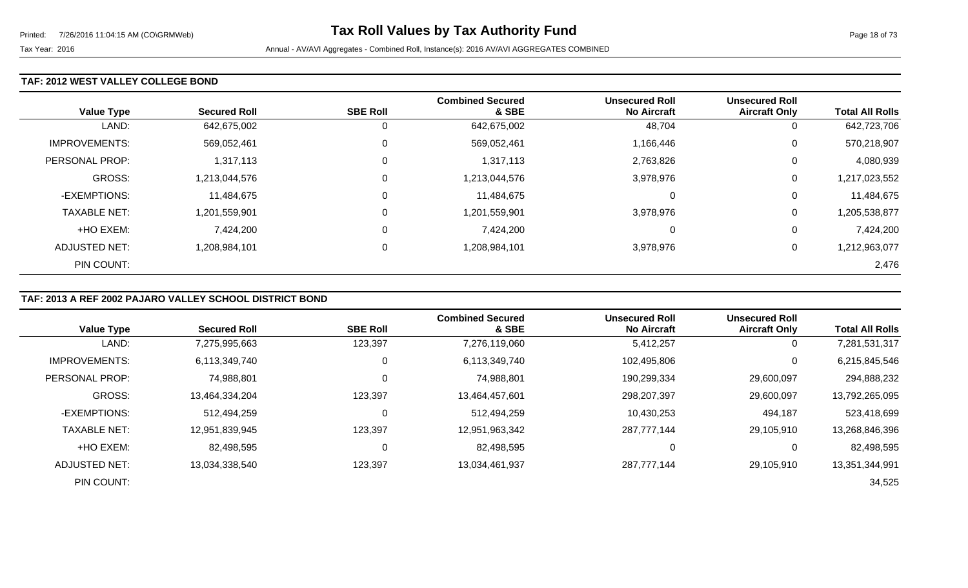### **TAF: 2012 WEST VALLEY COLLEGE BOND**

| <b>Value Type</b>    | <b>Secured Roll</b> | <b>SBE Roll</b> | <b>Combined Secured</b><br>& SBE | <b>Unsecured Roll</b><br><b>No Aircraft</b> | <b>Unsecured Roll</b><br><b>Aircraft Only</b> | <b>Total All Rolls</b> |
|----------------------|---------------------|-----------------|----------------------------------|---------------------------------------------|-----------------------------------------------|------------------------|
| LAND:                | 642,675,002         |                 | 642,675,002                      | 48,704                                      | 0                                             | 642,723,706            |
| <b>IMPROVEMENTS:</b> | 569,052,461         | $\Omega$        | 569,052,461                      | 1,166,446                                   | 0                                             | 570,218,907            |
| PERSONAL PROP:       | 1,317,113           | $\Omega$        | 1,317,113                        | 2,763,826                                   | 0                                             | 4,080,939              |
| <b>GROSS:</b>        | 1,213,044,576       | $\Omega$        | 1,213,044,576                    | 3,978,976                                   | 0                                             | 1,217,023,552          |
| -EXEMPTIONS:         | 11,484,675          |                 | 11,484,675                       |                                             | 0                                             | 11,484,675             |
| <b>TAXABLE NET:</b>  | 1,201,559,901       | $\Omega$        | 1,201,559,901                    | 3,978,976                                   | 0                                             | 1,205,538,877          |
| +HO EXEM:            | 7,424,200           | $\Omega$        | 7,424,200                        | $\Omega$                                    | 0                                             | 7,424,200              |
| ADJUSTED NET:        | 1,208,984,101       | 0               | 1,208,984,101                    | 3,978,976                                   | 0                                             | 1,212,963,077          |
| PIN COUNT:           |                     |                 |                                  |                                             |                                               | 2,476                  |

### **TAF: 2013 A REF 2002 PAJARO VALLEY SCHOOL DISTRICT BOND**

|                      |                     |                 | <b>Combined Secured</b> | <b>Unsecured Roll</b> | <b>Unsecured Roll</b> |                        |
|----------------------|---------------------|-----------------|-------------------------|-----------------------|-----------------------|------------------------|
| <b>Value Type</b>    | <b>Secured Roll</b> | <b>SBE Roll</b> | & SBE                   | <b>No Aircraft</b>    | <b>Aircraft Only</b>  | <b>Total All Rolls</b> |
| LAND:                | 7,275,995,663       | 123,397         | 7,276,119,060           | 5,412,257             | 0                     | 7,281,531,317          |
| <b>IMPROVEMENTS:</b> | 6,113,349,740       | 0               | 6,113,349,740           | 102,495,806           | 0                     | 6,215,845,546          |
| PERSONAL PROP:       | 74,988,801          | 0               | 74,988,801              | 190,299,334           | 29,600,097            | 294,888,232            |
| GROSS:               | 13,464,334,204      | 123,397         | 13,464,457,601          | 298,207,397           | 29,600,097            | 13,792,265,095         |
| -EXEMPTIONS:         | 512,494,259         | 0               | 512,494,259             | 10,430,253            | 494,187               | 523,418,699            |
| <b>TAXABLE NET:</b>  | 12,951,839,945      | 123,397         | 12,951,963,342          | 287,777,144           | 29,105,910            | 13,268,846,396         |
| +HO EXEM:            | 82,498,595          | 0               | 82,498,595              | 0                     | 0                     | 82,498,595             |
| ADJUSTED NET:        | 13,034,338,540      | 123,397         | 13,034,461,937          | 287,777,144           | 29,105,910            | 13,351,344,991         |
| PIN COUNT:           |                     |                 |                         |                       |                       | 34,525                 |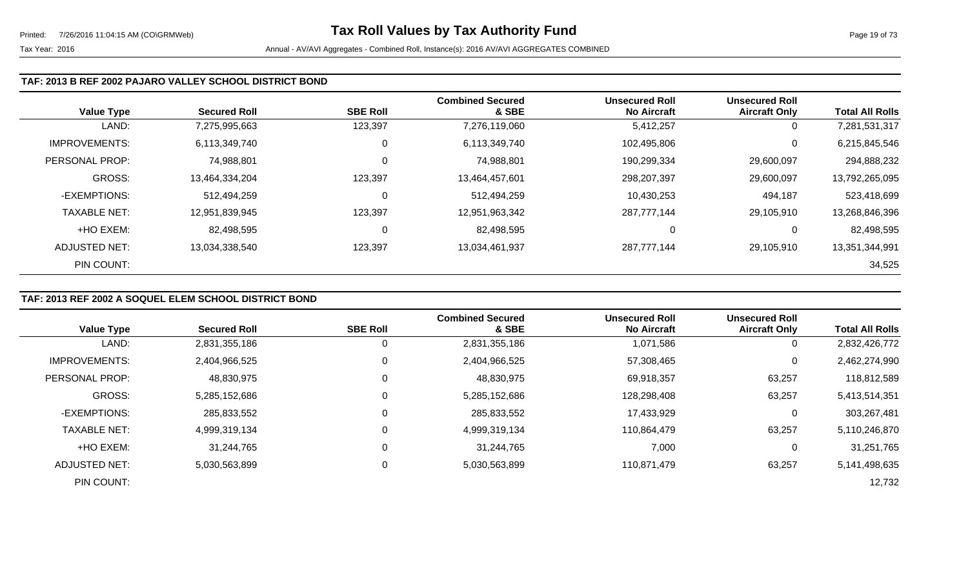#### **TAF: 2013 B REF 2002 PAJARO VALLEY SCHOOL DISTRICT BOND**

| <b>Value Type</b>    | <b>Secured Roll</b> | <b>SBE Roll</b> | <b>Combined Secured</b><br>& SBE | <b>Unsecured Roll</b><br><b>No Aircraft</b> | <b>Unsecured Roll</b><br><b>Aircraft Only</b> | <b>Total All Rolls</b> |
|----------------------|---------------------|-----------------|----------------------------------|---------------------------------------------|-----------------------------------------------|------------------------|
| LAND:                | 7,275,995,663       | 123,397         | 7,276,119,060                    | 5,412,257                                   | 0                                             | 7,281,531,317          |
| <b>IMPROVEMENTS:</b> | 6,113,349,740       | 0               | 6,113,349,740                    | 102,495,806                                 | $\overline{0}$                                | 6,215,845,546          |
| PERSONAL PROP:       | 74,988,801          | 0               | 74,988,801                       | 190,299,334                                 | 29,600,097                                    | 294,888,232            |
| GROSS:               | 13,464,334,204      | 123,397         | 13,464,457,601                   | 298,207,397                                 | 29,600,097                                    | 13,792,265,095         |
| -EXEMPTIONS:         | 512,494,259         | 0               | 512,494,259                      | 10,430,253                                  | 494,187                                       | 523,418,699            |
| <b>TAXABLE NET:</b>  | 12,951,839,945      | 123,397         | 12,951,963,342                   | 287,777,144                                 | 29,105,910                                    | 13,268,846,396         |
| +HO EXEM:            | 82,498,595          | 0               | 82,498,595                       |                                             | 0                                             | 82,498,595             |
| ADJUSTED NET:        | 13,034,338,540      | 123,397         | 13,034,461,937                   | 287,777,144                                 | 29,105,910                                    | 13,351,344,991         |
| PIN COUNT:           |                     |                 |                                  |                                             |                                               | 34,525                 |

### **TAF: 2013 REF 2002 A SOQUEL ELEM SCHOOL DISTRICT BOND**

|                      |                     |                 | <b>Combined Secured</b> | <b>Unsecured Roll</b> | <b>Unsecured Roll</b> |                        |
|----------------------|---------------------|-----------------|-------------------------|-----------------------|-----------------------|------------------------|
| <b>Value Type</b>    | <b>Secured Roll</b> | <b>SBE Roll</b> | & SBE                   | <b>No Aircraft</b>    | <b>Aircraft Only</b>  | <b>Total All Rolls</b> |
| LAND:                | 2,831,355,186       | 0               | 2,831,355,186           | 1,071,586             | 0                     | 2,832,426,772          |
| <b>IMPROVEMENTS:</b> | 2,404,966,525       | 0               | 2,404,966,525           | 57,308,465            | 0                     | 2,462,274,990          |
| PERSONAL PROP:       | 48,830,975          | 0               | 48,830,975              | 69,918,357            | 63,257                | 118,812,589            |
| <b>GROSS:</b>        | 5,285,152,686       | 0               | 5,285,152,686           | 128,298,408           | 63,257                | 5,413,514,351          |
| -EXEMPTIONS:         | 285,833,552         | 0               | 285,833,552             | 17,433,929            | 0                     | 303,267,481            |
| <b>TAXABLE NET:</b>  | 4,999,319,134       | $\Omega$        | 4,999,319,134           | 110,864,479           | 63,257                | 5,110,246,870          |
| +HO EXEM:            | 31,244,765          | 0               | 31,244,765              | 7,000                 | 0                     | 31,251,765             |
| ADJUSTED NET:        | 5,030,563,899       | 0               | 5,030,563,899           | 110.871.479           | 63,257                | 5,141,498,635          |
| PIN COUNT:           |                     |                 |                         |                       |                       | 12,732                 |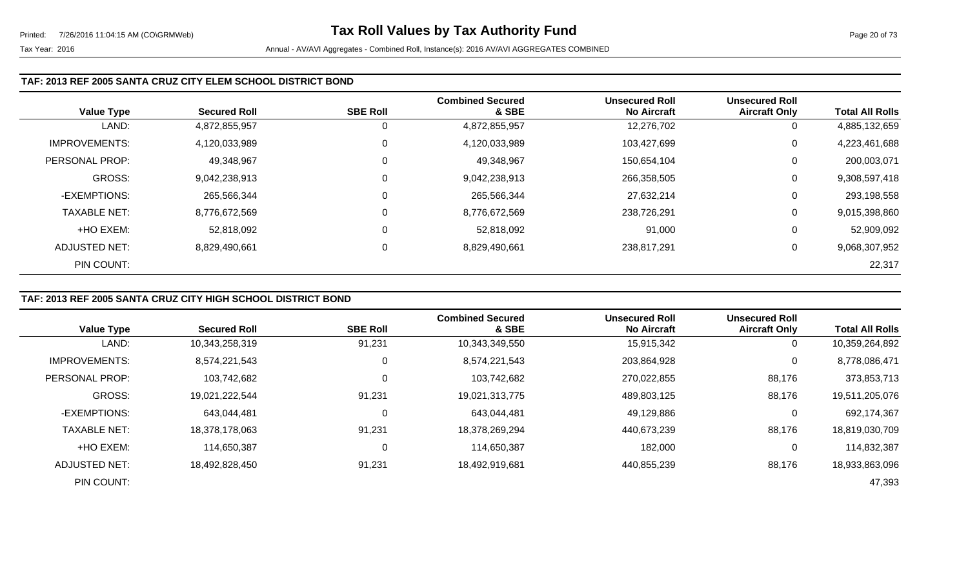### **TAF: 2013 REF 2005 SANTA CRUZ CITY ELEM SCHOOL DISTRICT BOND**

| <b>Value Type</b>    | <b>Secured Roll</b> | <b>SBE Roll</b> | <b>Combined Secured</b><br>& SBE | <b>Unsecured Roll</b><br><b>No Aircraft</b> | <b>Unsecured Roll</b><br><b>Aircraft Only</b> | <b>Total All Rolls</b> |
|----------------------|---------------------|-----------------|----------------------------------|---------------------------------------------|-----------------------------------------------|------------------------|
| LAND:                | 4,872,855,957       |                 | 4,872,855,957                    | 12,276,702                                  | 0                                             | 4,885,132,659          |
| <b>IMPROVEMENTS:</b> | 4,120,033,989       | 0               | 4,120,033,989                    | 103,427,699                                 | 0                                             | 4,223,461,688          |
| PERSONAL PROP:       | 49,348,967          | 0               | 49,348,967                       | 150,654,104                                 | 0                                             | 200,003,071            |
| <b>GROSS:</b>        | 9,042,238,913       |                 | 9,042,238,913                    | 266,358,505                                 | 0                                             | 9,308,597,418          |
| -EXEMPTIONS:         | 265,566,344         | 0               | 265,566,344                      | 27,632,214                                  | 0                                             | 293,198,558            |
| <b>TAXABLE NET:</b>  | 8,776,672,569       |                 | 8,776,672,569                    | 238,726,291                                 | 0                                             | 9,015,398,860          |
| +HO EXEM:            | 52,818,092          |                 | 52,818,092                       | 91,000                                      | 0                                             | 52,909,092             |
| ADJUSTED NET:        | 8,829,490,661       | 0               | 8,829,490,661                    | 238,817,291                                 | 0                                             | 9,068,307,952          |
| PIN COUNT:           |                     |                 |                                  |                                             |                                               | 22,317                 |

## **TAF: 2013 REF 2005 SANTA CRUZ CITY HIGH SCHOOL DISTRICT BOND**

|                      |                     |                 | <b>Combined Secured</b> | <b>Unsecured Roll</b> | <b>Unsecured Roll</b> |                        |
|----------------------|---------------------|-----------------|-------------------------|-----------------------|-----------------------|------------------------|
| <b>Value Type</b>    | <b>Secured Roll</b> | <b>SBE Roll</b> | & SBE                   | <b>No Aircraft</b>    | <b>Aircraft Only</b>  | <b>Total All Rolls</b> |
| LAND:                | 10,343,258,319      | 91,231          | 10,343,349,550          | 15,915,342            | 0                     | 10,359,264,892         |
| <b>IMPROVEMENTS:</b> | 8,574,221,543       | 0               | 8,574,221,543           | 203,864,928           | 0                     | 8,778,086,471          |
| PERSONAL PROP:       | 103,742,682         | 0               | 103,742,682             | 270,022,855           | 88,176                | 373,853,713            |
| <b>GROSS:</b>        | 19,021,222,544      | 91,231          | 19,021,313,775          | 489,803,125           | 88,176                | 19,511,205,076         |
| -EXEMPTIONS:         | 643,044,481         | $\Omega$        | 643,044,481             | 49,129,886            | 0                     | 692,174,367            |
| <b>TAXABLE NET:</b>  | 18,378,178,063      | 91,231          | 18,378,269,294          | 440,673,239           | 88,176                | 18,819,030,709         |
| +HO EXEM:            | 114,650,387         | 0               | 114,650,387             | 182,000               | 0                     | 114,832,387            |
| ADJUSTED NET:        | 18,492,828,450      | 91,231          | 18,492,919,681          | 440,855,239           | 88,176                | 18,933,863,096         |
| PIN COUNT:           |                     |                 |                         |                       |                       | 47,393                 |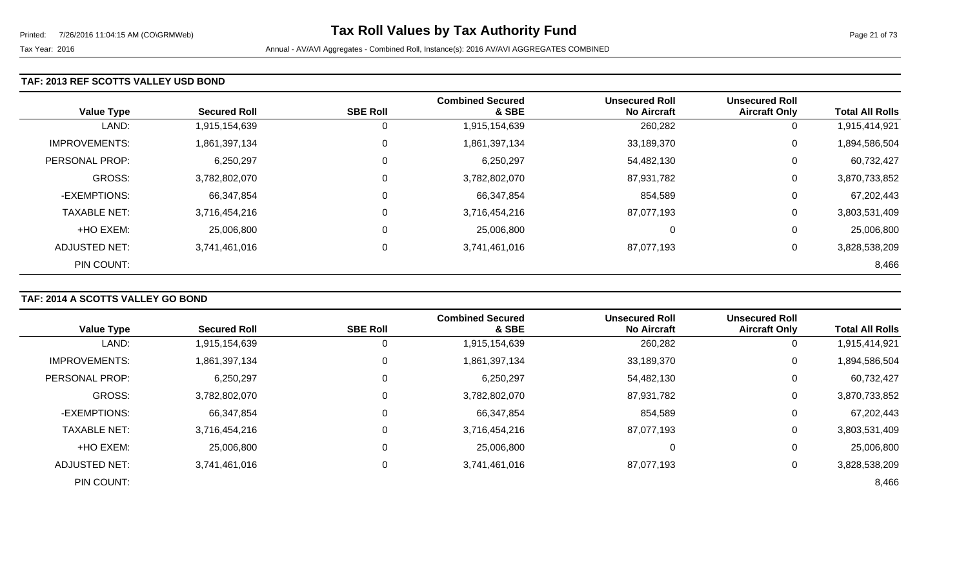### **TAF: 2013 REF SCOTTS VALLEY USD BOND**

| <b>Value Type</b>    | <b>Secured Roll</b> | <b>SBE Roll</b> | <b>Combined Secured</b><br>& SBE | <b>Unsecured Roll</b><br><b>No Aircraft</b> | <b>Unsecured Roll</b><br><b>Aircraft Only</b> | <b>Total All Rolls</b> |
|----------------------|---------------------|-----------------|----------------------------------|---------------------------------------------|-----------------------------------------------|------------------------|
| LAND:                | 1,915,154,639       | $\overline{0}$  | 1,915,154,639                    | 260,282                                     | 0                                             | 1,915,414,921          |
| <b>IMPROVEMENTS:</b> | 1,861,397,134       | $\overline{0}$  | 1,861,397,134                    | 33,189,370                                  | 0                                             | 1,894,586,504          |
| PERSONAL PROP:       | 6,250,297           | $\mathbf 0$     | 6,250,297                        | 54,482,130                                  | 0                                             | 60,732,427             |
| <b>GROSS:</b>        | 3,782,802,070       | $\overline{0}$  | 3,782,802,070                    | 87,931,782                                  | 0                                             | 3,870,733,852          |
| -EXEMPTIONS:         | 66,347,854          | $\mathbf 0$     | 66,347,854                       | 854,589                                     | 0                                             | 67,202,443             |
| <b>TAXABLE NET:</b>  | 3,716,454,216       | $\overline{0}$  | 3,716,454,216                    | 87,077,193                                  | 0                                             | 3,803,531,409          |
| +HO EXEM:            | 25,006,800          | $\mathbf 0$     | 25,006,800                       | 0                                           | 0                                             | 25,006,800             |
| ADJUSTED NET:        | 3,741,461,016       | $\overline{0}$  | 3,741,461,016                    | 87,077,193                                  | 0                                             | 3,828,538,209          |
| PIN COUNT:           |                     |                 |                                  |                                             |                                               | 8,466                  |

# **TAF: 2014 A SCOTTS VALLEY GO BOND**

|                       |                     | <b>SBE Roll</b> | <b>Combined Secured</b><br>& SBE | <b>Unsecured Roll</b><br><b>No Aircraft</b> | <b>Unsecured Roll</b> | <b>Total All Rolls</b> |
|-----------------------|---------------------|-----------------|----------------------------------|---------------------------------------------|-----------------------|------------------------|
| <b>Value Type</b>     | <b>Secured Roll</b> |                 |                                  |                                             | <b>Aircraft Only</b>  |                        |
| LAND:                 | 1,915,154,639       | O               | 1,915,154,639                    | 260,282                                     | 0                     | 1,915,414,921          |
| <b>IMPROVEMENTS:</b>  | 1,861,397,134       | 0               | 1,861,397,134                    | 33,189,370                                  | $\mathbf 0$           | 1,894,586,504          |
| <b>PERSONAL PROP:</b> | 6,250,297           | 0               | 6,250,297                        | 54,482,130                                  | 0                     | 60,732,427             |
| <b>GROSS:</b>         | 3,782,802,070       | 0               | 3,782,802,070                    | 87,931,782                                  | 0                     | 3,870,733,852          |
| -EXEMPTIONS:          | 66,347,854          | 0               | 66,347,854                       | 854,589                                     | 0                     | 67,202,443             |
| <b>TAXABLE NET:</b>   | 3,716,454,216       | $\mathbf 0$     | 3,716,454,216                    | 87,077,193                                  | 0                     | 3,803,531,409          |
| +HO EXEM:             | 25,006,800          | $\Omega$        | 25,006,800                       | 0                                           | 0                     | 25,006,800             |
| ADJUSTED NET:         | 3,741,461,016       | 0               | 3,741,461,016                    | 87,077,193                                  | 0                     | 3,828,538,209          |
| PIN COUNT:            |                     |                 |                                  |                                             |                       | 8,466                  |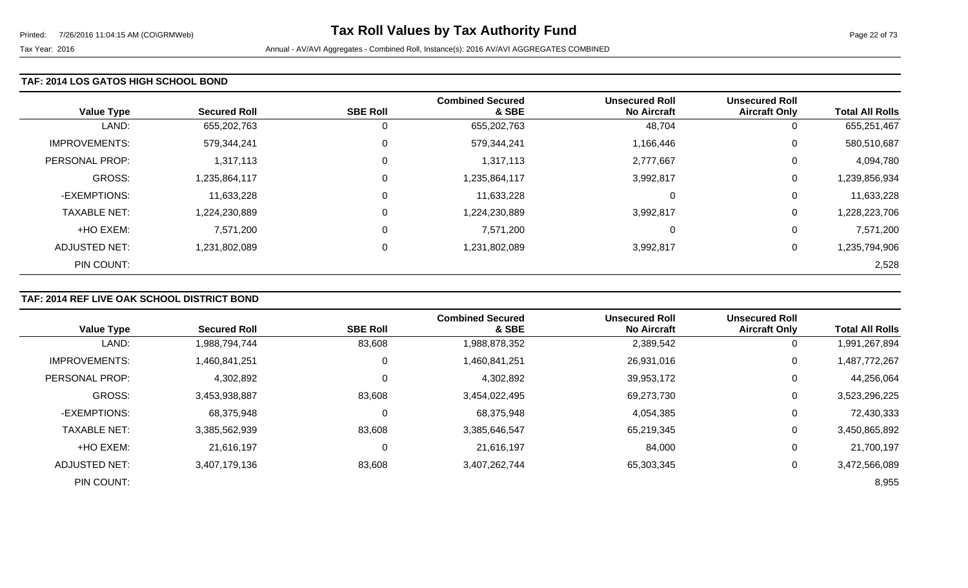#### **TAF: 2014 LOS GATOS HIGH SCHOOL BOND**

| <b>Value Type</b>    | <b>Secured Roll</b> | <b>SBE Roll</b> | <b>Combined Secured</b><br>& SBE | <b>Unsecured Roll</b><br><b>No Aircraft</b> | <b>Unsecured Roll</b><br><b>Aircraft Only</b> | <b>Total All Rolls</b> |
|----------------------|---------------------|-----------------|----------------------------------|---------------------------------------------|-----------------------------------------------|------------------------|
| LAND:                | 655,202,763         | 0               | 655,202,763                      | 48,704                                      | 0                                             | 655,251,467            |
| <b>IMPROVEMENTS:</b> | 579,344,241         | $\mathbf 0$     | 579,344,241                      | 1,166,446                                   | 0                                             | 580,510,687            |
| PERSONAL PROP:       | 1,317,113           | $\overline{0}$  | 1,317,113                        | 2,777,667                                   | 0                                             | 4,094,780              |
| <b>GROSS:</b>        | 1,235,864,117       | $\overline{0}$  | 1,235,864,117                    | 3,992,817                                   | 0                                             | 1,239,856,934          |
| -EXEMPTIONS:         | 11,633,228          | $\overline{0}$  | 11,633,228                       | 0                                           | 0                                             | 11,633,228             |
| <b>TAXABLE NET:</b>  | 1,224,230,889       | $\overline{0}$  | 1,224,230,889                    | 3,992,817                                   | 0                                             | 1,228,223,706          |
| +HO EXEM:            | 7,571,200           | $\overline{0}$  | 7,571,200                        | 0                                           | 0                                             | 7,571,200              |
| ADJUSTED NET:        | 1,231,802,089       | $\overline{0}$  | 1,231,802,089                    | 3,992,817                                   | 0                                             | 1,235,794,906          |
| PIN COUNT:           |                     |                 |                                  |                                             |                                               | 2,528                  |

# **TAF: 2014 REF LIVE OAK SCHOOL DISTRICT BOND**

|                      |                     |                 | <b>Combined Secured</b> | <b>Unsecured Roll</b> | <b>Unsecured Roll</b> |                        |
|----------------------|---------------------|-----------------|-------------------------|-----------------------|-----------------------|------------------------|
| <b>Value Type</b>    | <b>Secured Roll</b> | <b>SBE Roll</b> | & SBE                   | <b>No Aircraft</b>    | <b>Aircraft Only</b>  | <b>Total All Rolls</b> |
| LAND:                | 1,988,794,744       | 83,608          | 1,988,878,352           | 2,389,542             | 0                     | 1,991,267,894          |
| <b>IMPROVEMENTS:</b> | 1,460,841,251       | 0               | 1,460,841,251           | 26,931,016            | 0                     | 1,487,772,267          |
| PERSONAL PROP:       | 4,302,892           | 0               | 4,302,892               | 39,953,172            | 0                     | 44,256,064             |
| <b>GROSS:</b>        | 3,453,938,887       | 83,608          | 3,454,022,495           | 69,273,730            | 0                     | 3,523,296,225          |
| -EXEMPTIONS:         | 68,375,948          | $\mathbf 0$     | 68,375,948              | 4,054,385             | 0                     | 72,430,333             |
| <b>TAXABLE NET:</b>  | 3,385,562,939       | 83,608          | 3,385,646,547           | 65,219,345            | 0                     | 3,450,865,892          |
| +HO EXEM:            | 21,616,197          | $\mathbf 0$     | 21,616,197              | 84,000                | 0                     | 21,700,197             |
| <b>ADJUSTED NET:</b> | 3,407,179,136       | 83,608          | 3,407,262,744           | 65,303,345            | 0                     | 3,472,566,089          |
| PIN COUNT:           |                     |                 |                         |                       |                       | 8,955                  |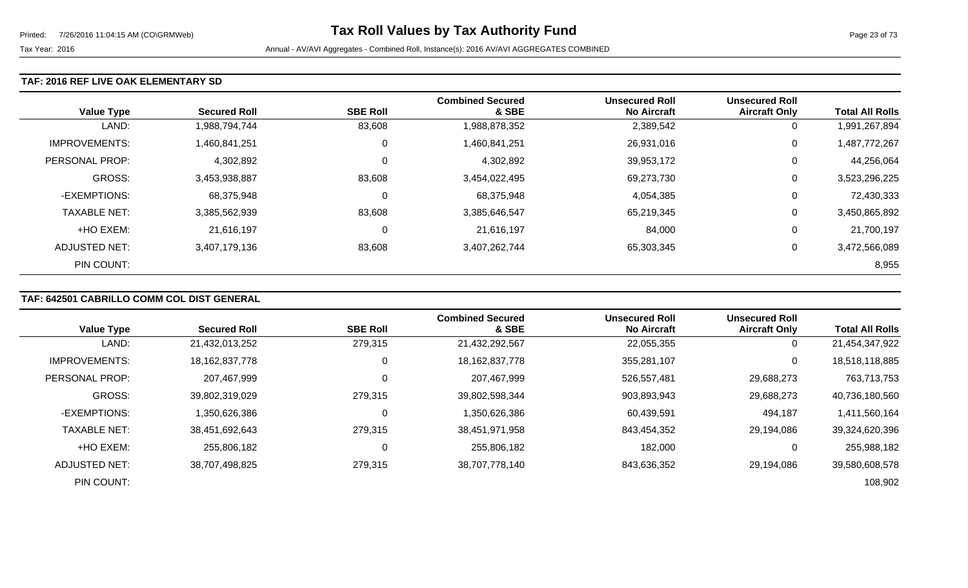### **TAF: 2016 REF LIVE OAK ELEMENTARY SD**

| <b>Value Type</b>    | <b>Secured Roll</b> | <b>SBE Roll</b> | <b>Combined Secured</b><br>& SBE | <b>Unsecured Roll</b><br><b>No Aircraft</b> | <b>Unsecured Roll</b><br><b>Aircraft Only</b> | <b>Total All Rolls</b> |
|----------------------|---------------------|-----------------|----------------------------------|---------------------------------------------|-----------------------------------------------|------------------------|
| LAND:                | 1,988,794,744       | 83,608          | 1,988,878,352                    | 2,389,542                                   | 0                                             | 1,991,267,894          |
| <b>IMPROVEMENTS:</b> | 1,460,841,251       | 0               | 1,460,841,251                    | 26,931,016                                  | 0                                             | 1,487,772,267          |
| PERSONAL PROP:       | 4,302,892           | 0               | 4,302,892                        | 39,953,172                                  | 0                                             | 44,256,064             |
| <b>GROSS:</b>        | 3,453,938,887       | 83,608          | 3,454,022,495                    | 69,273,730                                  | 0                                             | 3,523,296,225          |
| -EXEMPTIONS:         | 68,375,948          | 0               | 68,375,948                       | 4,054,385                                   | 0                                             | 72,430,333             |
| <b>TAXABLE NET:</b>  | 3,385,562,939       | 83,608          | 3,385,646,547                    | 65,219,345                                  | 0                                             | 3,450,865,892          |
| +HO EXEM:            | 21,616,197          | 0               | 21,616,197                       | 84,000                                      | 0                                             | 21,700,197             |
| ADJUSTED NET:        | 3,407,179,136       | 83,608          | 3,407,262,744                    | 65,303,345                                  | 0                                             | 3,472,566,089          |
| PIN COUNT:           |                     |                 |                                  |                                             |                                               | 8,955                  |

# **TAF: 642501 CABRILLO COMM COL DIST GENERAL**

|                      |                     |                 | <b>Combined Secured</b> | <b>Unsecured Roll</b> | <b>Unsecured Roll</b> |                        |
|----------------------|---------------------|-----------------|-------------------------|-----------------------|-----------------------|------------------------|
| <b>Value Type</b>    | <b>Secured Roll</b> | <b>SBE Roll</b> | & SBE                   | <b>No Aircraft</b>    | <b>Aircraft Only</b>  | <b>Total All Rolls</b> |
| LAND:                | 21,432,013,252      | 279,315         | 21,432,292,567          | 22,055,355            |                       | 21,454,347,922         |
| <b>IMPROVEMENTS:</b> | 18, 162, 837, 778   | 0               | 18, 162, 837, 778       | 355,281,107           | 0                     | 18,518,118,885         |
| PERSONAL PROP:       | 207,467,999         | 0               | 207,467,999             | 526,557,481           | 29,688,273            | 763,713,753            |
| <b>GROSS:</b>        | 39,802,319,029      | 279,315         | 39,802,598,344          | 903,893,943           | 29,688,273            | 40,736,180,560         |
| -EXEMPTIONS:         | 1,350,626,386       | $\Omega$        | 1,350,626,386           | 60,439,591            | 494,187               | 1,411,560,164          |
| <b>TAXABLE NET:</b>  | 38,451,692,643      | 279,315         | 38,451,971,958          | 843,454,352           | 29,194,086            | 39,324,620,396         |
| +HO EXEM:            | 255,806,182         | 0               | 255,806,182             | 182,000               |                       | 255,988,182            |
| ADJUSTED NET:        | 38,707,498,825      | 279,315         | 38,707,778,140          | 843,636,352           | 29,194,086            | 39,580,608,578         |
| PIN COUNT:           |                     |                 |                         |                       |                       | 108,902                |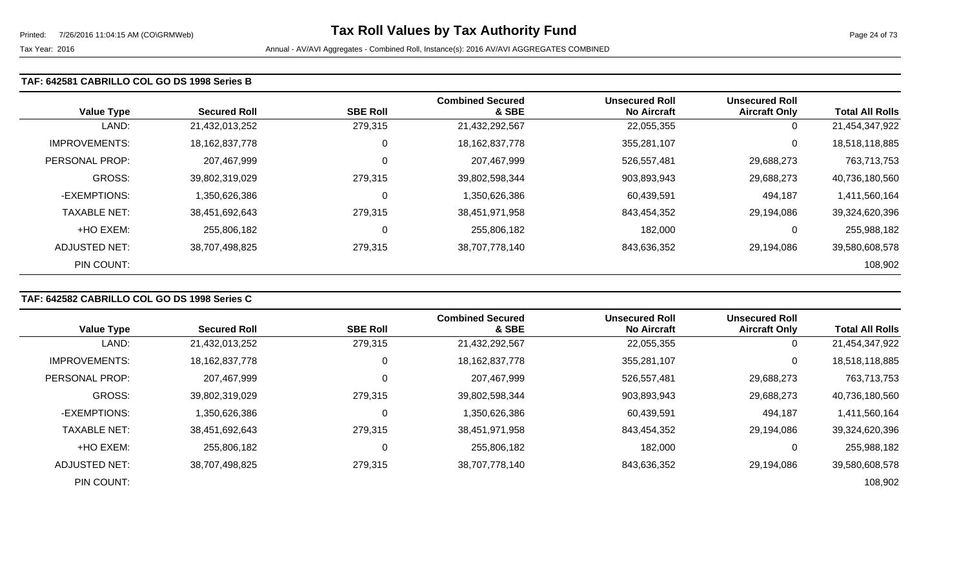#### **TAF: 642581 CABRILLO COL GO DS 1998 Series B**

| <b>Value Type</b>    | <b>Secured Roll</b> | <b>SBE Roll</b> | <b>Combined Secured</b><br>& SBE | <b>Unsecured Roll</b><br><b>No Aircraft</b> | <b>Unsecured Roll</b><br><b>Aircraft Only</b> | <b>Total All Rolls</b> |
|----------------------|---------------------|-----------------|----------------------------------|---------------------------------------------|-----------------------------------------------|------------------------|
| LAND:                | 21,432,013,252      | 279,315         | 21,432,292,567                   | 22,055,355                                  | 0                                             | 21,454,347,922         |
| <b>IMPROVEMENTS:</b> | 18,162,837,778      | 0               | 18, 162, 837, 778                | 355,281,107                                 | 0                                             | 18,518,118,885         |
| PERSONAL PROP:       | 207,467,999         | $\mathbf 0$     | 207,467,999                      | 526,557,481                                 | 29,688,273                                    | 763,713,753            |
| <b>GROSS:</b>        | 39,802,319,029      | 279,315         | 39,802,598,344                   | 903,893,943                                 | 29,688,273                                    | 40,736,180,560         |
| -EXEMPTIONS:         | 350,626,386         | 0               | 1,350,626,386                    | 60,439,591                                  | 494,187                                       | 1,411,560,164          |
| <b>TAXABLE NET:</b>  | 38,451,692,643      | 279,315         | 38,451,971,958                   | 843,454,352                                 | 29,194,086                                    | 39,324,620,396         |
| +HO EXEM:            | 255,806,182         | 0               | 255,806,182                      | 182,000                                     | 0                                             | 255,988,182            |
| ADJUSTED NET:        | 38,707,498,825      | 279,315         | 38,707,778,140                   | 843,636,352                                 | 29,194,086                                    | 39,580,608,578         |
| PIN COUNT:           |                     |                 |                                  |                                             |                                               | 108,902                |

# **TAF: 642582 CABRILLO COL GO DS 1998 Series C**

|                      |                     |                 | <b>Combined Secured</b> | <b>Unsecured Roll</b> | <b>Unsecured Roll</b> |                        |
|----------------------|---------------------|-----------------|-------------------------|-----------------------|-----------------------|------------------------|
| <b>Value Type</b>    | <b>Secured Roll</b> | <b>SBE Roll</b> | & SBE                   | <b>No Aircraft</b>    | <b>Aircraft Only</b>  | <b>Total All Rolls</b> |
| LAND:                | 21,432,013,252      | 279,315         | 21,432,292,567          | 22,055,355            | 0                     | 21,454,347,922         |
| <b>IMPROVEMENTS:</b> | 18,162,837,778      | 0               | 18, 162, 837, 778       | 355,281,107           | 0                     | 18,518,118,885         |
| PERSONAL PROP:       | 207,467,999         | 0               | 207,467,999             | 526,557,481           | 29,688,273            | 763,713,753            |
| <b>GROSS:</b>        | 39,802,319,029      | 279,315         | 39,802,598,344          | 903,893,943           | 29,688,273            | 40,736,180,560         |
| -EXEMPTIONS:         | 1,350,626,386       | 0               | 1,350,626,386           | 60,439,591            | 494,187               | 1,411,560,164          |
| <b>TAXABLE NET:</b>  | 38,451,692,643      | 279,315         | 38,451,971,958          | 843,454,352           | 29,194,086            | 39,324,620,396         |
| +HO EXEM:            | 255,806,182         | 0               | 255,806,182             | 182,000               | 0                     | 255,988,182            |
| ADJUSTED NET:        | 38,707,498,825      | 279,315         | 38,707,778,140          | 843,636,352           | 29.194.086            | 39,580,608,578         |
| PIN COUNT:           |                     |                 |                         |                       |                       | 108,902                |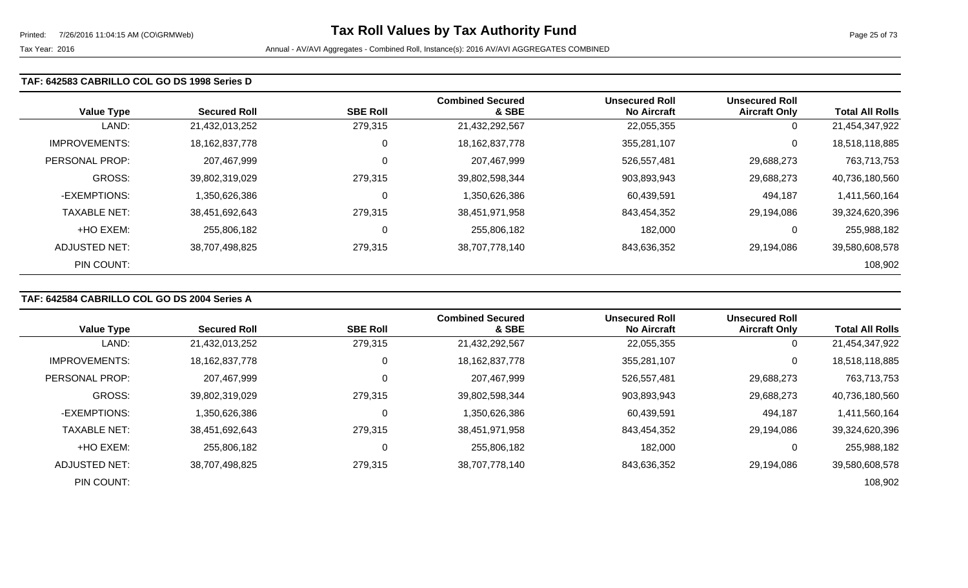#### **TAF: 642583 CABRILLO COL GO DS 1998 Series D**

| <b>Value Type</b>    | <b>Secured Roll</b> | <b>SBE Roll</b> | <b>Combined Secured</b><br>& SBE | <b>Unsecured Roll</b><br><b>No Aircraft</b> | <b>Unsecured Roll</b><br><b>Aircraft Only</b> | <b>Total All Rolls</b> |
|----------------------|---------------------|-----------------|----------------------------------|---------------------------------------------|-----------------------------------------------|------------------------|
| LAND:                | 21,432,013,252      | 279,315         | 21,432,292,567                   | 22,055,355                                  | 0                                             | 21,454,347,922         |
| <b>IMPROVEMENTS:</b> | 18, 162, 837, 778   | 0               | 18, 162, 837, 778                | 355,281,107                                 | 0                                             | 18,518,118,885         |
| PERSONAL PROP:       | 207,467,999         | $\Omega$        | 207,467,999                      | 526,557,481                                 | 29,688,273                                    | 763,713,753            |
| <b>GROSS:</b>        | 39,802,319,029      | 279,315         | 39,802,598,344                   | 903,893,943                                 | 29,688,273                                    | 40,736,180,560         |
| -EXEMPTIONS:         | 350,626,386         | $\Omega$        | 1,350,626,386                    | 60,439,591                                  | 494,187                                       | 1,411,560,164          |
| <b>TAXABLE NET:</b>  | 38,451,692,643      | 279,315         | 38,451,971,958                   | 843,454,352                                 | 29,194,086                                    | 39,324,620,396         |
| +HO EXEM:            | 255,806,182         | 0               | 255,806,182                      | 182,000                                     | 0                                             | 255,988,182            |
| ADJUSTED NET:        | 38,707,498,825      | 279,315         | 38,707,778,140                   | 843,636,352                                 | 29,194,086                                    | 39,580,608,578         |
| PIN COUNT:           |                     |                 |                                  |                                             |                                               | 108,902                |

# **TAF: 642584 CABRILLO COL GO DS 2004 Series A**

|                      |                     |                 | <b>Combined Secured</b> | <b>Unsecured Roll</b> | <b>Unsecured Roll</b> |                        |
|----------------------|---------------------|-----------------|-------------------------|-----------------------|-----------------------|------------------------|
| <b>Value Type</b>    | <b>Secured Roll</b> | <b>SBE Roll</b> | & SBE                   | <b>No Aircraft</b>    | <b>Aircraft Only</b>  | <b>Total All Rolls</b> |
| LAND:                | 21,432,013,252      | 279,315         | 21,432,292,567          | 22,055,355            | 0                     | 21,454,347,922         |
| <b>IMPROVEMENTS:</b> | 18,162,837,778      | 0               | 18, 162, 837, 778       | 355,281,107           | 0                     | 18,518,118,885         |
| PERSONAL PROP:       | 207,467,999         | 0               | 207,467,999             | 526,557,481           | 29,688,273            | 763,713,753            |
| <b>GROSS:</b>        | 39,802,319,029      | 279,315         | 39,802,598,344          | 903,893,943           | 29,688,273            | 40,736,180,560         |
| -EXEMPTIONS:         | 1,350,626,386       | 0               | 1,350,626,386           | 60,439,591            | 494,187               | 1,411,560,164          |
| <b>TAXABLE NET:</b>  | 38,451,692,643      | 279,315         | 38,451,971,958          | 843,454,352           | 29,194,086            | 39,324,620,396         |
| +HO EXEM:            | 255,806,182         | 0               | 255,806,182             | 182,000               | 0                     | 255,988,182            |
| ADJUSTED NET:        | 38,707,498,825      | 279,315         | 38,707,778,140          | 843,636,352           | 29.194.086            | 39,580,608,578         |
| PIN COUNT:           |                     |                 |                         |                       |                       | 108,902                |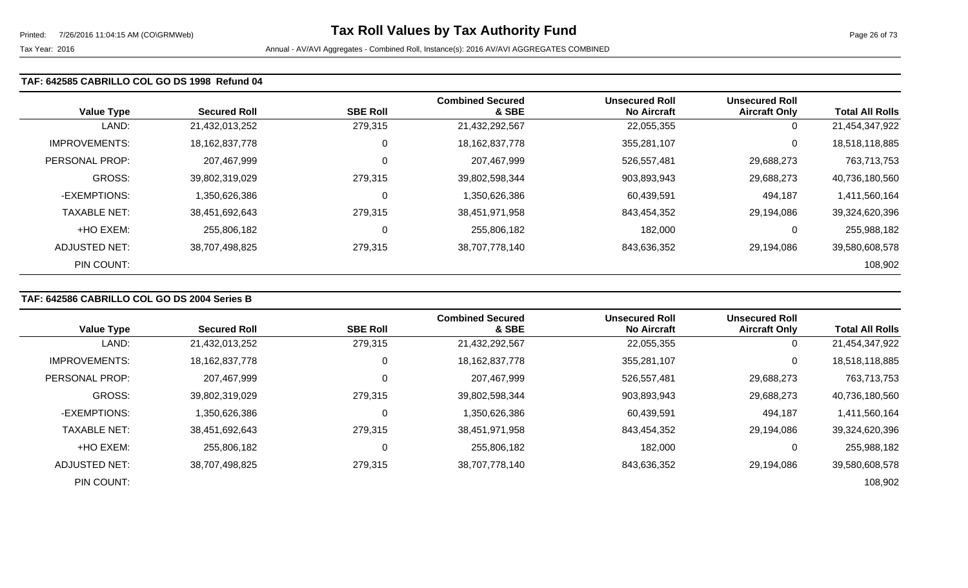#### **TAF: 642585 CABRILLO COL GO DS 1998 Refund 04**

| <b>Value Type</b>    | <b>Secured Roll</b> | <b>SBE Roll</b> | <b>Combined Secured</b><br>& SBE | <b>Unsecured Roll</b><br><b>No Aircraft</b> | <b>Unsecured Roll</b><br><b>Aircraft Only</b> | <b>Total All Rolls</b> |
|----------------------|---------------------|-----------------|----------------------------------|---------------------------------------------|-----------------------------------------------|------------------------|
| LAND:                | 21,432,013,252      | 279,315         | 21,432,292,567                   | 22,055,355                                  | 0                                             | 21,454,347,922         |
| <b>IMPROVEMENTS:</b> | 18, 162, 837, 778   | $\mathbf 0$     | 18, 162, 837, 778                | 355,281,107                                 | 0                                             | 18,518,118,885         |
| PERSONAL PROP:       | 207,467,999         | $\mathbf 0$     | 207,467,999                      | 526,557,481                                 | 29,688,273                                    | 763,713,753            |
| <b>GROSS:</b>        | 39,802,319,029      | 279,315         | 39,802,598,344                   | 903,893,943                                 | 29,688,273                                    | 40,736,180,560         |
| -EXEMPTIONS:         | 1,350,626,386       | 0               | 1,350,626,386                    | 60,439,591                                  | 494,187                                       | 1,411,560,164          |
| <b>TAXABLE NET:</b>  | 38,451,692,643      | 279,315         | 38,451,971,958                   | 843,454,352                                 | 29,194,086                                    | 39,324,620,396         |
| +HO EXEM:            | 255,806,182         | 0               | 255,806,182                      | 182,000                                     | 0                                             | 255,988,182            |
| ADJUSTED NET:        | 38,707,498,825      | 279,315         | 38,707,778,140                   | 843,636,352                                 | 29,194,086                                    | 39,580,608,578         |
| PIN COUNT:           |                     |                 |                                  |                                             |                                               | 108,902                |

### **TAF: 642586 CABRILLO COL GO DS 2004 Series B**

| <b>Value Type</b>    | <b>Secured Roll</b> | <b>SBE Roll</b> | <b>Combined Secured</b><br>& SBE | <b>Unsecured Roll</b><br><b>No Aircraft</b> | <b>Unsecured Roll</b><br><b>Aircraft Only</b> | <b>Total All Rolls</b> |
|----------------------|---------------------|-----------------|----------------------------------|---------------------------------------------|-----------------------------------------------|------------------------|
|                      |                     |                 |                                  |                                             |                                               |                        |
| LAND:                | 21,432,013,252      | 279,315         | 21,432,292,567                   | 22,055,355                                  | 0                                             | 21,454,347,922         |
| <b>IMPROVEMENTS:</b> | 18,162,837,778      | 0               | 18, 162, 837, 778                | 355,281,107                                 | 0                                             | 18,518,118,885         |
| PERSONAL PROP:       | 207,467,999         | 0               | 207,467,999                      | 526,557,481                                 | 29,688,273                                    | 763,713,753            |
| <b>GROSS:</b>        | 39,802,319,029      | 279,315         | 39,802,598,344                   | 903,893,943                                 | 29,688,273                                    | 40,736,180,560         |
| -EXEMPTIONS:         | 1,350,626,386       | 0               | 1,350,626,386                    | 60,439,591                                  | 494,187                                       | 1,411,560,164          |
| <b>TAXABLE NET:</b>  | 38,451,692,643      | 279,315         | 38,451,971,958                   | 843,454,352                                 | 29,194,086                                    | 39,324,620,396         |
| +HO EXEM:            | 255,806,182         | 0               | 255,806,182                      | 182,000                                     | $\mathbf{0}$                                  | 255,988,182            |
| ADJUSTED NET:        | 38,707,498,825      | 279,315         | 38,707,778,140                   | 843,636,352                                 | 29,194,086                                    | 39,580,608,578         |
| PIN COUNT:           |                     |                 |                                  |                                             |                                               | 108,902                |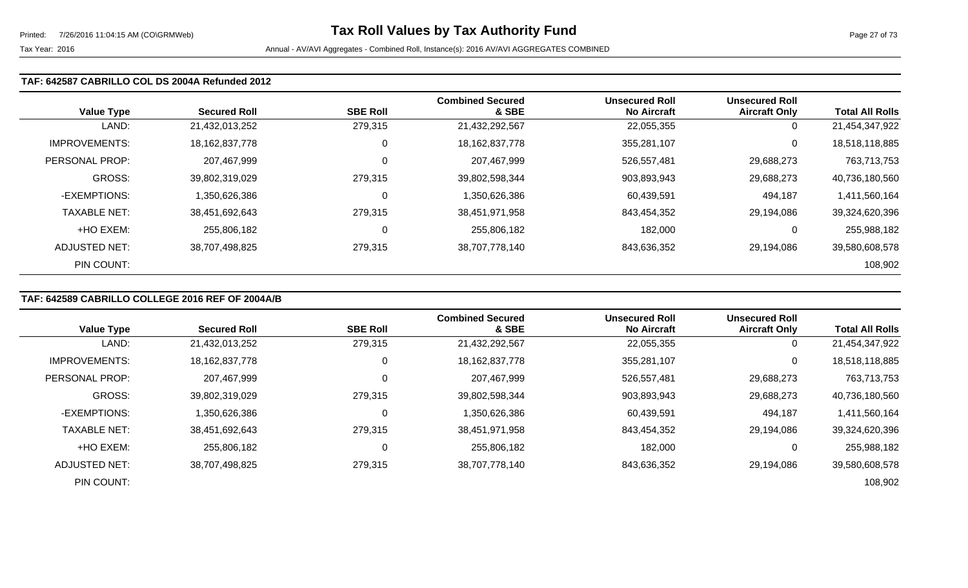#### **TAF: 642587 CABRILLO COL DS 2004A Refunded 2012**

| <b>Value Type</b>    | <b>Secured Roll</b> | <b>SBE Roll</b> | <b>Combined Secured</b><br>& SBE | <b>Unsecured Roll</b><br><b>No Aircraft</b> | <b>Unsecured Roll</b><br><b>Aircraft Only</b> | <b>Total All Rolls</b> |
|----------------------|---------------------|-----------------|----------------------------------|---------------------------------------------|-----------------------------------------------|------------------------|
| LAND:                | 21,432,013,252      | 279,315         | 21,432,292,567                   | 22,055,355                                  | 0                                             | 21,454,347,922         |
| <b>IMPROVEMENTS:</b> | 18, 162, 837, 778   | 0               | 18, 162, 837, 778                | 355,281,107                                 | 0                                             | 18,518,118,885         |
| PERSONAL PROP:       | 207,467,999         |                 | 207,467,999                      | 526,557,481                                 | 29,688,273                                    | 763,713,753            |
| <b>GROSS:</b>        | 39,802,319,029      | 279,315         | 39,802,598,344                   | 903,893,943                                 | 29,688,273                                    | 40,736,180,560         |
| -EXEMPTIONS:         | 1,350,626,386       |                 | 1,350,626,386                    | 60,439,591                                  | 494,187                                       | 1,411,560,164          |
| <b>TAXABLE NET:</b>  | 38,451,692,643      | 279,315         | 38,451,971,958                   | 843,454,352                                 | 29,194,086                                    | 39,324,620,396         |
| +HO EXEM:            | 255,806,182         |                 | 255,806,182                      | 182,000                                     | 0                                             | 255,988,182            |
| ADJUSTED NET:        | 38,707,498,825      | 279,315         | 38,707,778,140                   | 843,636,352                                 | 29,194,086                                    | 39,580,608,578         |
| PIN COUNT:           |                     |                 |                                  |                                             |                                               | 108,902                |

# **TAF: 642589 CABRILLO COLLEGE 2016 REF OF 2004A/B**

|                      |                     |                 | <b>Combined Secured</b> | <b>Unsecured Roll</b> | <b>Unsecured Roll</b> |                        |
|----------------------|---------------------|-----------------|-------------------------|-----------------------|-----------------------|------------------------|
| <b>Value Type</b>    | <b>Secured Roll</b> | <b>SBE Roll</b> | & SBE                   | <b>No Aircraft</b>    | <b>Aircraft Only</b>  | <b>Total All Rolls</b> |
| LAND:                | 21,432,013,252      | 279,315         | 21,432,292,567          | 22,055,355            | 0                     | 21,454,347,922         |
| <b>IMPROVEMENTS:</b> | 18, 162, 837, 778   | 0               | 18, 162, 837, 778       | 355,281,107           | 0                     | 18,518,118,885         |
| PERSONAL PROP:       | 207,467,999         |                 | 207,467,999             | 526,557,481           | 29,688,273            | 763,713,753            |
| GROSS:               | 39,802,319,029      | 279,315         | 39,802,598,344          | 903,893,943           | 29,688,273            | 40,736,180,560         |
| -EXEMPTIONS:         | 1,350,626,386       | 0               | 1,350,626,386           | 60,439,591            | 494,187               | 1,411,560,164          |
| <b>TAXABLE NET:</b>  | 38,451,692,643      | 279,315         | 38,451,971,958          | 843,454,352           | 29,194,086            | 39,324,620,396         |
| +HO EXEM:            | 255,806,182         |                 | 255,806,182             | 182,000               | 0                     | 255,988,182            |
| <b>ADJUSTED NET:</b> | 38,707,498,825      | 279,315         | 38,707,778,140          | 843,636,352           | 29,194,086            | 39,580,608,578         |
| PIN COUNT:           |                     |                 |                         |                       |                       | 108,902                |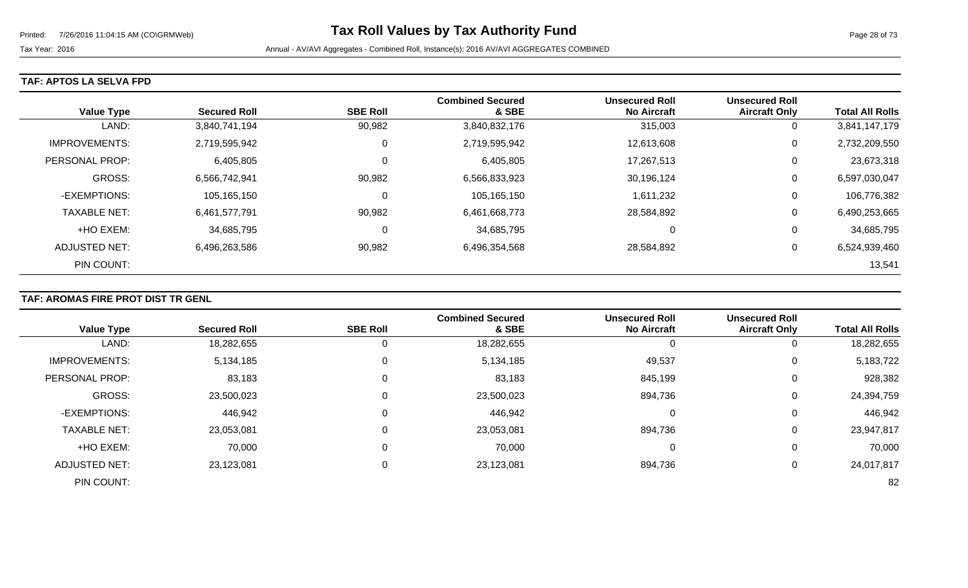### **TAF: APTOS LA SELVA FPD**

| <b>Value Type</b>    | <b>Secured Roll</b> | <b>SBE Roll</b> | <b>Combined Secured</b><br>& SBE | <b>Unsecured Roll</b><br><b>No Aircraft</b> | <b>Unsecured Roll</b><br><b>Aircraft Only</b> | <b>Total All Rolls</b> |
|----------------------|---------------------|-----------------|----------------------------------|---------------------------------------------|-----------------------------------------------|------------------------|
| LAND:                | 3,840,741,194       | 90,982          | 3,840,832,176                    | 315,003                                     | 0                                             | 3,841,147,179          |
| <b>IMPROVEMENTS:</b> | 2,719,595,942       | 0               | 2,719,595,942                    | 12,613,608                                  | 0                                             | 2,732,209,550          |
| PERSONAL PROP:       | 6,405,805           | 0               | 6,405,805                        | 17,267,513                                  | 0                                             | 23,673,318             |
| <b>GROSS:</b>        | 6,566,742,941       | 90,982          | 6,566,833,923                    | 30,196,124                                  | 0                                             | 6,597,030,047          |
| -EXEMPTIONS:         | 105,165,150         | 0               | 105,165,150                      | 1,611,232                                   | 0                                             | 106,776,382            |
| <b>TAXABLE NET:</b>  | 6,461,577,791       | 90,982          | 6,461,668,773                    | 28,584,892                                  | 0                                             | 6,490,253,665          |
| +HO EXEM:            | 34,685,795          | 0               | 34,685,795                       | 0                                           | 0                                             | 34,685,795             |
| ADJUSTED NET:        | 6,496,263,586       | 90,982          | 6,496,354,568                    | 28,584,892                                  | 0                                             | 6,524,939,460          |
| PIN COUNT:           |                     |                 |                                  |                                             |                                               | 13,541                 |

## **TAF: AROMAS FIRE PROT DIST TR GENL**

|                      |                     |                 | <b>Combined Secured</b> | <b>Unsecured Roll</b> | <b>Unsecured Roll</b> |                        |
|----------------------|---------------------|-----------------|-------------------------|-----------------------|-----------------------|------------------------|
| <b>Value Type</b>    | <b>Secured Roll</b> | <b>SBE Roll</b> | & SBE                   | <b>No Aircraft</b>    | <b>Aircraft Only</b>  | <b>Total All Rolls</b> |
| LAND:                | 18,282,655          | 0               | 18,282,655              | 0                     | 0                     | 18,282,655             |
| <b>IMPROVEMENTS:</b> | 5,134,185           | 0               | 5,134,185               | 49,537                | $\overline{0}$        | 5,183,722              |
| PERSONAL PROP:       | 83,183              | 0               | 83,183                  | 845,199               | 0                     | 928,382                |
| <b>GROSS:</b>        | 23,500,023          | 0               | 23,500,023              | 894,736               | 0                     | 24,394,759             |
| -EXEMPTIONS:         | 446,942             | 0               | 446,942                 |                       | 0                     | 446,942                |
| <b>TAXABLE NET:</b>  | 23,053,081          | 0               | 23,053,081              | 894,736               | 0                     | 23,947,817             |
| +HO EXEM:            | 70,000              | $\Omega$        | 70,000                  | 0                     | $\mathbf 0$           | 70,000                 |
| <b>ADJUSTED NET:</b> | 23,123,081          | 0               | 23,123,081              | 894,736               | 0                     | 24,017,817             |
| PIN COUNT:           |                     |                 |                         |                       |                       | 82                     |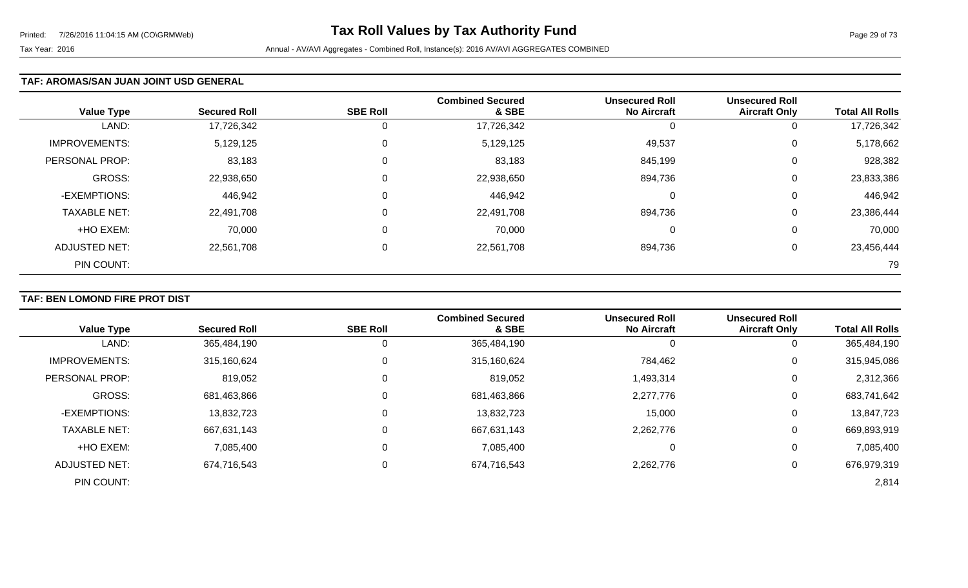### **TAF: AROMAS/SAN JUAN JOINT USD GENERAL**

| <b>Value Type</b>    | <b>Secured Roll</b> | <b>SBE Roll</b> | <b>Combined Secured</b><br>& SBE | <b>Unsecured Roll</b><br><b>No Aircraft</b> | <b>Unsecured Roll</b><br><b>Aircraft Only</b> | <b>Total All Rolls</b> |
|----------------------|---------------------|-----------------|----------------------------------|---------------------------------------------|-----------------------------------------------|------------------------|
| LAND:                | 17,726,342          | 0               | 17,726,342                       | O                                           | 0                                             | 17,726,342             |
| <b>IMPROVEMENTS:</b> | 5,129,125           | 0               | 5,129,125                        | 49,537                                      | 0                                             | 5,178,662              |
| PERSONAL PROP:       | 83,183              | 0               | 83,183                           | 845,199                                     | 0                                             | 928,382                |
| <b>GROSS:</b>        | 22,938,650          | 0               | 22,938,650                       | 894,736                                     | 0                                             | 23,833,386             |
| -EXEMPTIONS:         | 446,942             | 0               | 446,942                          | 0                                           | 0                                             | 446,942                |
| <b>TAXABLE NET:</b>  | 22,491,708          | $\mathbf 0$     | 22,491,708                       | 894,736                                     | 0                                             | 23,386,444             |
| +HO EXEM:            | 70,000              | $\mathbf 0$     | 70,000                           | 0                                           | 0                                             | 70,000                 |
| <b>ADJUSTED NET:</b> | 22,561,708          | 0               | 22,561,708                       | 894,736                                     | 0                                             | 23,456,444             |
| PIN COUNT:           |                     |                 |                                  |                                             |                                               | 79                     |

# **TAF: BEN LOMOND FIRE PROT DIST**

|                       |                     |                 | <b>Combined Secured</b> | <b>Unsecured Roll</b> | <b>Unsecured Roll</b> |                        |
|-----------------------|---------------------|-----------------|-------------------------|-----------------------|-----------------------|------------------------|
| <b>Value Type</b>     | <b>Secured Roll</b> | <b>SBE Roll</b> | & SBE                   | <b>No Aircraft</b>    | <b>Aircraft Only</b>  | <b>Total All Rolls</b> |
| LAND:                 | 365,484,190         |                 | 365,484,190             | 0                     | 0                     | 365,484,190            |
| <b>IMPROVEMENTS:</b>  | 315,160,624         |                 | 315,160,624             | 784,462               | 0                     | 315,945,086            |
| <b>PERSONAL PROP:</b> | 819,052             |                 | 819,052                 | 1,493,314             | $\overline{0}$        | 2,312,366              |
| <b>GROSS:</b>         | 681,463,866         |                 | 681,463,866             | 2,277,776             | 0                     | 683,741,642            |
| -EXEMPTIONS:          | 13,832,723          |                 | 13,832,723              | 15,000                | 0                     | 13,847,723             |
| <b>TAXABLE NET:</b>   | 667,631,143         |                 | 667,631,143             | 2,262,776             | 0                     | 669,893,919            |
| +HO EXEM:             | 7,085,400           | $\mathbf 0$     | 7,085,400               | 0                     | 0                     | 7,085,400              |
| <b>ADJUSTED NET:</b>  | 674,716,543         |                 | 674,716,543             | 2,262,776             | 0                     | 676,979,319            |
| PIN COUNT:            |                     |                 |                         |                       |                       | 2,814                  |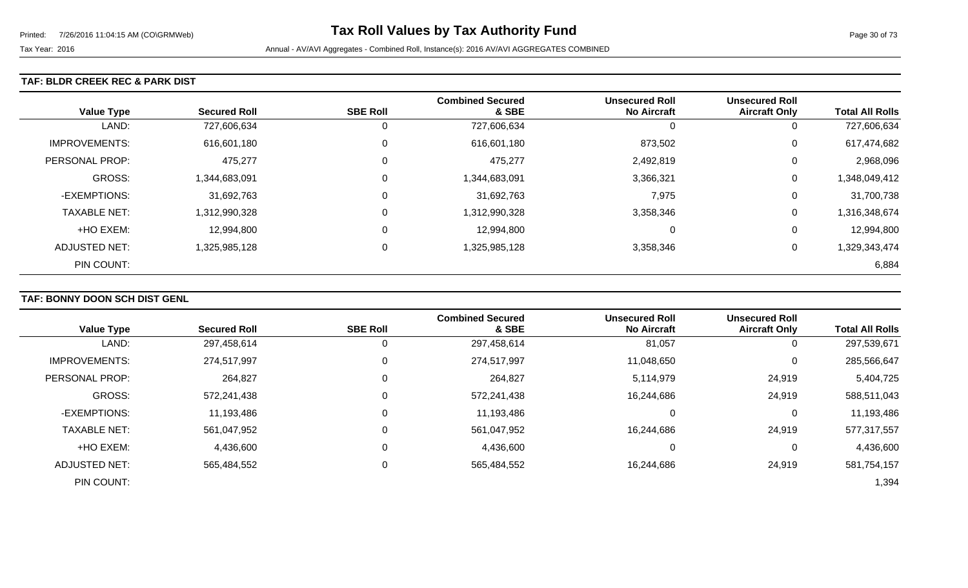### **TAF: BLDR CREEK REC & PARK DIST**

| <b>Value Type</b>    | <b>Secured Roll</b> | <b>SBE Roll</b> | <b>Combined Secured</b><br>& SBE | <b>Unsecured Roll</b><br><b>No Aircraft</b> | <b>Unsecured Roll</b><br><b>Aircraft Only</b> | <b>Total All Rolls</b> |
|----------------------|---------------------|-----------------|----------------------------------|---------------------------------------------|-----------------------------------------------|------------------------|
| LAND:                | 727,606,634         | 0               | 727,606,634                      | O                                           | 0                                             | 727,606,634            |
| IMPROVEMENTS:        | 616,601,180         | $\mathbf 0$     | 616,601,180                      | 873,502                                     | 0                                             | 617,474,682            |
| PERSONAL PROP:       | 475,277             | 0               | 475,277                          | 2,492,819                                   | 0                                             | 2,968,096              |
| <b>GROSS:</b>        | 1,344,683,091       | $\mathbf 0$     | 1,344,683,091                    | 3,366,321                                   | 0                                             | 1,348,049,412          |
| -EXEMPTIONS:         | 31,692,763          | $\mathbf 0$     | 31,692,763                       | 7,975                                       | 0                                             | 31,700,738             |
| <b>TAXABLE NET:</b>  | 1,312,990,328       | $\mathbf 0$     | 1,312,990,328                    | 3,358,346                                   | 0                                             | 1,316,348,674          |
| +HO EXEM:            | 12,994,800          | $\mathbf 0$     | 12,994,800                       | 0                                           | 0                                             | 12,994,800             |
| <b>ADJUSTED NET:</b> | 1,325,985,128       | $\overline{0}$  | 1,325,985,128                    | 3,358,346                                   | 0                                             | 1,329,343,474          |
| PIN COUNT:           |                     |                 |                                  |                                             |                                               | 6,884                  |

# **TAF: BONNY DOON SCH DIST GENL**

|                      |                     |                 | <b>Combined Secured</b> | <b>Unsecured Roll</b> | <b>Unsecured Roll</b> |                        |
|----------------------|---------------------|-----------------|-------------------------|-----------------------|-----------------------|------------------------|
| <b>Value Type</b>    | <b>Secured Roll</b> | <b>SBE Roll</b> | & SBE                   | <b>No Aircraft</b>    | <b>Aircraft Only</b>  | <b>Total All Rolls</b> |
| LAND:                | 297,458,614         | 0               | 297,458,614             | 81,057                | $\overline{0}$        | 297,539,671            |
| <b>IMPROVEMENTS:</b> | 274,517,997         | $\Omega$        | 274,517,997             | 11,048,650            | $\overline{0}$        | 285,566,647            |
| PERSONAL PROP:       | 264,827             | 0               | 264,827                 | 5,114,979             | 24,919                | 5,404,725              |
| <b>GROSS:</b>        | 572,241,438         | $\Omega$        | 572,241,438             | 16,244,686            | 24,919                | 588,511,043            |
| -EXEMPTIONS:         | 11,193,486          | 0               | 11,193,486              |                       | 0                     | 11,193,486             |
| <b>TAXABLE NET:</b>  | 561,047,952         | $\Omega$        | 561,047,952             | 16,244,686            | 24,919                | 577,317,557            |
| +HO EXEM:            | 4,436,600           | $\mathbf 0$     | 4,436,600               |                       | 0                     | 4,436,600              |
| <b>ADJUSTED NET:</b> | 565,484,552         | 0               | 565,484,552             | 16,244,686            | 24,919                | 581,754,157            |
| PIN COUNT:           |                     |                 |                         |                       |                       | 1,394                  |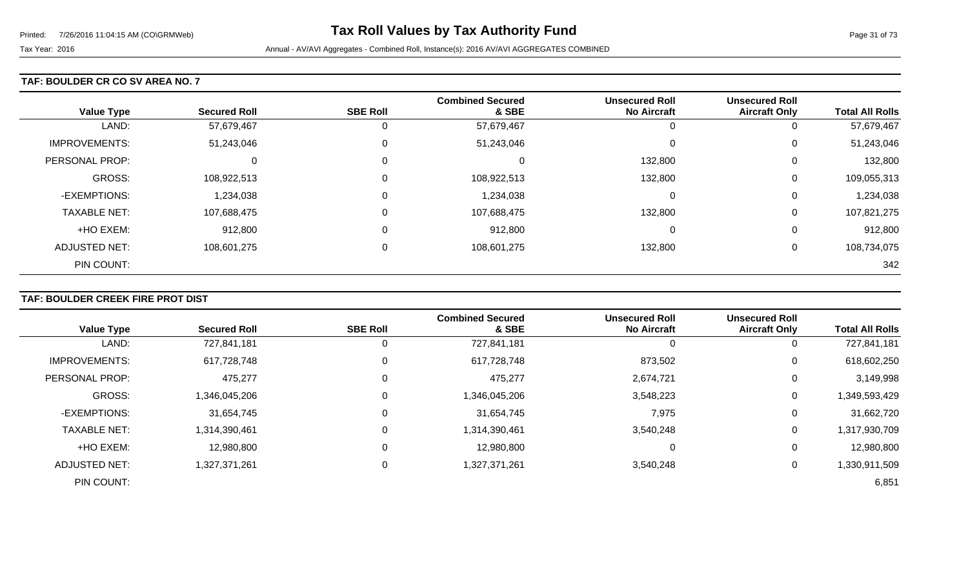### **TAF: BOULDER CR CO SV AREA NO. 7**

| <b>Value Type</b>    | <b>Secured Roll</b> | <b>SBE Roll</b> | <b>Combined Secured</b><br>& SBE | <b>Unsecured Roll</b><br><b>No Aircraft</b> | <b>Unsecured Roll</b><br><b>Aircraft Only</b> | <b>Total All Rolls</b> |
|----------------------|---------------------|-----------------|----------------------------------|---------------------------------------------|-----------------------------------------------|------------------------|
| LAND:                | 57,679,467          | 0               | 57,679,467                       |                                             | 0                                             | 57,679,467             |
| <b>IMPROVEMENTS:</b> | 51,243,046          | $\mathbf 0$     | 51,243,046                       | $\Omega$                                    | 0                                             | 51,243,046             |
| PERSONAL PROP:       | $\Omega$            | 0               | 0                                | 132,800                                     | 0                                             | 132,800                |
| <b>GROSS:</b>        | 108,922,513         | $\mathbf 0$     | 108,922,513                      | 132,800                                     | 0                                             | 109,055,313            |
| -EXEMPTIONS:         | 1,234,038           | 0               | 1,234,038                        | $\Omega$                                    | 0                                             | 1,234,038              |
| <b>TAXABLE NET:</b>  | 107,688,475         | 0               | 107,688,475                      | 132,800                                     | 0                                             | 107,821,275            |
| +HO EXEM:            | 912,800             | 0               | 912,800                          | 0                                           | 0                                             | 912,800                |
| ADJUSTED NET:        | 108,601,275         | 0               | 108,601,275                      | 132,800                                     | 0                                             | 108,734,075            |
| PIN COUNT:           |                     |                 |                                  |                                             |                                               | 342                    |

## **TAF: BOULDER CREEK FIRE PROT DIST**

| <b>Value Type</b>     | <b>Secured Roll</b> | <b>SBE Roll</b> | <b>Combined Secured</b><br>& SBE | <b>Unsecured Roll</b><br><b>No Aircraft</b> | <b>Unsecured Roll</b><br><b>Aircraft Only</b> | <b>Total All Rolls</b> |
|-----------------------|---------------------|-----------------|----------------------------------|---------------------------------------------|-----------------------------------------------|------------------------|
|                       |                     |                 |                                  |                                             |                                               |                        |
| LAND:                 | 727,841,181         | O               | 727,841,181                      |                                             | $\mathbf{0}$                                  | 727,841,181            |
| <b>IMPROVEMENTS:</b>  | 617,728,748         | 0               | 617,728,748                      | 873,502                                     | 0                                             | 618,602,250            |
| <b>PERSONAL PROP:</b> | 475,277             | 0               | 475,277                          | 2,674,721                                   | 0                                             | 3,149,998              |
| <b>GROSS:</b>         | 1,346,045,206       | 0               | 1,346,045,206                    | 3,548,223                                   | 0                                             | 1,349,593,429          |
| -EXEMPTIONS:          | 31,654,745          | 0               | 31,654,745                       | 7,975                                       | 0                                             | 31,662,720             |
| <b>TAXABLE NET:</b>   | 1,314,390,461       | $\mathbf 0$     | 1,314,390,461                    | 3,540,248                                   | 0                                             | 1,317,930,709          |
| +HO EXEM:             | 12,980,800          | $\mathbf 0$     | 12,980,800                       | 0                                           | 0                                             | 12,980,800             |
| ADJUSTED NET:         | 1,327,371,261       | 0               | 1,327,371,261                    | 3,540,248                                   | 0                                             | 1,330,911,509          |
| PIN COUNT:            |                     |                 |                                  |                                             |                                               | 6,851                  |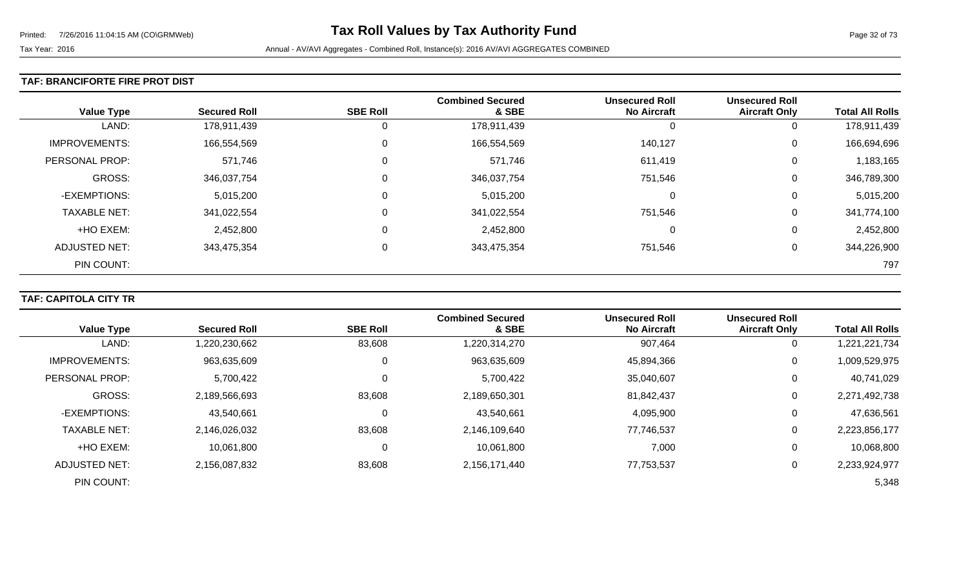### **TAF: BRANCIFORTE FIRE PROT DIST**

| <b>Value Type</b>     | <b>Secured Roll</b> | <b>SBE Roll</b> | <b>Combined Secured</b><br>& SBE | <b>Unsecured Roll</b><br><b>No Aircraft</b> | <b>Unsecured Roll</b><br><b>Aircraft Only</b> | <b>Total All Rolls</b> |
|-----------------------|---------------------|-----------------|----------------------------------|---------------------------------------------|-----------------------------------------------|------------------------|
| LAND:                 | 178,911,439         | 0               | 178,911,439                      | U                                           | 0                                             | 178,911,439            |
| <b>IMPROVEMENTS:</b>  | 166,554,569         | $\mathbf 0$     | 166,554,569                      | 140,127                                     | 0                                             | 166,694,696            |
| <b>PERSONAL PROP:</b> | 571,746             | 0               | 571,746                          | 611,419                                     | 0                                             | 1,183,165              |
| GROSS:                | 346,037,754         | 0               | 346,037,754                      | 751,546                                     | 0                                             | 346,789,300            |
| -EXEMPTIONS:          | 5,015,200           | 0               | 5,015,200                        | 0                                           | 0                                             | 5,015,200              |
| <b>TAXABLE NET:</b>   | 341,022,554         | 0               | 341,022,554                      | 751,546                                     | 0                                             | 341,774,100            |
| +HO EXEM:             | 2,452,800           | $\mathbf 0$     | 2,452,800                        | 0                                           | 0                                             | 2,452,800              |
| ADJUSTED NET:         | 343,475,354         | $\mathbf 0$     | 343,475,354                      | 751,546                                     | 0                                             | 344,226,900            |
| PIN COUNT:            |                     |                 |                                  |                                             |                                               | 797                    |

## **TAF: CAPITOLA CITY TR**

|                      |                     |                 | <b>Combined Secured</b> | <b>Unsecured Roll</b> | <b>Unsecured Roll</b> |                        |
|----------------------|---------------------|-----------------|-------------------------|-----------------------|-----------------------|------------------------|
| <b>Value Type</b>    | <b>Secured Roll</b> | <b>SBE Roll</b> | & SBE                   | <b>No Aircraft</b>    | <b>Aircraft Only</b>  | <b>Total All Rolls</b> |
| LAND:                | 1,220,230,662       | 83,608          | 1,220,314,270           | 907,464               | 0                     | 1,221,221,734          |
| <b>IMPROVEMENTS:</b> | 963,635,609         | 0               | 963,635,609             | 45,894,366            | $\mathbf 0$           | 1,009,529,975          |
| PERSONAL PROP:       | 5,700,422           |                 | 5,700,422               | 35,040,607            | 0                     | 40,741,029             |
| <b>GROSS:</b>        | 2,189,566,693       | 83,608          | 2,189,650,301           | 81,842,437            | 0                     | 2,271,492,738          |
| -EXEMPTIONS:         | 43,540,661          |                 | 43,540,661              | 4,095,900             | 0                     | 47,636,561             |
| <b>TAXABLE NET:</b>  | 2,146,026,032       | 83,608          | 2,146,109,640           | 77,746,537            | 0                     | 2,223,856,177          |
| +HO EXEM:            | 10,061,800          | 0               | 10,061,800              | 7,000                 | $\mathbf 0$           | 10,068,800             |
| ADJUSTED NET:        | 2,156,087,832       | 83,608          | 2,156,171,440           | 77,753,537            | 0                     | 2,233,924,977          |
| PIN COUNT:           |                     |                 |                         |                       |                       | 5,348                  |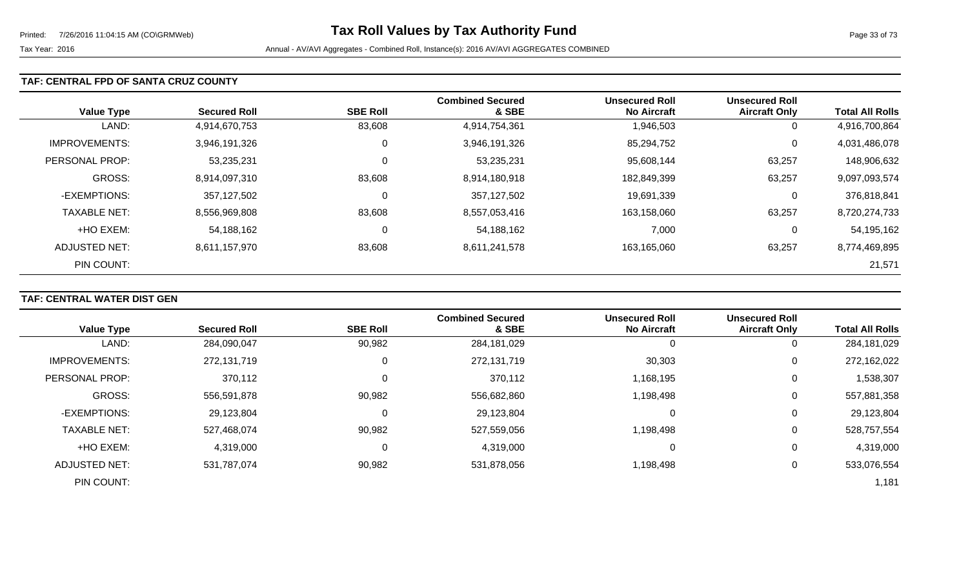### **TAF: CENTRAL FPD OF SANTA CRUZ COUNTY**

| <b>Value Type</b>    | <b>Secured Roll</b> | <b>SBE Roll</b> | <b>Combined Secured</b><br>& SBE | <b>Unsecured Roll</b><br><b>No Aircraft</b> | <b>Unsecured Roll</b><br><b>Aircraft Only</b> | <b>Total All Rolls</b> |
|----------------------|---------------------|-----------------|----------------------------------|---------------------------------------------|-----------------------------------------------|------------------------|
| LAND:                | 4,914,670,753       | 83,608          | 4,914,754,361                    | 1,946,503                                   | 0                                             | 4,916,700,864          |
| <b>IMPROVEMENTS:</b> | 3,946,191,326       | 0               | 3,946,191,326                    | 85,294,752                                  | 0                                             | 4,031,486,078          |
| PERSONAL PROP:       | 53,235,231          | 0               | 53,235,231                       | 95,608,144                                  | 63,257                                        | 148,906,632            |
| <b>GROSS:</b>        | 8,914,097,310       | 83,608          | 8,914,180,918                    | 182,849,399                                 | 63,257                                        | 9,097,093,574          |
| -EXEMPTIONS:         | 357,127,502         | 0               | 357,127,502                      | 19,691,339                                  | 0                                             | 376,818,841            |
| <b>TAXABLE NET:</b>  | 8,556,969,808       | 83,608          | 8,557,053,416                    | 163,158,060                                 | 63,257                                        | 8,720,274,733          |
| +HO EXEM:            | 54,188,162          | 0               | 54,188,162                       | 7,000                                       | 0                                             | 54,195,162             |
| ADJUSTED NET:        | 8,611,157,970       | 83,608          | 8,611,241,578                    | 163,165,060                                 | 63,257                                        | 8,774,469,895          |
| PIN COUNT:           |                     |                 |                                  |                                             |                                               | 21,571                 |

## **TAF: CENTRAL WATER DIST GEN**

|                       |                     |                 | <b>Combined Secured</b> | <b>Unsecured Roll</b> | <b>Unsecured Roll</b> |                        |
|-----------------------|---------------------|-----------------|-------------------------|-----------------------|-----------------------|------------------------|
| <b>Value Type</b>     | <b>Secured Roll</b> | <b>SBE Roll</b> | & SBE                   | <b>No Aircraft</b>    | <b>Aircraft Only</b>  | <b>Total All Rolls</b> |
| LAND:                 | 284,090,047         | 90,982          | 284,181,029             | 0                     | 0                     | 284,181,029            |
| <b>IMPROVEMENTS:</b>  | 272,131,719         | $\Omega$        | 272,131,719             | 30,303                | 0                     | 272,162,022            |
| <b>PERSONAL PROP:</b> | 370,112             |                 | 370,112                 | 1,168,195             | 0                     | 1,538,307              |
| <b>GROSS:</b>         | 556,591,878         | 90,982          | 556,682,860             | 1,198,498             | 0                     | 557,881,358            |
| -EXEMPTIONS:          | 29,123,804          |                 | 29,123,804              | 0                     | 0                     | 29,123,804             |
| <b>TAXABLE NET:</b>   | 527,468,074         | 90,982          | 527,559,056             | 1,198,498             | 0                     | 528,757,554            |
| +HO EXEM:             | 4,319,000           | 0               | 4,319,000               | 0                     | 0                     | 4,319,000              |
| ADJUSTED NET:         | 531,787,074         | 90,982          | 531,878,056             | 1,198,498             | 0                     | 533,076,554            |
| PIN COUNT:            |                     |                 |                         |                       |                       | 1,181                  |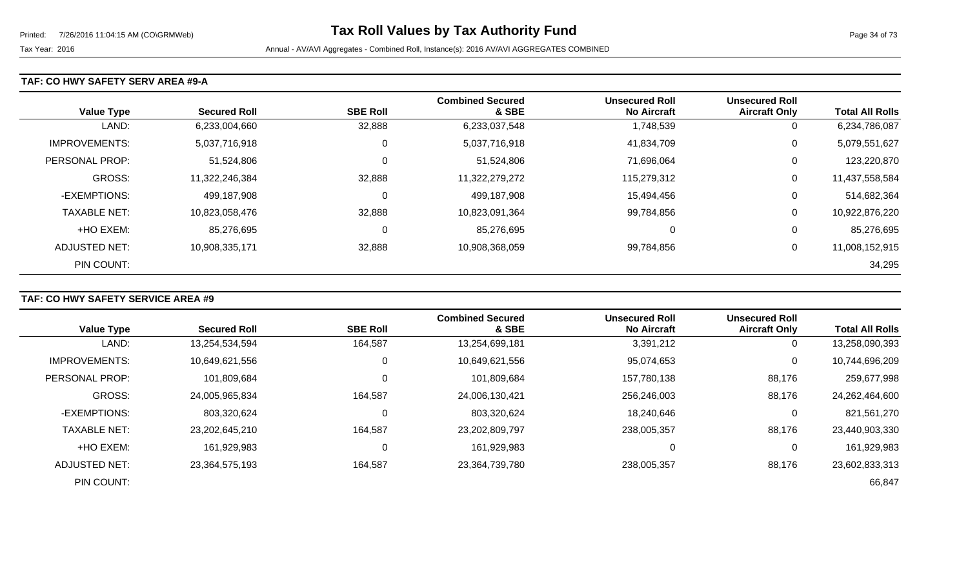### **TAF: CO HWY SAFETY SERV AREA #9-A**

| <b>Value Type</b>    | <b>Secured Roll</b> | <b>SBE Roll</b> | <b>Combined Secured</b><br>& SBE | <b>Unsecured Roll</b><br><b>No Aircraft</b> | <b>Unsecured Roll</b><br><b>Aircraft Only</b> | <b>Total All Rolls</b> |
|----------------------|---------------------|-----------------|----------------------------------|---------------------------------------------|-----------------------------------------------|------------------------|
| LAND:                | 6,233,004,660       | 32,888          | 6,233,037,548                    | 1,748,539                                   | 0                                             | 6,234,786,087          |
| <b>IMPROVEMENTS:</b> | 5,037,716,918       | 0               | 5,037,716,918                    | 41,834,709                                  | 0                                             | 5,079,551,627          |
| PERSONAL PROP:       | 51,524,806          | 0               | 51,524,806                       | 71,696,064                                  | 0                                             | 123,220,870            |
| <b>GROSS:</b>        | 11,322,246,384      | 32,888          | 11,322,279,272                   | 115,279,312                                 | 0                                             | 11,437,558,584         |
| -EXEMPTIONS:         | 499,187,908         | 0               | 499,187,908                      | 15,494,456                                  | 0                                             | 514,682,364            |
| <b>TAXABLE NET:</b>  | 10,823,058,476      | 32,888          | 10,823,091,364                   | 99,784,856                                  | 0                                             | 10,922,876,220         |
| +HO EXEM:            | 85,276,695          | 0               | 85,276,695                       | 0                                           | 0                                             | 85,276,695             |
| ADJUSTED NET:        | 10,908,335,171      | 32,888          | 10,908,368,059                   | 99,784,856                                  | 0                                             | 11,008,152,915         |
| PIN COUNT:           |                     |                 |                                  |                                             |                                               | 34,295                 |

# **TAF: CO HWY SAFETY SERVICE AREA #9**

|                      |                     |                 | <b>Combined Secured</b> | <b>Unsecured Roll</b> | <b>Unsecured Roll</b> |                        |
|----------------------|---------------------|-----------------|-------------------------|-----------------------|-----------------------|------------------------|
| <b>Value Type</b>    | <b>Secured Roll</b> | <b>SBE Roll</b> | & SBE                   | <b>No Aircraft</b>    | <b>Aircraft Only</b>  | <b>Total All Rolls</b> |
| LAND:                | 13,254,534,594      | 164,587         | 13,254,699,181          | 3,391,212             | $\overline{0}$        | 13,258,090,393         |
| <b>IMPROVEMENTS:</b> | 10,649,621,556      |                 | 10,649,621,556          | 95,074,653            | 0                     | 10,744,696,209         |
| PERSONAL PROP:       | 101,809,684         |                 | 101,809,684             | 157,780,138           | 88,176                | 259,677,998            |
| <b>GROSS:</b>        | 24,005,965,834      | 164,587         | 24,006,130,421          | 256,246,003           | 88,176                | 24,262,464,600         |
| -EXEMPTIONS:         | 803,320,624         |                 | 803,320,624             | 18,240,646            | 0                     | 821,561,270            |
| <b>TAXABLE NET:</b>  | 23,202,645,210      | 164,587         | 23,202,809,797          | 238,005,357           | 88,176                | 23,440,903,330         |
| +HO EXEM:            | 161,929,983         |                 | 161,929,983             | 0                     | 0                     | 161,929,983            |
| <b>ADJUSTED NET:</b> | 23,364,575,193      | 164,587         | 23,364,739,780          | 238,005,357           | 88,176                | 23,602,833,313         |
| PIN COUNT:           |                     |                 |                         |                       |                       | 66,847                 |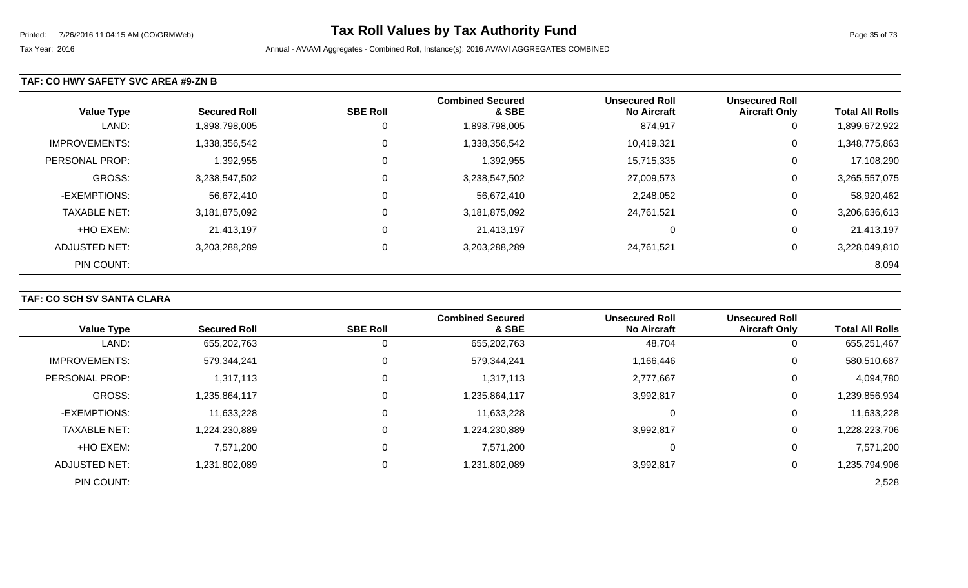### **TAF: CO HWY SAFETY SVC AREA #9-ZN B**

| <b>Value Type</b>    | <b>Secured Roll</b> | <b>SBE Roll</b> | <b>Combined Secured</b><br>& SBE | <b>Unsecured Roll</b><br><b>No Aircraft</b> | <b>Unsecured Roll</b><br><b>Aircraft Only</b> | <b>Total All Rolls</b> |
|----------------------|---------------------|-----------------|----------------------------------|---------------------------------------------|-----------------------------------------------|------------------------|
| LAND:                | 1,898,798,005       | 0               | 1,898,798,005                    | 874,917                                     | 0                                             | 1,899,672,922          |
| <b>IMPROVEMENTS:</b> | 1,338,356,542       | $\mathbf{0}$    | 1,338,356,542                    | 10,419,321                                  | 0                                             | 1,348,775,863          |
| PERSONAL PROP:       | 1,392,955           | $\overline{0}$  | 1,392,955                        | 15,715,335                                  | 0                                             | 17,108,290             |
| <b>GROSS:</b>        | 3,238,547,502       | $\overline{0}$  | 3,238,547,502                    | 27,009,573                                  | 0                                             | 3,265,557,075          |
| -EXEMPTIONS:         | 56,672,410          | $\overline{0}$  | 56,672,410                       | 2,248,052                                   | 0                                             | 58,920,462             |
| <b>TAXABLE NET:</b>  | 3,181,875,092       | $\mathbf 0$     | 3,181,875,092                    | 24,761,521                                  | 0                                             | 3,206,636,613          |
| +HO EXEM:            | 21,413,197          | $\overline{0}$  | 21,413,197                       | 0                                           | 0                                             | 21,413,197             |
| ADJUSTED NET:        | 3,203,288,289       | $\overline{0}$  | 3,203,288,289                    | 24,761,521                                  | 0                                             | 3,228,049,810          |
| PIN COUNT:           |                     |                 |                                  |                                             |                                               | 8,094                  |

## **TAF: CO SCH SV SANTA CLARA**

| <b>Value Type</b>     | <b>Secured Roll</b> | <b>SBE Roll</b> | <b>Combined Secured</b><br>& SBE | <b>Unsecured Roll</b><br><b>No Aircraft</b> | <b>Unsecured Roll</b><br><b>Aircraft Only</b> | <b>Total All Rolls</b> |
|-----------------------|---------------------|-----------------|----------------------------------|---------------------------------------------|-----------------------------------------------|------------------------|
|                       |                     |                 |                                  |                                             |                                               |                        |
| LAND:                 | 655,202,763         | U               | 655,202,763                      | 48,704                                      | 0                                             | 655,251,467            |
| <b>IMPROVEMENTS:</b>  | 579,344,241         | $\mathbf 0$     | 579,344,241                      | 1,166,446                                   | 0                                             | 580,510,687            |
| <b>PERSONAL PROP:</b> | 1,317,113           | 0               | 1,317,113                        | 2,777,667                                   | 0                                             | 4,094,780              |
| <b>GROSS:</b>         | 1,235,864,117       | 0               | 1,235,864,117                    | 3,992,817                                   | $\mathbf 0$                                   | 1,239,856,934          |
| -EXEMPTIONS:          | 11,633,228          | 0               | 11,633,228                       |                                             | 0                                             | 11,633,228             |
| <b>TAXABLE NET:</b>   | 1,224,230,889       | $\mathbf{0}$    | 1,224,230,889                    | 3,992,817                                   | $\mathbf 0$                                   | 1,228,223,706          |
| +HO EXEM:             | 7,571,200           | 0               | 7,571,200                        |                                             | 0                                             | 7,571,200              |
| ADJUSTED NET:         | 1,231,802,089       | 0               | 1,231,802,089                    | 3,992,817                                   | 0                                             | 1,235,794,906          |
| PIN COUNT:            |                     |                 |                                  |                                             |                                               | 2,528                  |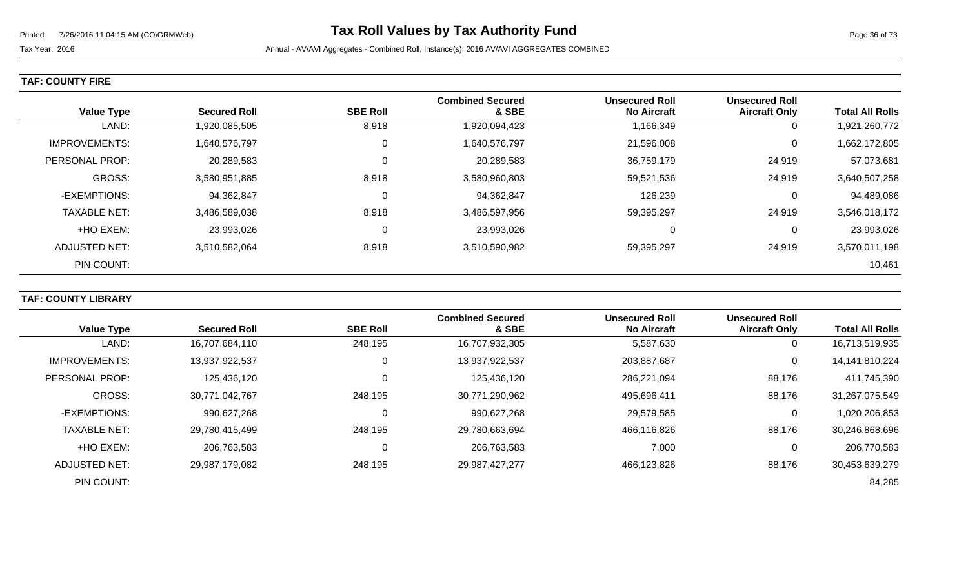Tax Year: 2016 **Annual - AV/AVI Aggregates - Combined Roll**, Instance(s): 2016 AV/AVI AGGREGATES COMBINED

|  |  |  | <b>TAF: COUNTY FIRE</b> |
|--|--|--|-------------------------|
|--|--|--|-------------------------|

| <b>Value Type</b>    | <b>Secured Roll</b> | <b>SBE Roll</b> | <b>Combined Secured</b><br>& SBE | <b>Unsecured Roll</b><br><b>No Aircraft</b> | <b>Unsecured Roll</b><br><b>Aircraft Only</b> | <b>Total All Rolls</b> |
|----------------------|---------------------|-----------------|----------------------------------|---------------------------------------------|-----------------------------------------------|------------------------|
| LAND:                | 1,920,085,505       | 8,918           | 1,920,094,423                    | 1,166,349                                   | 0                                             | 1,921,260,772          |
| <b>IMPROVEMENTS:</b> | 1,640,576,797       | 0               | 1,640,576,797                    | 21,596,008                                  | 0                                             | 1,662,172,805          |
| PERSONAL PROP:       | 20,289,583          | 0               | 20,289,583                       | 36,759,179                                  | 24,919                                        | 57,073,681             |
| <b>GROSS:</b>        | 3,580,951,885       | 8,918           | 3,580,960,803                    | 59,521,536                                  | 24,919                                        | 3,640,507,258          |
| -EXEMPTIONS:         | 94,362,847          | $\Omega$        | 94,362,847                       | 126,239                                     | 0                                             | 94,489,086             |
| <b>TAXABLE NET:</b>  | 3,486,589,038       | 8,918           | 3,486,597,956                    | 59,395,297                                  | 24,919                                        | 3,546,018,172          |
| +HO EXEM:            | 23,993,026          | 0               | 23,993,026                       | 0                                           | 0                                             | 23,993,026             |
| ADJUSTED NET:        | 3,510,582,064       | 8,918           | 3,510,590,982                    | 59,395,297                                  | 24,919                                        | 3,570,011,198          |
| PIN COUNT:           |                     |                 |                                  |                                             |                                               | 10,461                 |

# **TAF: COUNTY LIBRARY**

|                      |                     |                 | <b>Combined Secured</b> | <b>Unsecured Roll</b> | <b>Unsecured Roll</b> |                        |
|----------------------|---------------------|-----------------|-------------------------|-----------------------|-----------------------|------------------------|
| <b>Value Type</b>    | <b>Secured Roll</b> | <b>SBE Roll</b> | & SBE                   | <b>No Aircraft</b>    | <b>Aircraft Only</b>  | <b>Total All Rolls</b> |
| LAND:                | 16,707,684,110      | 248,195         | 16,707,932,305          | 5,587,630             |                       | 16,713,519,935         |
| <b>IMPROVEMENTS:</b> | 13,937,922,537      | 0               | 13,937,922,537          | 203,887,687           | 0                     | 14,141,810,224         |
| PERSONAL PROP:       | 125,436,120         |                 | 125,436,120             | 286,221,094           | 88,176                | 411,745,390            |
| GROSS:               | 30,771,042,767      | 248,195         | 30,771,290,962          | 495,696,411           | 88,176                | 31,267,075,549         |
| -EXEMPTIONS:         | 990,627,268         |                 | 990,627,268             | 29,579,585            |                       | 1,020,206,853          |
| <b>TAXABLE NET:</b>  | 29,780,415,499      | 248,195         | 29,780,663,694          | 466,116,826           | 88,176                | 30,246,868,696         |
| +HO EXEM:            | 206,763,583         |                 | 206,763,583             | 7,000                 | 0                     | 206,770,583            |
| ADJUSTED NET:        | 29,987,179,082      | 248,195         | 29,987,427,277          | 466,123,826           | 88,176                | 30,453,639,279         |
| PIN COUNT:           |                     |                 |                         |                       |                       | 84,285                 |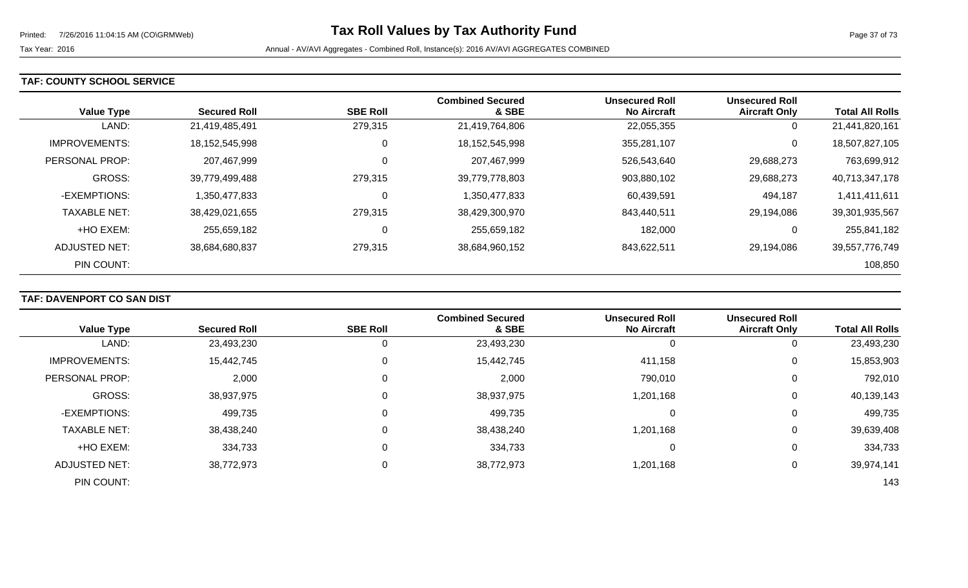#### **TAF: COUNTY SCHOOL SERVICE**

| <b>Value Type</b>    | <b>Secured Roll</b> | <b>SBE Roll</b> | <b>Combined Secured</b><br>& SBE | Unsecured Roll<br><b>No Aircraft</b> | <b>Unsecured Roll</b><br><b>Aircraft Only</b> | <b>Total All Rolls</b> |
|----------------------|---------------------|-----------------|----------------------------------|--------------------------------------|-----------------------------------------------|------------------------|
| LAND:                | 21,419,485,491      | 279,315         | 21,419,764,806                   | 22,055,355                           | 0                                             | 21,441,820,161         |
| <b>IMPROVEMENTS:</b> | 18,152,545,998      | 0               | 18,152,545,998                   | 355,281,107                          | 0                                             | 18,507,827,105         |
| PERSONAL PROP:       | 207,467,999         | $\mathbf 0$     | 207,467,999                      | 526,543,640                          | 29,688,273                                    | 763,699,912            |
| <b>GROSS:</b>        | 39,779,499,488      | 279,315         | 39,779,778,803                   | 903,880,102                          | 29,688,273                                    | 40,713,347,178         |
| -EXEMPTIONS:         | 1,350,477,833       | 0               | 1,350,477,833                    | 60,439,591                           | 494,187                                       | 1,411,411,611          |
| <b>TAXABLE NET:</b>  | 38,429,021,655      | 279,315         | 38,429,300,970                   | 843.440.511                          | 29,194,086                                    | 39,301,935,567         |
| +HO EXEM:            | 255,659,182         | 0               | 255,659,182                      | 182,000                              | 0                                             | 255,841,182            |
| ADJUSTED NET:        | 38,684,680,837      | 279,315         | 38,684,960,152                   | 843,622,511                          | 29,194,086                                    | 39,557,776,749         |
| PIN COUNT:           |                     |                 |                                  |                                      |                                               | 108,850                |

### **TAF: DAVENPORT CO SAN DIST**

|                      |                     |                 | <b>Combined Secured</b> | <b>Unsecured Roll</b> | <b>Unsecured Roll</b> |                        |
|----------------------|---------------------|-----------------|-------------------------|-----------------------|-----------------------|------------------------|
| <b>Value Type</b>    | <b>Secured Roll</b> | <b>SBE Roll</b> | & SBE                   | <b>No Aircraft</b>    | <b>Aircraft Only</b>  | <b>Total All Rolls</b> |
| LAND:                | 23,493,230          |                 | 23,493,230              | 0                     | 0                     | 23,493,230             |
| <b>IMPROVEMENTS:</b> | 15,442,745          |                 | 15,442,745              | 411,158               | 0                     | 15,853,903             |
| PERSONAL PROP:       | 2,000               |                 | 2,000                   | 790,010               | 0                     | 792,010                |
| <b>GROSS:</b>        | 38,937,975          |                 | 38,937,975              | 1,201,168             | 0                     | 40,139,143             |
| -EXEMPTIONS:         | 499,735             |                 | 499,735                 | 0                     | $\overline{0}$        | 499,735                |
| <b>TAXABLE NET:</b>  | 38,438,240          |                 | 38,438,240              | 1,201,168             | 0                     | 39,639,408             |
| +HO EXEM:            | 334,733             |                 | 334,733                 | 0                     | 0                     | 334,733                |
| <b>ADJUSTED NET:</b> | 38,772,973          | 0               | 38,772,973              | 1,201,168             | 0                     | 39,974,141             |
| PIN COUNT:           |                     |                 |                         |                       |                       | 143                    |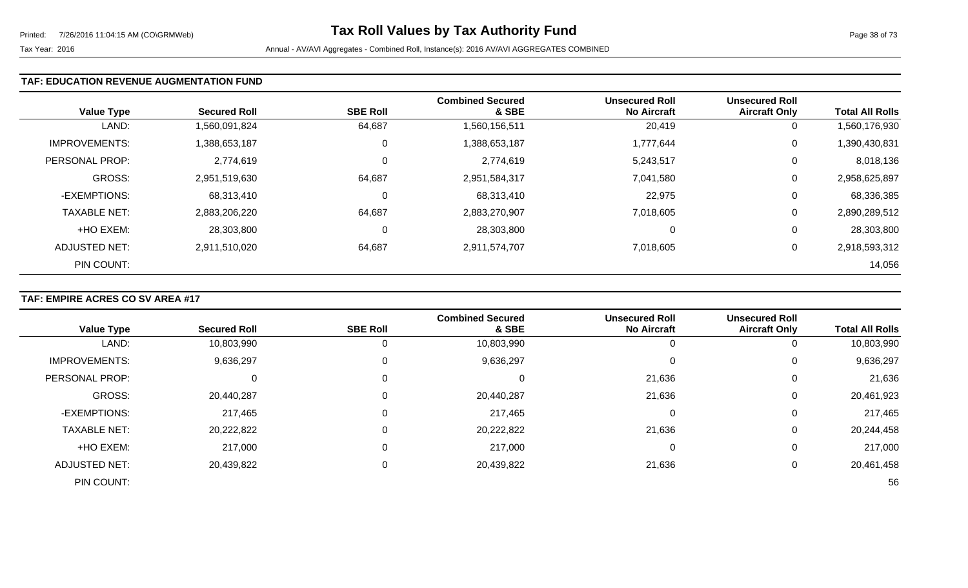### **TAF: EDUCATION REVENUE AUGMENTATION FUND**

| <b>Value Type</b>    | <b>Secured Roll</b> | <b>SBE Roll</b> | <b>Combined Secured</b><br>& SBE | <b>Unsecured Roll</b><br><b>No Aircraft</b> | <b>Unsecured Roll</b><br><b>Aircraft Only</b> | <b>Total All Rolls</b> |
|----------------------|---------------------|-----------------|----------------------------------|---------------------------------------------|-----------------------------------------------|------------------------|
| LAND:                | 1,560,091,824       | 64,687          | 1,560,156,511                    | 20,419                                      | 0                                             | 1,560,176,930          |
| <b>IMPROVEMENTS:</b> | 1,388,653,187       | 0               | 1,388,653,187                    | 1,777,644                                   | 0                                             | 1,390,430,831          |
| PERSONAL PROP:       | 2,774,619           | $\mathbf 0$     | 2,774,619                        | 5,243,517                                   | 0                                             | 8,018,136              |
| <b>GROSS:</b>        | 2,951,519,630       | 64,687          | 2,951,584,317                    | 7,041,580                                   | 0                                             | 2,958,625,897          |
| -EXEMPTIONS:         | 68,313,410          | 0               | 68,313,410                       | 22,975                                      | 0                                             | 68,336,385             |
| <b>TAXABLE NET:</b>  | 2,883,206,220       | 64,687          | 2,883,270,907                    | 7,018,605                                   | 0                                             | 2,890,289,512          |
| +HO EXEM:            | 28,303,800          | C               | 28,303,800                       | 0                                           | 0                                             | 28,303,800             |
| ADJUSTED NET:        | 2,911,510,020       | 64,687          | 2,911,574,707                    | 7,018,605                                   | 0                                             | 2,918,593,312          |
| PIN COUNT:           |                     |                 |                                  |                                             |                                               | 14,056                 |

### **TAF: EMPIRE ACRES CO SV AREA #17**

|                      |                     |                 | <b>Combined Secured</b> | <b>Unsecured Roll</b> | <b>Unsecured Roll</b> |                        |
|----------------------|---------------------|-----------------|-------------------------|-----------------------|-----------------------|------------------------|
| <b>Value Type</b>    | <b>Secured Roll</b> | <b>SBE Roll</b> | & SBE                   | <b>No Aircraft</b>    | <b>Aircraft Only</b>  | <b>Total All Rolls</b> |
| LAND:                | 10,803,990          | 0               | 10,803,990              |                       | 0                     | 10,803,990             |
| <b>IMPROVEMENTS:</b> | 9,636,297           | 0               | 9,636,297               | U                     | 0                     | 9,636,297              |
| PERSONAL PROP:       |                     | 0               | v                       | 21,636                | 0                     | 21,636                 |
| <b>GROSS:</b>        | 20,440,287          | 0               | 20,440,287              | 21,636                | 0                     | 20,461,923             |
| -EXEMPTIONS:         | 217,465             | 0               | 217,465                 | 0                     | 0                     | 217,465                |
| <b>TAXABLE NET:</b>  | 20,222,822          | 0               | 20,222,822              | 21,636                | 0                     | 20,244,458             |
| +HO EXEM:            | 217,000             | 0               | 217,000                 | 0                     | 0                     | 217,000                |
| ADJUSTED NET:        | 20,439,822          | 0               | 20,439,822              | 21,636                | 0                     | 20,461,458             |
| PIN COUNT:           |                     |                 |                         |                       |                       | 56                     |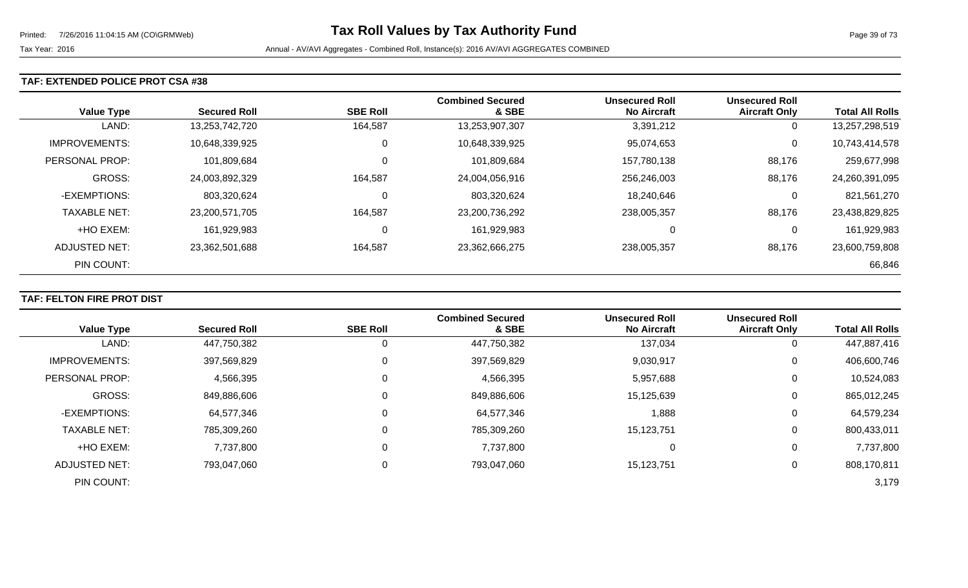### **TAF: EXTENDED POLICE PROT CSA #38**

| <b>Value Type</b>    | <b>Secured Roll</b> | <b>SBE Roll</b> | <b>Combined Secured</b><br>& SBE | <b>Unsecured Roll</b><br><b>No Aircraft</b> | <b>Unsecured Roll</b><br><b>Aircraft Only</b> | <b>Total All Rolls</b> |
|----------------------|---------------------|-----------------|----------------------------------|---------------------------------------------|-----------------------------------------------|------------------------|
| LAND:                | 13,253,742,720      | 164,587         | 13,253,907,307                   | 3,391,212                                   | 0                                             | 13,257,298,519         |
| <b>IMPROVEMENTS:</b> | 10,648,339,925      | 0               | 10,648,339,925                   | 95,074,653                                  | 0                                             | 10,743,414,578         |
| PERSONAL PROP:       | 101,809,684         | 0               | 101,809,684                      | 157,780,138                                 | 88,176                                        | 259,677,998            |
| <b>GROSS:</b>        | 24,003,892,329      | 164,587         | 24,004,056,916                   | 256,246,003                                 | 88,176                                        | 24,260,391,095         |
| -EXEMPTIONS:         | 803,320,624         | 0               | 803,320,624                      | 18,240,646                                  | 0                                             | 821,561,270            |
| <b>TAXABLE NET:</b>  | 23,200,571,705      | 164,587         | 23,200,736,292                   | 238,005,357                                 | 88,176                                        | 23,438,829,825         |
| +HO EXEM:            | 161,929,983         | 0               | 161,929,983                      | 0                                           | 0                                             | 161,929,983            |
| ADJUSTED NET:        | 23,362,501,688      | 164,587         | 23,362,666,275                   | 238,005,357                                 | 88,176                                        | 23,600,759,808         |
| PIN COUNT:           |                     |                 |                                  |                                             |                                               | 66,846                 |

### **TAF: FELTON FIRE PROT DIST**

|                       |                     |                 | <b>Combined Secured</b> | <b>Unsecured Roll</b> | <b>Unsecured Roll</b> |                        |
|-----------------------|---------------------|-----------------|-------------------------|-----------------------|-----------------------|------------------------|
| <b>Value Type</b>     | <b>Secured Roll</b> | <b>SBE Roll</b> | & SBE                   | <b>No Aircraft</b>    | <b>Aircraft Only</b>  | <b>Total All Rolls</b> |
| LAND:                 | 447,750,382         |                 | 447,750,382             | 137,034               | 0                     | 447,887,416            |
| <b>IMPROVEMENTS:</b>  | 397,569,829         | 0               | 397,569,829             | 9,030,917             | 0                     | 406,600,746            |
| <b>PERSONAL PROP:</b> | 4,566,395           | 0               | 4,566,395               | 5,957,688             | 0                     | 10,524,083             |
| GROSS:                | 849,886,606         |                 | 849,886,606             | 15,125,639            | 0                     | 865,012,245            |
| -EXEMPTIONS:          | 64,577,346          |                 | 64,577,346              | 1,888                 | 0                     | 64,579,234             |
| <b>TAXABLE NET:</b>   | 785,309,260         |                 | 785,309,260             | 15,123,751            | 0                     | 800,433,011            |
| +HO EXEM:             | 7,737,800           |                 | 7,737,800               |                       | 0                     | 7,737,800              |
| <b>ADJUSTED NET:</b>  | 793,047,060         | 0               | 793,047,060             | 15,123,751            | 0                     | 808,170,811            |
| PIN COUNT:            |                     |                 |                         |                       |                       | 3,179                  |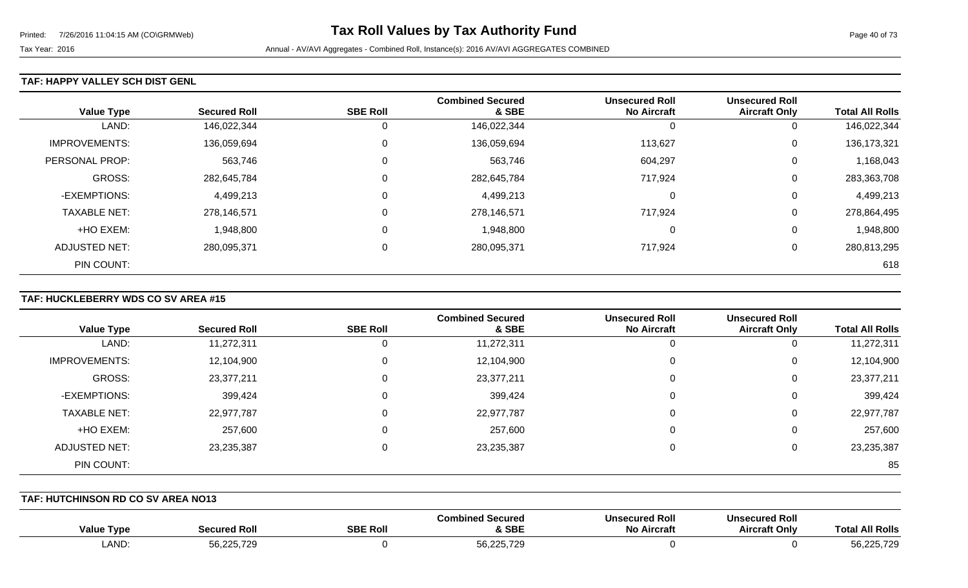#### **TAF: HAPPY VALLEY SCH DIST GENL**

| <b>Value Type</b>    | <b>Secured Roll</b> | <b>SBE Roll</b> | <b>Combined Secured</b><br>& SBE | <b>Unsecured Roll</b><br><b>No Aircraft</b> | <b>Unsecured Roll</b><br><b>Aircraft Only</b> | <b>Total All Rolls</b> |
|----------------------|---------------------|-----------------|----------------------------------|---------------------------------------------|-----------------------------------------------|------------------------|
| LAND:                | 146,022,344         |                 | 146,022,344                      |                                             | 0                                             | 146,022,344            |
| <b>IMPROVEMENTS:</b> | 136,059,694         | 0               | 136,059,694                      | 113,627                                     | 0                                             | 136, 173, 321          |
| PERSONAL PROP:       | 563,746             | 0               | 563,746                          | 604,297                                     | 0                                             | 1,168,043              |
| <b>GROSS:</b>        | 282,645,784         | $\Omega$        | 282,645,784                      | 717,924                                     | 0                                             | 283,363,708            |
| -EXEMPTIONS:         | 4,499,213           | $\Omega$        | 4,499,213                        | $\Omega$                                    | 0                                             | 4,499,213              |
| <b>TAXABLE NET:</b>  | 278,146,571         |                 | 278,146,571                      | 717,924                                     | 0                                             | 278,864,495            |
| +HO EXEM:            | 1,948,800           | $\Omega$        | 1,948,800                        | $\Omega$                                    | 0                                             | 1,948,800              |
| ADJUSTED NET:        | 280,095,371         | 0               | 280,095,371                      | 717,924                                     | 0                                             | 280,813,295            |
| PIN COUNT:           |                     |                 |                                  |                                             |                                               | 618                    |

### **TAF: HUCKLEBERRY WDS CO SV AREA #15**

|                      |                     |                 | <b>Combined Secured</b> | <b>Unsecured Roll</b> | <b>Unsecured Roll</b> |                        |
|----------------------|---------------------|-----------------|-------------------------|-----------------------|-----------------------|------------------------|
| <b>Value Type</b>    | <b>Secured Roll</b> | <b>SBE Roll</b> | & SBE                   | <b>No Aircraft</b>    | <b>Aircraft Only</b>  | <b>Total All Rolls</b> |
| LAND:                | 11,272,311          | 0               | 11,272,311              | 0                     | U                     | 11,272,311             |
| <b>IMPROVEMENTS:</b> | 12,104,900          | 0               | 12,104,900              | 0                     | 0                     | 12,104,900             |
| GROSS:               | 23,377,211          | 0               | 23,377,211              | 0                     | 0                     | 23,377,211             |
| -EXEMPTIONS:         | 399,424             | 0               | 399,424                 | 0                     | 0                     | 399,424                |
| <b>TAXABLE NET:</b>  | 22,977,787          | $\Omega$        | 22,977,787              | 0                     | 0                     | 22,977,787             |
| +HO EXEM:            | 257,600             | 0               | 257,600                 | 0                     | 0                     | 257,600                |
| ADJUSTED NET:        | 23,235,387          | $\Omega$        | 23,235,387              | 0                     | 0                     | 23,235,387             |
| PIN COUNT:           |                     |                 |                         |                       |                       | 85                     |

**TAF: HUTCHINSON RD CO SV AREA NO13** 

| Value Type  | Secured Roll | <b>SBE Roll</b> | <b>Combined Secured</b><br><b>SBE</b> | <b>Unsecured Roll</b><br><b>No Aircraft</b> | <b>Unsecured Roll</b><br><b>Aircraft Only</b> | <b>All Rolls</b><br>Tota                                           |
|-------------|--------------|-----------------|---------------------------------------|---------------------------------------------|-----------------------------------------------|--------------------------------------------------------------------|
| <b>LAND</b> | 56,225,729   |                 | 56,225,729                            |                                             |                                               | $F^{\wedge}$ $O^{\wedge}$ $\rightarrow$ $O^{\wedge}$<br>56,225,729 |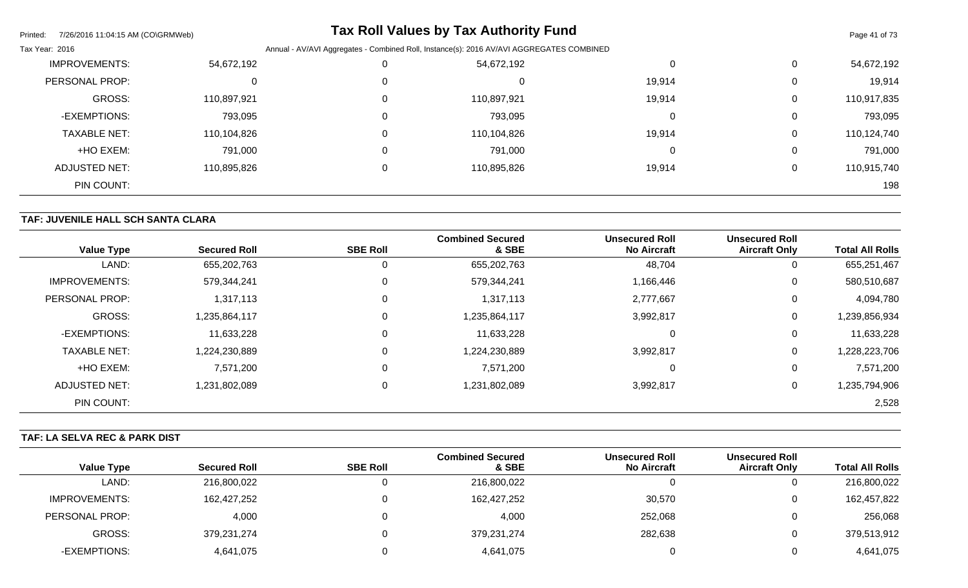| Printed:<br>7/26/2016 11:04:15 AM (CO\GRMWeb) |                                                                                          |  | <b>Tax Roll Values by Tax Authority Fund</b> |        |   | Page 41 of 73 |
|-----------------------------------------------|------------------------------------------------------------------------------------------|--|----------------------------------------------|--------|---|---------------|
| Tax Year: 2016                                | Annual - AV/AVI Aggregates - Combined Roll, Instance(s): 2016 AV/AVI AGGREGATES COMBINED |  |                                              |        |   |               |
| <b>IMPROVEMENTS:</b>                          | 54,672,192                                                                               |  | 54,672,192                                   | 0      | 0 | 54,672,192    |
| PERSONAL PROP:                                | 0                                                                                        |  | υ                                            | 19,914 | 0 | 19,914        |
| <b>GROSS:</b>                                 | 110,897,921                                                                              |  | 110,897,921                                  | 19,914 | 0 | 110,917,835   |
| -EXEMPTIONS:                                  | 793,095                                                                                  |  | 793,095                                      | 0      | 0 | 793,095       |
| <b>TAXABLE NET:</b>                           | 110,104,826                                                                              |  | 110,104,826                                  | 19,914 | 0 | 110,124,740   |
| +HO EXEM:                                     | 791,000                                                                                  |  | 791,000                                      | 0      | 0 | 791,000       |
| <b>ADJUSTED NET:</b>                          | 110,895,826                                                                              |  | 110,895,826                                  | 19,914 | 0 | 110,915,740   |
| PIN COUNT:                                    |                                                                                          |  |                                              |        |   | 198           |

# **TAF: JUVENILE HALL SCH SANTA CLARA**

| <b>Value Type</b>    | <b>Secured Roll</b> | <b>SBE Roll</b> | <b>Combined Secured</b><br>& SBE | <b>Unsecured Roll</b><br><b>No Aircraft</b> | <b>Unsecured Roll</b><br><b>Aircraft Only</b> | <b>Total All Rolls</b> |
|----------------------|---------------------|-----------------|----------------------------------|---------------------------------------------|-----------------------------------------------|------------------------|
| LAND:                | 655,202,763         | 0               | 655,202,763                      | 48,704                                      | 0                                             | 655,251,467            |
| <b>IMPROVEMENTS:</b> | 579,344,241         | 0               | 579,344,241                      | 1,166,446                                   | 0                                             | 580,510,687            |
| PERSONAL PROP:       | 1,317,113           | $\mathbf 0$     | 1,317,113                        | 2,777,667                                   | 0                                             | 4,094,780              |
| <b>GROSS:</b>        | 1,235,864,117       | $\mathbf 0$     | 117,864,117                      | 3,992,817                                   | 0                                             | 1,239,856,934          |
| -EXEMPTIONS:         | 11,633,228          | $\mathbf 0$     | 11,633,228                       |                                             | 0                                             | 11,633,228             |
| <b>TAXABLE NET:</b>  | 1,224,230,889       | 0               | 224,230,889                      | 3,992,817                                   | 0                                             | 1,228,223,706          |
| +HO EXEM:            | 7,571,200           | 0               | 7,571,200                        |                                             | 0                                             | 7,571,200              |
| <b>ADJUSTED NET:</b> | 1,231,802,089       | $\mathbf 0$     | 231,802,089,                     | 3,992,817                                   | 0                                             | 1,235,794,906          |
| PIN COUNT:           |                     |                 |                                  |                                             |                                               | 2,528                  |

# **TAF: LA SELVA REC & PARK DIST**

|                   |                     |                 | <b>Combined Secured</b> | <b>Unsecured Roll</b> | <b>Unsecured Roll</b> |                        |
|-------------------|---------------------|-----------------|-------------------------|-----------------------|-----------------------|------------------------|
| <b>Value Type</b> | <b>Secured Roll</b> | <b>SBE Roll</b> | & SBE                   | <b>No Aircraft</b>    | <b>Aircraft Only</b>  | <b>Total All Rolls</b> |
| LAND:             | 216,800,022         |                 | 216,800,022             |                       |                       | 216,800,022            |
| IMPROVEMENTS:     | 162,427,252         |                 | 162,427,252             | 30,570                |                       | 162,457,822            |
| PERSONAL PROP:    | 4,000               |                 | 4,000                   | 252,068               |                       | 256,068                |
| GROSS:            | 379,231,274         |                 | 379,231,274             | 282,638               |                       | 379,513,912            |
| -EXEMPTIONS:      | 4,641,075           |                 | 4,641,075               |                       |                       | 4,641,075              |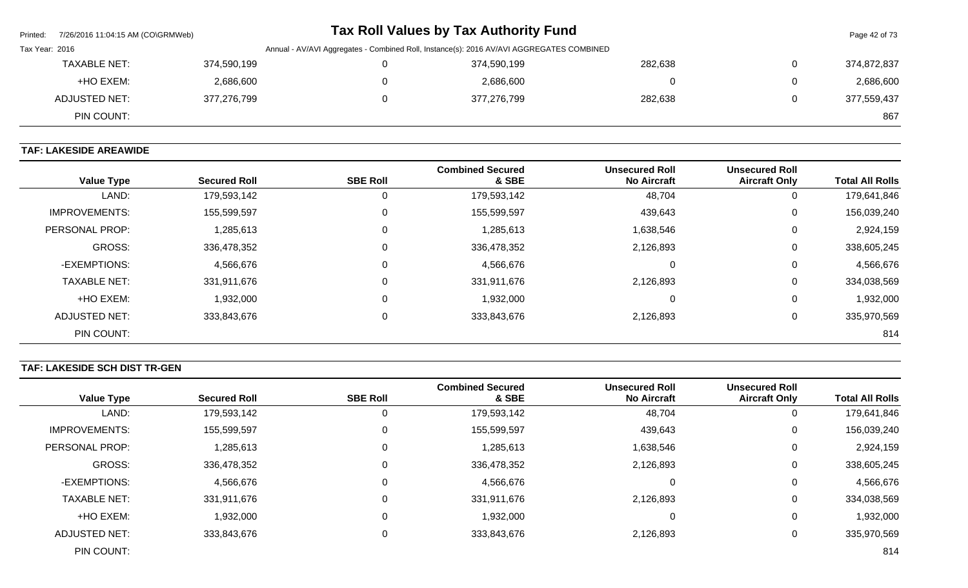| Printed: | 7/26/2016 11:04:15 AM (CO\GRMWeb)                                                                          |             |  |  | Tax Roll Values by Tax Authority Fund |         |   | Page 42 of 73 |
|----------|------------------------------------------------------------------------------------------------------------|-------------|--|--|---------------------------------------|---------|---|---------------|
|          | Annual - AV/AVI Aggregates - Combined Roll, Instance(s): 2016 AV/AVI AGGREGATES COMBINED<br>Tax Year: 2016 |             |  |  |                                       |         |   |               |
|          | <b>TAXABLE NET:</b>                                                                                        | 374,590,199 |  |  | 374,590,199                           | 282,638 | 0 | 374,872,837   |
|          | +HO EXEM:                                                                                                  | 2,686,600   |  |  | 2,686,600                             |         | 0 | 2,686,600     |
|          | ADJUSTED NET:                                                                                              | 377,276,799 |  |  | 377,276,799                           | 282,638 | 0 | 377,559,437   |
|          | PIN COUNT:                                                                                                 |             |  |  |                                       |         |   | 867           |

# **TAF: LAKESIDE AREAWIDE**

| <b>Value Type</b>    | <b>Secured Roll</b> | <b>SBE Roll</b> | <b>Combined Secured</b><br>& SBE | <b>Unsecured Roll</b><br><b>No Aircraft</b> | <b>Unsecured Roll</b><br><b>Aircraft Only</b> | <b>Total All Rolls</b> |
|----------------------|---------------------|-----------------|----------------------------------|---------------------------------------------|-----------------------------------------------|------------------------|
| LAND:                | 179,593,142         | 0               | 179,593,142                      | 48,704                                      | U                                             | 179,641,846            |
| <b>IMPROVEMENTS:</b> | 155,599,597         | 0               | 155,599,597                      | 439,643                                     | U                                             | 156,039,240            |
| PERSONAL PROP:       | 1,285,613           | 0               | 1,285,613                        | 1,638,546                                   | 0                                             | 2,924,159              |
| <b>GROSS:</b>        | 336,478,352         | $\mathbf 0$     | 336,478,352                      | 2,126,893                                   | 0                                             | 338,605,245            |
| -EXEMPTIONS:         | 4,566,676           | 0               | 4,566,676                        | $\mathbf 0$                                 | 0                                             | 4,566,676              |
| <b>TAXABLE NET:</b>  | 331,911,676         | $\mathbf 0$     | 331,911,676                      | 2,126,893                                   | 0                                             | 334,038,569            |
| +HO EXEM:            | 1,932,000           | $\mathbf 0$     | 1,932,000                        | O                                           | 0                                             | 1,932,000              |
| ADJUSTED NET:        | 333,843,676         | 0               | 333,843,676                      | 2,126,893                                   | U                                             | 335,970,569            |
| PIN COUNT:           |                     |                 |                                  |                                             |                                               | 814                    |

# **TAF: LAKESIDE SCH DIST TR-GEN**

| <b>Value Type</b>    | <b>Secured Roll</b> | <b>SBE Roll</b> | <b>Combined Secured</b><br>& SBE | <b>Unsecured Roll</b><br><b>No Aircraft</b> | <b>Unsecured Roll</b><br><b>Aircraft Only</b> | <b>Total All Rolls</b> |
|----------------------|---------------------|-----------------|----------------------------------|---------------------------------------------|-----------------------------------------------|------------------------|
| LAND:                | 179,593,142         |                 | 179,593,142                      | 48,704                                      | 0                                             | 179,641,846            |
| <b>IMPROVEMENTS:</b> | 155,599,597         | 0               | 155,599,597                      | 439,643                                     | 0                                             | 156,039,240            |
| PERSONAL PROP:       | 1,285,613           | 0               | 1,285,613                        | 1,638,546                                   | 0                                             | 2,924,159              |
| <b>GROSS:</b>        | 336,478,352         | 0               | 336,478,352                      | 2,126,893                                   | 0                                             | 338,605,245            |
| -EXEMPTIONS:         | 4,566,676           | $\Omega$        | 4,566,676                        | $\left($                                    | 0                                             | 4,566,676              |
| <b>TAXABLE NET:</b>  | 331,911,676         | 0               | 331,911,676                      | 2,126,893                                   | 0                                             | 334,038,569            |
| +HO EXEM:            | 1,932,000           | 0               | 1,932,000                        | $\Omega$                                    | 0                                             | 1,932,000              |
| ADJUSTED NET:        | 333,843,676         | $\Omega$        | 333,843,676                      | 2,126,893                                   | 0                                             | 335,970,569            |
| PIN COUNT:           |                     |                 |                                  |                                             |                                               | 814                    |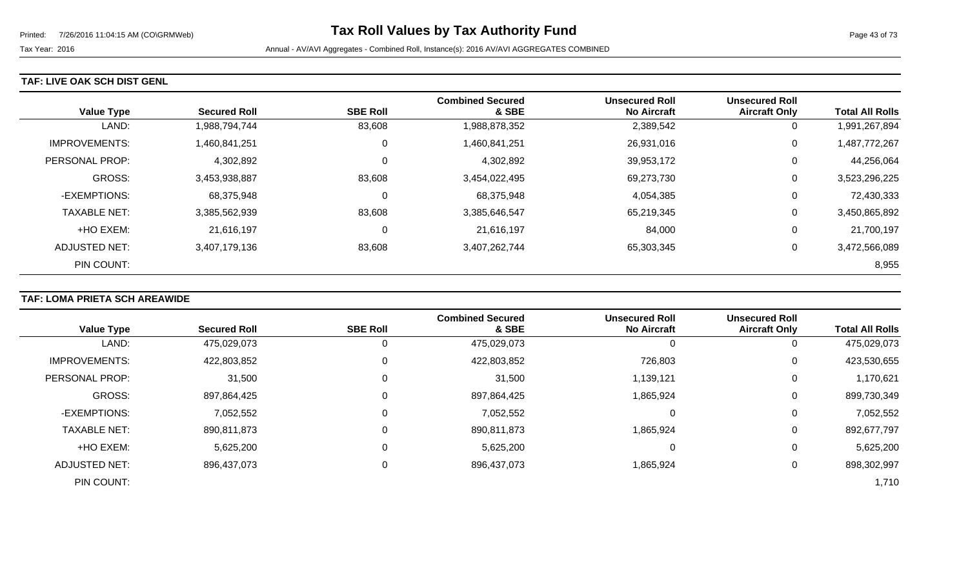#### **TAF: LIVE OAK SCH DIST GENL**

| <b>Value Type</b>    | <b>Secured Roll</b> | <b>SBE Roll</b> | <b>Combined Secured</b><br>& SBE | <b>Unsecured Roll</b><br><b>No Aircraft</b> | <b>Unsecured Roll</b><br><b>Aircraft Only</b> | <b>Total All Rolls</b> |
|----------------------|---------------------|-----------------|----------------------------------|---------------------------------------------|-----------------------------------------------|------------------------|
| LAND:                | 1,988,794,744       | 83,608          | 1,988,878,352                    | 2,389,542                                   | 0                                             | 1,991,267,894          |
| <b>IMPROVEMENTS:</b> | 1,460,841,251       | 0               | 1,460,841,251                    | 26,931,016                                  | 0                                             | 1,487,772,267          |
| PERSONAL PROP:       | 4,302,892           | 0               | 4,302,892                        | 39,953,172                                  | 0                                             | 44,256,064             |
| <b>GROSS:</b>        | 3,453,938,887       | 83,608          | 3,454,022,495                    | 69,273,730                                  | 0                                             | 3,523,296,225          |
| -EXEMPTIONS:         | 68,375,948          | 0               | 68,375,948                       | 4,054,385                                   | 0                                             | 72,430,333             |
| <b>TAXABLE NET:</b>  | 3,385,562,939       | 83,608          | 3,385,646,547                    | 65,219,345                                  | 0                                             | 3,450,865,892          |
| +HO EXEM:            | 21,616,197          | 0               | 21,616,197                       | 84,000                                      | 0                                             | 21,700,197             |
| ADJUSTED NET:        | 3,407,179,136       | 83,608          | 3,407,262,744                    | 65,303,345                                  | 0                                             | 3,472,566,089          |
| PIN COUNT:           |                     |                 |                                  |                                             |                                               | 8,955                  |

# **TAF: LOMA PRIETA SCH AREAWIDE**

|                      |                     |                 | <b>Combined Secured</b> | <b>Unsecured Roll</b> | <b>Unsecured Roll</b> |                        |
|----------------------|---------------------|-----------------|-------------------------|-----------------------|-----------------------|------------------------|
| <b>Value Type</b>    | <b>Secured Roll</b> | <b>SBE Roll</b> | & SBE                   | <b>No Aircraft</b>    | <b>Aircraft Only</b>  | <b>Total All Rolls</b> |
| LAND:                | 475,029,073         |                 | 475,029,073             | O                     | 0                     | 475,029,073            |
| <b>IMPROVEMENTS:</b> | 422,803,852         |                 | 422,803,852             | 726,803               | 0                     | 423,530,655            |
| PERSONAL PROP:       | 31,500              |                 | 31,500                  | 1,139,121             | 0                     | 1,170,621              |
| <b>GROSS:</b>        | 897,864,425         |                 | 897,864,425             | 1,865,924             | 0                     | 899,730,349            |
| -EXEMPTIONS:         | 7,052,552           |                 | 7,052,552               | 0                     | 0                     | 7,052,552              |
| <b>TAXABLE NET:</b>  | 890,811,873         |                 | 890,811,873             | 1,865,924             | 0                     | 892,677,797            |
| +HO EXEM:            | 5,625,200           |                 | 5,625,200               | 0                     | 0                     | 5,625,200              |
| <b>ADJUSTED NET:</b> | 896,437,073         |                 | 896,437,073             | 1,865,924             | 0                     | 898,302,997            |
| PIN COUNT:           |                     |                 |                         |                       |                       | 1,710                  |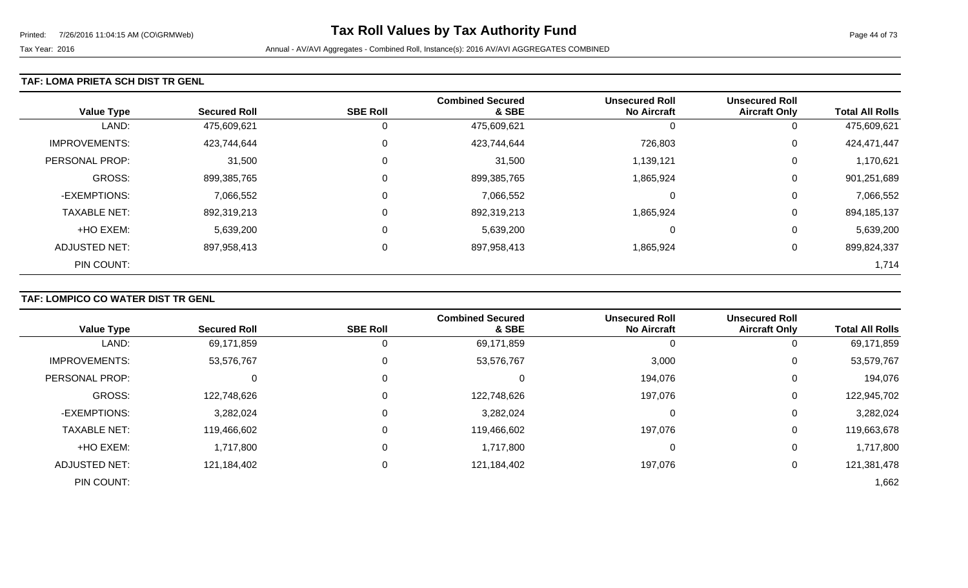### **TAF: LOMA PRIETA SCH DIST TR GENL**

| <b>Value Type</b>    | <b>Secured Roll</b> | <b>SBE Roll</b> | <b>Combined Secured</b><br>& SBE | <b>Unsecured Roll</b><br><b>No Aircraft</b> | <b>Unsecured Roll</b><br><b>Aircraft Only</b> | <b>Total All Rolls</b> |
|----------------------|---------------------|-----------------|----------------------------------|---------------------------------------------|-----------------------------------------------|------------------------|
| LAND:                | 475,609,621         | 0               | 475,609,621                      | O                                           | 0                                             | 475,609,621            |
| <b>IMPROVEMENTS:</b> | 423,744,644         | $\mathbf 0$     | 423,744,644                      | 726,803                                     | 0                                             | 424,471,447            |
| PERSONAL PROP:       | 31,500              | $\mathbf 0$     | 31,500                           | 1,139,121                                   | 0                                             | 1,170,621              |
| <b>GROSS:</b>        | 899,385,765         | $\overline{0}$  | 899,385,765                      | 1,865,924                                   | 0                                             | 901,251,689            |
| -EXEMPTIONS:         | 7,066,552           | 0               | 7,066,552                        | 0                                           | 0                                             | 7,066,552              |
| <b>TAXABLE NET:</b>  | 892,319,213         | $\overline{0}$  | 892,319,213                      | 1,865,924                                   | 0                                             | 894,185,137            |
| +HO EXEM:            | 5,639,200           | $\mathbf 0$     | 5,639,200                        | 0                                           | 0                                             | 5,639,200              |
| <b>ADJUSTED NET:</b> | 897,958,413         | 0               | 897,958,413                      | 1,865,924                                   | 0                                             | 899,824,337            |
| PIN COUNT:           |                     |                 |                                  |                                             |                                               | 1,714                  |

# **TAF: LOMPICO CO WATER DIST TR GENL**

|                      |                     |                 | <b>Combined Secured</b> | <b>Unsecured Roll</b> | <b>Unsecured Roll</b> |                        |
|----------------------|---------------------|-----------------|-------------------------|-----------------------|-----------------------|------------------------|
| <b>Value Type</b>    | <b>Secured Roll</b> | <b>SBE Roll</b> | & SBE                   | <b>No Aircraft</b>    | <b>Aircraft Only</b>  | <b>Total All Rolls</b> |
| LAND:                | 69,171,859          |                 | 69,171,859              | 0                     | U                     | 69,171,859             |
| <b>IMPROVEMENTS:</b> | 53,576,767          |                 | 53,576,767              | 3,000                 | 0                     | 53,579,767             |
| PERSONAL PROP:       | 0                   |                 | υ                       | 194,076               | 0                     | 194,076                |
| <b>GROSS:</b>        | 122,748,626         |                 | 122,748,626             | 197,076               | 0                     | 122,945,702            |
| -EXEMPTIONS:         | 3,282,024           |                 | 3,282,024               | 0                     | 0                     | 3,282,024              |
| <b>TAXABLE NET:</b>  | 119,466,602         |                 | 119,466,602             | 197,076               | 0                     | 119,663,678            |
| +HO EXEM:            | 1,717,800           |                 | 1,717,800               | 0                     | 0                     | 1,717,800              |
| <b>ADJUSTED NET:</b> | 121,184,402         |                 | 121,184,402             | 197,076               | 0                     | 121,381,478            |
| PIN COUNT:           |                     |                 |                         |                       |                       | 1,662                  |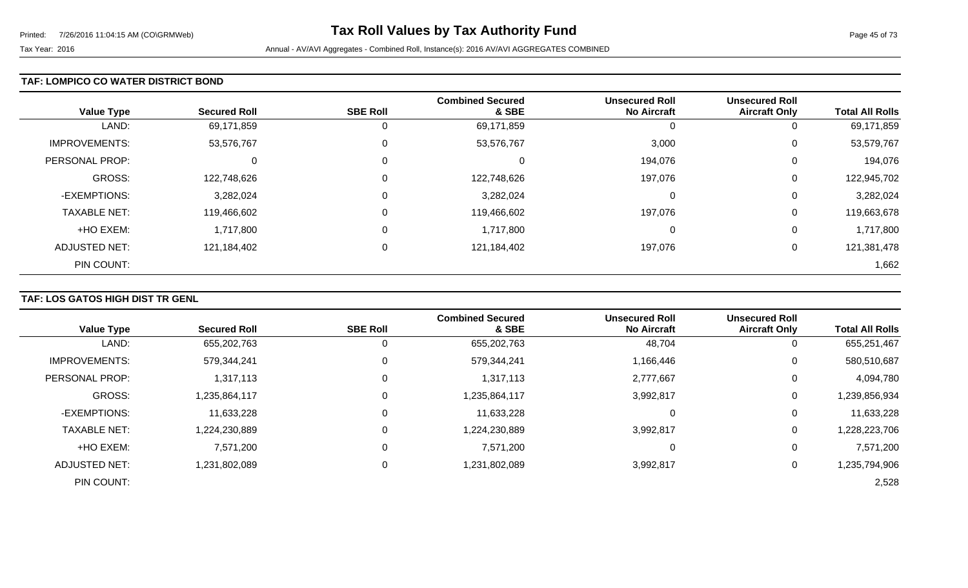### **TAF: LOMPICO CO WATER DISTRICT BOND**

| <b>Value Type</b>    | <b>Secured Roll</b> | <b>SBE Roll</b> | <b>Combined Secured</b><br>& SBE | <b>Unsecured Roll</b><br><b>No Aircraft</b> | <b>Unsecured Roll</b><br><b>Aircraft Only</b> | <b>Total All Rolls</b> |
|----------------------|---------------------|-----------------|----------------------------------|---------------------------------------------|-----------------------------------------------|------------------------|
| LAND:                | 69,171,859          | 0               | 69,171,859                       | U                                           | 0                                             | 69,171,859             |
| <b>IMPROVEMENTS:</b> | 53,576,767          | $\overline{0}$  | 53,576,767                       | 3,000                                       | 0                                             | 53,579,767             |
| PERSONAL PROP:       | $\Omega$            | $\overline{0}$  | 0                                | 194,076                                     | 0                                             | 194,076                |
| GROSS:               | 122,748,626         | $\overline{0}$  | 122,748,626                      | 197,076                                     | 0                                             | 122,945,702            |
| -EXEMPTIONS:         | 3,282,024           | $\overline{0}$  | 3,282,024                        | 0                                           | 0                                             | 3,282,024              |
| <b>TAXABLE NET:</b>  | 119,466,602         | $\overline{0}$  | 119,466,602                      | 197,076                                     | 0                                             | 119,663,678            |
| +HO EXEM:            | 1,717,800           | $\overline{0}$  | 1,717,800                        | 0                                           | 0                                             | 1,717,800              |
| <b>ADJUSTED NET:</b> | 121,184,402         | 0               | 121,184,402                      | 197,076                                     | 0                                             | 121,381,478            |
| PIN COUNT:           |                     |                 |                                  |                                             |                                               | 1,662                  |

# **TAF: LOS GATOS HIGH DIST TR GENL**

|                      |                     |                 | <b>Combined Secured</b> | <b>Unsecured Roll</b> | <b>Unsecured Roll</b> |                        |
|----------------------|---------------------|-----------------|-------------------------|-----------------------|-----------------------|------------------------|
| <b>Value Type</b>    | <b>Secured Roll</b> | <b>SBE Roll</b> | & SBE                   | <b>No Aircraft</b>    | <b>Aircraft Only</b>  | <b>Total All Rolls</b> |
| LAND:                | 655,202,763         |                 | 655,202,763             | 48,704                | 0                     | 655,251,467            |
| <b>IMPROVEMENTS:</b> | 579,344,241         | 0               | 579,344,241             | 1,166,446             | 0                     | 580,510,687            |
| PERSONAL PROP:       | 1,317,113           |                 | 1,317,113               | 2,777,667             | 0                     | 4,094,780              |
| <b>GROSS:</b>        | 1,235,864,117       |                 | 1,235,864,117           | 3,992,817             | $\overline{0}$        | 1,239,856,934          |
| -EXEMPTIONS:         | 11,633,228          |                 | 11,633,228              | 0                     | 0                     | 11,633,228             |
| <b>TAXABLE NET:</b>  | 1,224,230,889       |                 | 1,224,230,889           | 3,992,817             | 0                     | ,228,223,706           |
| +HO EXEM:            | 7,571,200           |                 | 7,571,200               | 0                     | 0                     | 7,571,200              |
| ADJUSTED NET:        | 1,231,802,089       |                 | 1,231,802,089           | 3,992,817             | 0                     | 1,235,794,906          |
| PIN COUNT:           |                     |                 |                         |                       |                       | 2,528                  |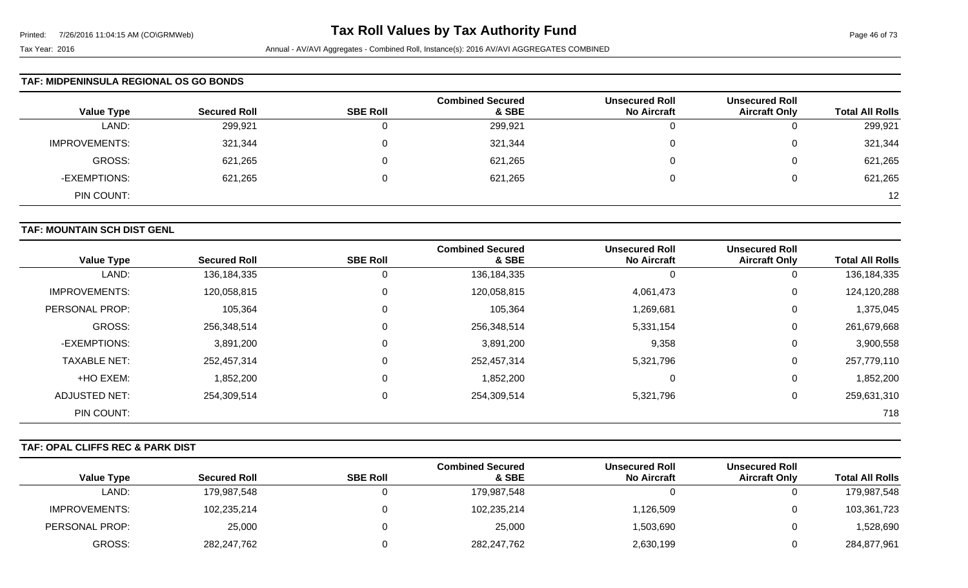#### **TAF: MIDPENINSULA REGIONAL OS GO BONDS**

| <b>Value Type</b>    | <b>Secured Roll</b> | <b>SBE Roll</b> | <b>Combined Secured</b><br>& SBE | <b>Unsecured Roll</b><br><b>No Aircraft</b> | <b>Unsecured Roll</b><br><b>Aircraft Only</b> | <b>Total All Rolls</b> |
|----------------------|---------------------|-----------------|----------------------------------|---------------------------------------------|-----------------------------------------------|------------------------|
| LAND:                | 299,921             | 0               | 299,921                          | u                                           | ັ                                             | 299,921                |
| <b>IMPROVEMENTS:</b> | 321,344             | $\Omega$        | 321,344                          |                                             | ν                                             | 321,344                |
| GROSS:               | 621,265             | $\Omega$        | 621,265                          |                                             |                                               | 621,265                |
| -EXEMPTIONS:         | 621,265             | $\Omega$        | 621,265                          |                                             | ν                                             | 621,265                |
| PIN COUNT:           |                     |                 |                                  |                                             |                                               | 12                     |

### **TAF: MOUNTAIN SCH DIST GENL**

|                      |                     |                 | <b>Combined Secured</b> | <b>Unsecured Roll</b> | <b>Unsecured Roll</b> |                        |
|----------------------|---------------------|-----------------|-------------------------|-----------------------|-----------------------|------------------------|
| <b>Value Type</b>    | <b>Secured Roll</b> | <b>SBE Roll</b> | & SBE                   | <b>No Aircraft</b>    | <b>Aircraft Only</b>  | <b>Total All Rolls</b> |
| LAND:                | 136,184,335         | $\mathbf{0}$    | 136, 184, 335           | U                     | 0                     | 136, 184, 335          |
| <b>IMPROVEMENTS:</b> | 120,058,815         | 0               | 120,058,815             | 4,061,473             | 0                     | 124,120,288            |
| PERSONAL PROP:       | 105,364             | $\mathbf 0$     | 105,364                 | 1,269,681             | 0                     | 1,375,045              |
| <b>GROSS:</b>        | 256,348,514         | $\mathbf 0$     | 256,348,514             | 5,331,154             | 0                     | 261,679,668            |
| -EXEMPTIONS:         | 3,891,200           | $\mathbf 0$     | 3,891,200               | 9,358                 | 0                     | 3,900,558              |
| <b>TAXABLE NET:</b>  | 252,457,314         | $\mathbf 0$     | 252,457,314             | 5,321,796             | 0                     | 257,779,110            |
| +HO EXEM:            | 1,852,200           | $\mathbf 0$     | 1,852,200               | $\Omega$              | 0                     | 1,852,200              |
| ADJUSTED NET:        | 254,309,514         | $\mathbf 0$     | 254,309,514             | 5,321,796             | 0                     | 259,631,310            |
| PIN COUNT:           |                     |                 |                         |                       |                       | 718                    |

### **TAF: OPAL CLIFFS REC & PARK DIST**

|                      |                     |                 | <b>Combined Secured</b> | <b>Unsecured Roll</b> | <b>Unsecured Roll</b> |                        |
|----------------------|---------------------|-----------------|-------------------------|-----------------------|-----------------------|------------------------|
| <b>Value Type</b>    | <b>Secured Roll</b> | <b>SBE Roll</b> | & SBE                   | <b>No Aircraft</b>    | <b>Aircraft Only</b>  | <b>Total All Rolls</b> |
| LAND:                | 179,987,548         |                 | 179,987,548             |                       |                       | 179,987,548            |
| <b>IMPROVEMENTS:</b> | 102,235,214         |                 | 102,235,214             | 1,126,509             |                       | 103,361,723            |
| PERSONAL PROP:       | 25,000              |                 | 25,000                  | 1,503,690             |                       | 1,528,690              |
| GROSS:               | 282,247,762         |                 | 282,247,762             | 2,630,199             |                       | 284,877,961            |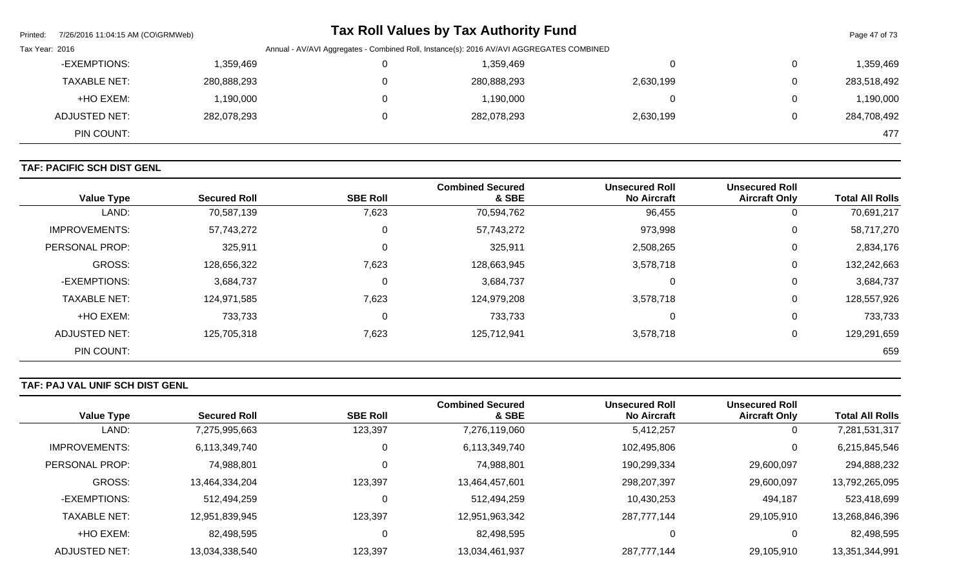| Printed: | 7/26/2016 11:04:15 AM (CO\GRMWeb)                                                                          |             |  | Tax Roll Values by Tax Authority Fund |           |  | Page 47 of 73 |
|----------|------------------------------------------------------------------------------------------------------------|-------------|--|---------------------------------------|-----------|--|---------------|
|          | Annual - AV/AVI Aggregates - Combined Roll, Instance(s): 2016 AV/AVI AGGREGATES COMBINED<br>Tax Year: 2016 |             |  |                                       |           |  |               |
|          | -EXEMPTIONS:                                                                                               | 1,359,469   |  | 1,359,469                             | 0         |  | 1,359,469     |
|          | <b>TAXABLE NET:</b>                                                                                        | 280,888,293 |  | 280,888,293                           | 2,630,199 |  | 283,518,492   |
|          | +HO EXEM:                                                                                                  | 1,190,000   |  | 1,190,000                             | 0         |  | 1,190,000     |
|          | <b>ADJUSTED NET:</b>                                                                                       | 282,078,293 |  | 282,078,293                           | 2,630,199 |  | 284,708,492   |
|          | PIN COUNT:                                                                                                 |             |  |                                       |           |  | 477           |

# **TAF: PACIFIC SCH DIST GENL**

| <b>Value Type</b>     | <b>Secured Roll</b> | <b>SBE Roll</b> | <b>Combined Secured</b><br>& SBE | <b>Unsecured Roll</b><br><b>No Aircraft</b> | <b>Unsecured Roll</b><br><b>Aircraft Only</b> | <b>Total All Rolls</b> |
|-----------------------|---------------------|-----------------|----------------------------------|---------------------------------------------|-----------------------------------------------|------------------------|
| LAND:                 | 70,587,139          | 7,623           | 70,594,762                       | 96,455                                      | 0                                             | 70,691,217             |
| <b>IMPROVEMENTS:</b>  | 57,743,272          | 0               | 57,743,272                       | 973,998                                     | 0                                             | 58,717,270             |
| <b>PERSONAL PROP:</b> | 325,911             | $\Omega$        | 325,911                          | 2,508,265                                   | 0                                             | 2,834,176              |
| <b>GROSS:</b>         | 128,656,322         | 7,623           | 128,663,945                      | 3,578,718                                   | 0                                             | 132,242,663            |
| -EXEMPTIONS:          | 3,684,737           | 0               | 3,684,737                        | $\Omega$                                    | 0                                             | 3,684,737              |
| <b>TAXABLE NET:</b>   | 124,971,585         | 7,623           | 124,979,208                      | 3,578,718                                   | 0                                             | 128,557,926            |
| +HO EXEM:             | 733,733             | 0               | 733,733                          | $\Omega$                                    | 0                                             | 733,733                |
| <b>ADJUSTED NET:</b>  | 125,705,318         | 7,623           | 125,712,941                      | 3,578,718                                   | 0                                             | 129,291,659            |
| PIN COUNT:            |                     |                 |                                  |                                             |                                               | 659                    |

# **TAF: PAJ VAL UNIF SCH DIST GENL**

|                      |                     |                 | <b>Combined Secured</b> | <b>Unsecured Roll</b> | <b>Unsecured Roll</b> |                        |
|----------------------|---------------------|-----------------|-------------------------|-----------------------|-----------------------|------------------------|
| <b>Value Type</b>    | <b>Secured Roll</b> | <b>SBE Roll</b> | & SBE                   | <b>No Aircraft</b>    | <b>Aircraft Only</b>  | <b>Total All Rolls</b> |
| LAND:                | 7,275,995,663       | 123,397         | 7,276,119,060           | 5,412,257             | 0                     | 7,281,531,317          |
| <b>IMPROVEMENTS:</b> | 6,113,349,740       | 0               | 6,113,349,740           | 102,495,806           | 0                     | 6,215,845,546          |
| PERSONAL PROP:       | 74,988,801          | 0               | 74,988,801              | 190,299,334           | 29,600,097            | 294,888,232            |
| <b>GROSS:</b>        | 13.464.334.204      | 123,397         | 13,464,457,601          | 298,207,397           | 29,600,097            | 13,792,265,095         |
| -EXEMPTIONS:         | 512,494,259         | 0               | 512,494,259             | 10,430,253            | 494,187               | 523,418,699            |
| <b>TAXABLE NET:</b>  | 12,951,839,945      | 123,397         | 12,951,963,342          | 287,777,144           | 29,105,910            | 13,268,846,396         |
| +HO EXEM:            | 82,498,595          | 0               | 82,498,595              |                       |                       | 82,498,595             |
| ADJUSTED NET:        | 13,034,338,540      | 123,397         | 13,034,461,937          | 287,777,144           | 29,105,910            | 13,351,344,991         |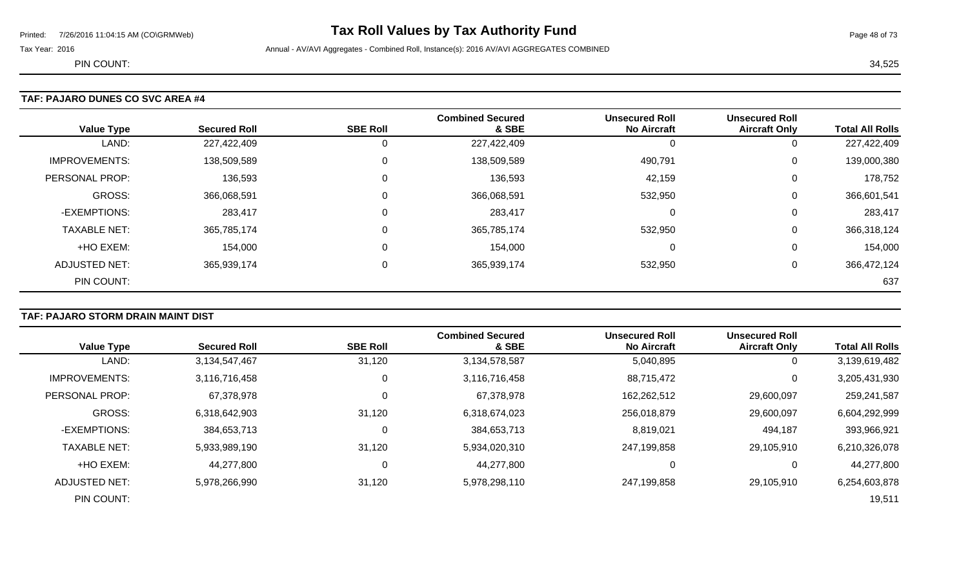# Printed: 7/26/2016 11:04:15 AM (CO\GRMWeb) **Tax Roll Values by Tax Authority Fund** Page 48 of 73

Tax Year: 2016 **Annual - AV/AVI Aggregates - Combined Roll**, Instance(s): 2016 AV/AVI AGGREGATES COMBINED

PIN COUNT: 34,525

# **TAF: PAJARO DUNES CO SVC AREA #4**

| <b>Value Type</b>    | <b>Secured Roll</b> | <b>SBE Roll</b> | <b>Combined Secured</b><br>& SBE | <b>Unsecured Roll</b><br><b>No Aircraft</b> | <b>Unsecured Roll</b><br><b>Aircraft Only</b> | <b>Total All Rolls</b> |
|----------------------|---------------------|-----------------|----------------------------------|---------------------------------------------|-----------------------------------------------|------------------------|
| LAND:                | 227,422,409         |                 | 227,422,409                      |                                             | 0                                             | 227,422,409            |
| <b>IMPROVEMENTS:</b> | 138,509,589         |                 | 138,509,589                      | 490,791                                     | 0                                             | 139,000,380            |
| PERSONAL PROP:       | 136,593             |                 | 136,593                          | 42,159                                      | 0                                             | 178,752                |
| <b>GROSS:</b>        | 366,068,591         |                 | 366,068,591                      | 532,950                                     | 0                                             | 366,601,541            |
| -EXEMPTIONS:         | 283,417             |                 | 283,417                          | 0                                           | 0                                             | 283,417                |
| <b>TAXABLE NET:</b>  | 365,785,174         |                 | 365,785,174                      | 532,950                                     | 0                                             | 366,318,124            |
| +HO EXEM:            | 154,000             |                 | 154,000                          | $\Omega$                                    | 0                                             | 154,000                |
| <b>ADJUSTED NET:</b> | 365,939,174         |                 | 365,939,174                      | 532,950                                     | 0                                             | 366,472,124            |
| PIN COUNT:           |                     |                 |                                  |                                             |                                               | 637                    |

### **TAF: PAJARO STORM DRAIN MAINT DIST**

|                      |                     |                 | <b>Combined Secured</b> | <b>Unsecured Roll</b> | <b>Unsecured Roll</b> |                        |
|----------------------|---------------------|-----------------|-------------------------|-----------------------|-----------------------|------------------------|
| <b>Value Type</b>    | <b>Secured Roll</b> | <b>SBE Roll</b> | & SBE                   | <b>No Aircraft</b>    | <b>Aircraft Only</b>  | <b>Total All Rolls</b> |
| LAND:                | 3,134,547,467       | 31,120          | 3,134,578,587           | 5,040,895             | 0                     | 3,139,619,482          |
| <b>IMPROVEMENTS:</b> | 3,116,716,458       | $\mathbf 0$     | 3,116,716,458           | 88,715,472            | 0                     | 3,205,431,930          |
| PERSONAL PROP:       | 67,378,978          | $\mathbf 0$     | 67,378,978              | 162,262,512           | 29,600,097            | 259,241,587            |
| <b>GROSS:</b>        | 6,318,642,903       | 31,120          | 6,318,674,023           | 256,018,879           | 29,600,097            | 6,604,292,999          |
| -EXEMPTIONS:         | 384,653,713         | 0               | 384,653,713             | 8,819,021             | 494,187               | 393,966,921            |
| <b>TAXABLE NET:</b>  | 5,933,989,190       | 31,120          | 5,934,020,310           | 247,199,858           | 29,105,910            | 6,210,326,078          |
| +HO EXEM:            | 44,277,800          | 0               | 44,277,800              | $\Omega$              | 0                     | 44,277,800             |
| ADJUSTED NET:        | 5,978,266,990       | 31,120          | 5,978,298,110           | 247,199,858           | 29,105,910            | 6,254,603,878          |
| PIN COUNT:           |                     |                 |                         |                       |                       | 19,511                 |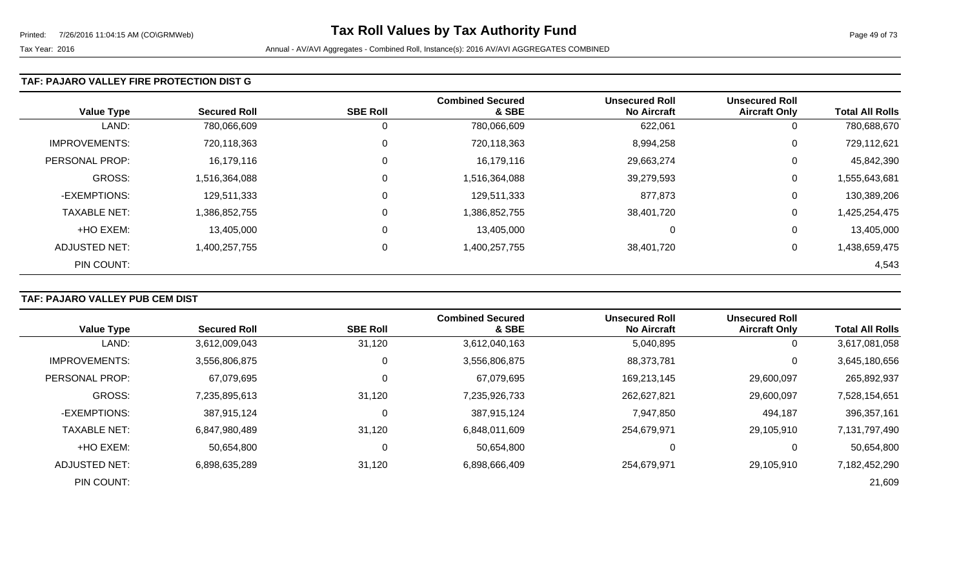### **TAF: PAJARO VALLEY FIRE PROTECTION DIST G**

| <b>Value Type</b>    | <b>Secured Roll</b> | <b>SBE Roll</b> | <b>Combined Secured</b><br>& SBE | <b>Unsecured Roll</b><br><b>No Aircraft</b> | <b>Unsecured Roll</b><br><b>Aircraft Only</b> | <b>Total All Rolls</b> |
|----------------------|---------------------|-----------------|----------------------------------|---------------------------------------------|-----------------------------------------------|------------------------|
| LAND:                | 780,066,609         | 0               | 780,066,609                      | 622,061                                     | 0                                             | 780,688,670            |
| <b>IMPROVEMENTS:</b> | 720,118,363         | $\mathbf 0$     | 720,118,363                      | 8,994,258                                   | 0                                             | 729,112,621            |
| PERSONAL PROP:       | 16,179,116          | $\mathbf 0$     | 16,179,116                       | 29,663,274                                  | 0                                             | 45,842,390             |
| <b>GROSS:</b>        | 1,516,364,088       | 0               | 1,516,364,088                    | 39,279,593                                  | 0                                             | 1,555,643,681          |
| -EXEMPTIONS:         | 129,511,333         | 0               | 129,511,333                      | 877,873                                     | 0                                             | 130,389,206            |
| <b>TAXABLE NET:</b>  | 1,386,852,755       | $\mathbf 0$     | 1,386,852,755                    | 38,401,720                                  | 0                                             | 1,425,254,475          |
| +HO EXEM:            | 13,405,000          | 0               | 13,405,000                       | 0                                           | 0                                             | 13,405,000             |
| ADJUSTED NET:        | 1,400,257,755       | 0               | 1,400,257,755                    | 38,401,720                                  | 0                                             | 1,438,659,475          |
| PIN COUNT:           |                     |                 |                                  |                                             |                                               | 4,543                  |

# **TAF: PAJARO VALLEY PUB CEM DIST**

|                      |                     |                 | <b>Combined Secured</b> | <b>Unsecured Roll</b> | <b>Unsecured Roll</b> |                        |
|----------------------|---------------------|-----------------|-------------------------|-----------------------|-----------------------|------------------------|
| <b>Value Type</b>    | <b>Secured Roll</b> | <b>SBE Roll</b> | & SBE                   | <b>No Aircraft</b>    | <b>Aircraft Only</b>  | <b>Total All Rolls</b> |
| LAND:                | 3,612,009,043       | 31,120          | 3,612,040,163           | 5,040,895             | 0                     | 3,617,081,058          |
| <b>IMPROVEMENTS:</b> | 3,556,806,875       | 0               | 3,556,806,875           | 88,373,781            | 0                     | 3,645,180,656          |
| PERSONAL PROP:       | 67,079,695          | 0               | 67,079,695              | 169,213,145           | 29,600,097            | 265,892,937            |
| <b>GROSS:</b>        | 7,235,895,613       | 31,120          | 7,235,926,733           | 262,627,821           | 29,600,097            | 7,528,154,651          |
| -EXEMPTIONS:         | 387,915,124         | $\Omega$        | 387,915,124             | 7,947,850             | 494,187               | 396,357,161            |
| <b>TAXABLE NET:</b>  | 6,847,980,489       | 31,120          | 6,848,011,609           | 254,679,971           | 29,105,910            | 7,131,797,490          |
| +HO EXEM:            | 50,654,800          | 0               | 50,654,800              |                       | 0                     | 50,654,800             |
| ADJUSTED NET:        | 6,898,635,289       | 31,120          | 6,898,666,409           | 254,679,971           | 29,105,910            | 7,182,452,290          |
| PIN COUNT:           |                     |                 |                         |                       |                       | 21,609                 |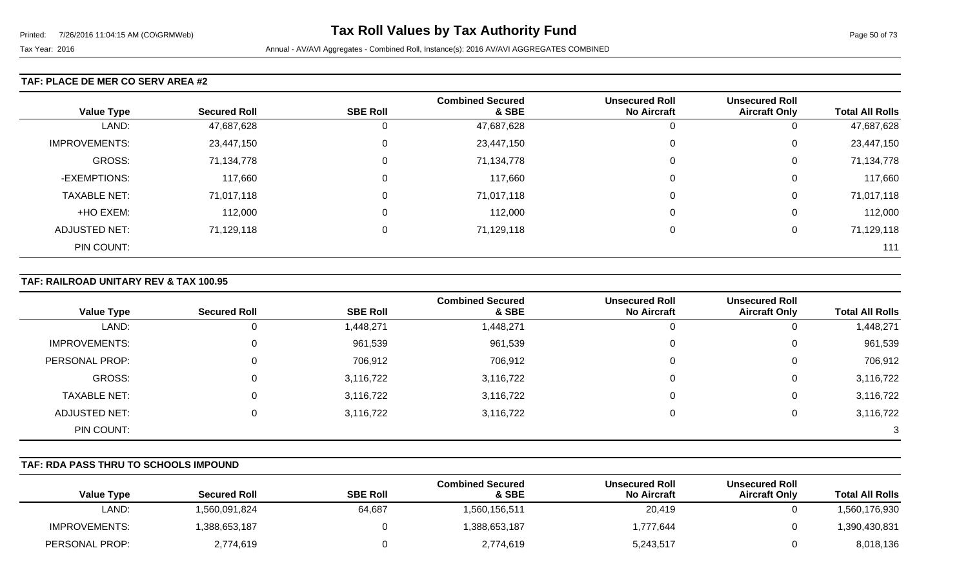### **TAF: PLACE DE MER CO SERV AREA #2**

|                      |                     |                 | <b>Combined Secured</b> | <b>Unsecured Roll</b> | <b>Unsecured Roll</b> |                        |
|----------------------|---------------------|-----------------|-------------------------|-----------------------|-----------------------|------------------------|
| <b>Value Type</b>    | <b>Secured Roll</b> | <b>SBE Roll</b> | & SBE                   | <b>No Aircraft</b>    | <b>Aircraft Only</b>  | <b>Total All Rolls</b> |
| LAND:                | 47,687,628          |                 | 47,687,628              | υ                     | U                     | 47,687,628             |
| <b>IMPROVEMENTS:</b> | 23,447,150          |                 | 23,447,150              | 0                     | 0                     | 23,447,150             |
| GROSS:               | 71,134,778          | 0               | 71,134,778              | 0                     | 0                     | 71,134,778             |
| -EXEMPTIONS:         | 117,660             | 0               | 117,660                 | 0                     | 0                     | 117,660                |
| <b>TAXABLE NET:</b>  | 71,017,118          | 0               | 71,017,118              | 0                     | 0                     | 71,017,118             |
| +HO EXEM:            | 112,000             | 0               | 112,000                 | $\Omega$              | 0                     | 112,000                |
| <b>ADJUSTED NET:</b> | 71,129,118          | 0               | 71,129,118              | $\Omega$              | U                     | 71,129,118             |
| PIN COUNT:           |                     |                 |                         |                       |                       | 111                    |

### **TAF: RAILROAD UNITARY REV & TAX 100.95**

|                      |                     |                 | <b>Combined Secured</b> | <b>Unsecured Roll</b> | <b>Unsecured Roll</b> |                        |
|----------------------|---------------------|-----------------|-------------------------|-----------------------|-----------------------|------------------------|
| <b>Value Type</b>    | <b>Secured Roll</b> | <b>SBE Roll</b> | & SBE                   | <b>No Aircraft</b>    | <b>Aircraft Only</b>  | <b>Total All Rolls</b> |
| LAND:                |                     | 1,448,271       | 1,448,271               |                       | 0                     | 1,448,271              |
| IMPROVEMENTS:        |                     | 961,539         | 961,539                 |                       | 0                     | 961,539                |
| PERSONAL PROP:       |                     | 706,912         | 706,912                 |                       | 0                     | 706,912                |
| GROSS:               |                     | 3,116,722       | 3,116,722               |                       | 0                     | 3,116,722              |
| <b>TAXABLE NET:</b>  |                     | 3,116,722       | 3,116,722               |                       | 0                     | 3,116,722              |
| <b>ADJUSTED NET:</b> |                     | 3,116,722       | 3,116,722               |                       | 0                     | 3,116,722              |
| PIN COUNT:           |                     |                 |                         |                       |                       | 3                      |

### **TAF: RDA PASS THRU TO SCHOOLS IMPOUND**

| <b>Value Type</b> | <b>Secured Roll</b> | <b>SBE Roll</b> | <b>Combined Secured</b><br>& SBE | <b>Unsecured Roll</b><br><b>No Aircraft</b> | <b>Unsecured Roll</b><br><b>Aircraft Only</b> | <b>Total All Rolls</b> |
|-------------------|---------------------|-----------------|----------------------------------|---------------------------------------------|-----------------------------------------------|------------------------|
| LAND:             | 1,560,091,824       | 64,687          | 1,560,156,511                    | 20,419                                      |                                               | ,560,176,930           |
| IMPROVEMENTS:     | ,388,653,187        |                 | 1,388,653,187                    | 1,777,644                                   |                                               | ,390,430,831           |
| PERSONAL PROP:    | 2,774,619           |                 | 2,774,619                        | 5,243,517                                   |                                               | 8,018,136              |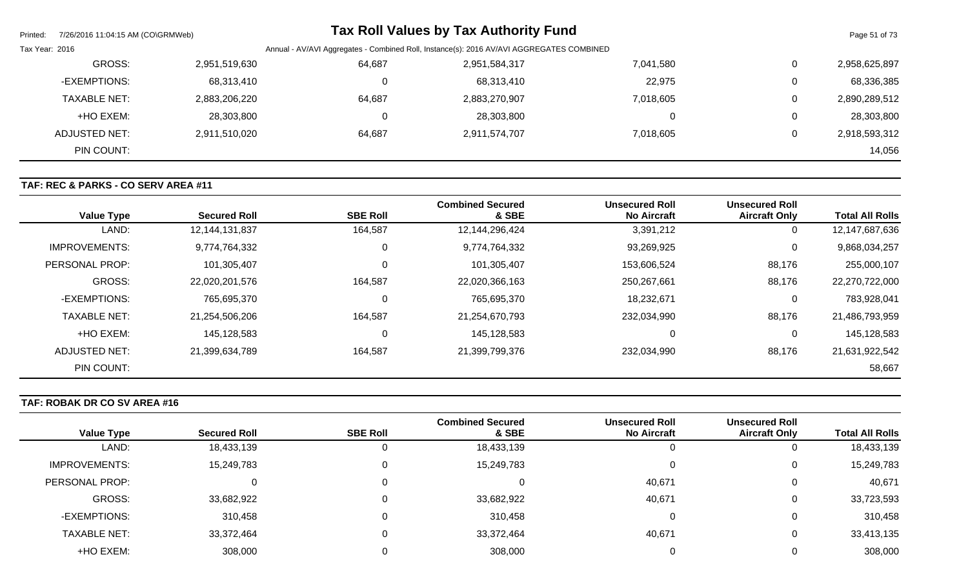| Printed:       | 7/26/2016 11:04:15 AM (CO\GRMWeb) |               |                                                                                          | <b>Tax Roll Values by Tax Authority Fund</b> |           |   | Page 51 of 73 |
|----------------|-----------------------------------|---------------|------------------------------------------------------------------------------------------|----------------------------------------------|-----------|---|---------------|
| Tax Year: 2016 |                                   |               | Annual - AV/AVI Aggregates - Combined Roll, Instance(s): 2016 AV/AVI AGGREGATES COMBINED |                                              |           |   |               |
|                | GROSS:                            | 2,951,519,630 | 64,687                                                                                   | 2,951,584,317                                | 7,041,580 | 0 | 2,958,625,897 |
|                | -EXEMPTIONS:                      | 68,313,410    |                                                                                          | 68,313,410                                   | 22,975    | 0 | 68,336,385    |
|                | <b>TAXABLE NET:</b>               | 2,883,206,220 | 64,687                                                                                   | 2,883,270,907                                | 7,018,605 | 0 | 2,890,289,512 |
|                | +HO EXEM:                         | 28,303,800    |                                                                                          | 28,303,800                                   | 0         | 0 | 28,303,800    |
|                | ADJUSTED NET:                     | 2,911,510,020 | 64,687                                                                                   | 2,911,574,707                                | 7,018,605 | 0 | 2,918,593,312 |
|                | PIN COUNT:                        |               |                                                                                          |                                              |           |   | 14,056        |

# **TAF: REC & PARKS - CO SERV AREA #11**

| <b>Value Type</b>    | <b>Secured Roll</b> | <b>SBE Roll</b> | <b>Combined Secured</b><br>& SBE | <b>Unsecured Roll</b><br><b>No Aircraft</b> | <b>Unsecured Roll</b><br><b>Aircraft Only</b> | <b>Total All Rolls</b> |
|----------------------|---------------------|-----------------|----------------------------------|---------------------------------------------|-----------------------------------------------|------------------------|
| LAND:                | 12,144,131,837      | 164,587         | 12,144,296,424                   | 3,391,212                                   | 0                                             | 12,147,687,636         |
| <b>IMPROVEMENTS:</b> | 9,774,764,332       | 0               | 9,774,764,332                    | 93,269,925                                  | 0                                             | 9,868,034,257          |
| PERSONAL PROP:       | 101,305,407         | 0               | 101,305,407                      | 153,606,524                                 | 88,176                                        | 255,000,107            |
| <b>GROSS:</b>        | 22,020,201,576      | 164,587         | 22,020,366,163                   | 250,267,661                                 | 88,176                                        | 22,270,722,000         |
| -EXEMPTIONS:         | 765,695,370         | 0               | 765,695,370                      | 18,232,671                                  | 0                                             | 783,928,041            |
| <b>TAXABLE NET:</b>  | 21,254,506,206      | 164,587         | 21,254,670,793                   | 232,034,990                                 | 88,176                                        | 21,486,793,959         |
| +HO EXEM:            | 145,128,583         | 0               | 145,128,583                      |                                             | 0                                             | 145,128,583            |
| ADJUSTED NET:        | 21,399,634,789      | 164,587         | 21,399,799,376                   | 232,034,990                                 | 88,176                                        | 21,631,922,542         |
| PIN COUNT:           |                     |                 |                                  |                                             |                                               | 58,667                 |

# **TAF: ROBAK DR CO SV AREA #16**

|                      |                     |                 | <b>Combined Secured</b> | <b>Unsecured Roll</b> | <b>Unsecured Roll</b> |                        |
|----------------------|---------------------|-----------------|-------------------------|-----------------------|-----------------------|------------------------|
| <b>Value Type</b>    | <b>Secured Roll</b> | <b>SBE Roll</b> | & SBE                   | <b>No Aircraft</b>    | <b>Aircraft Only</b>  | <b>Total All Rolls</b> |
| LAND:                | 18,433,139          | 0               | 18,433,139              |                       |                       | 18,433,139             |
| <b>IMPROVEMENTS:</b> | 15,249,783          | 0               | 15,249,783              |                       |                       | 15,249,783             |
| PERSONAL PROP:       | 0                   | 0               |                         | 40,671                |                       | 40,671                 |
| GROSS:               | 33,682,922          | 0               | 33,682,922              | 40,671                |                       | 33,723,593             |
| -EXEMPTIONS:         | 310,458             | 0               | 310,458                 |                       |                       | 310,458                |
| <b>TAXABLE NET:</b>  | 33,372,464          | 0               | 33,372,464              | 40,671                | U                     | 33,413,135             |
| +HO EXEM:            | 308,000             |                 | 308,000                 |                       |                       | 308,000                |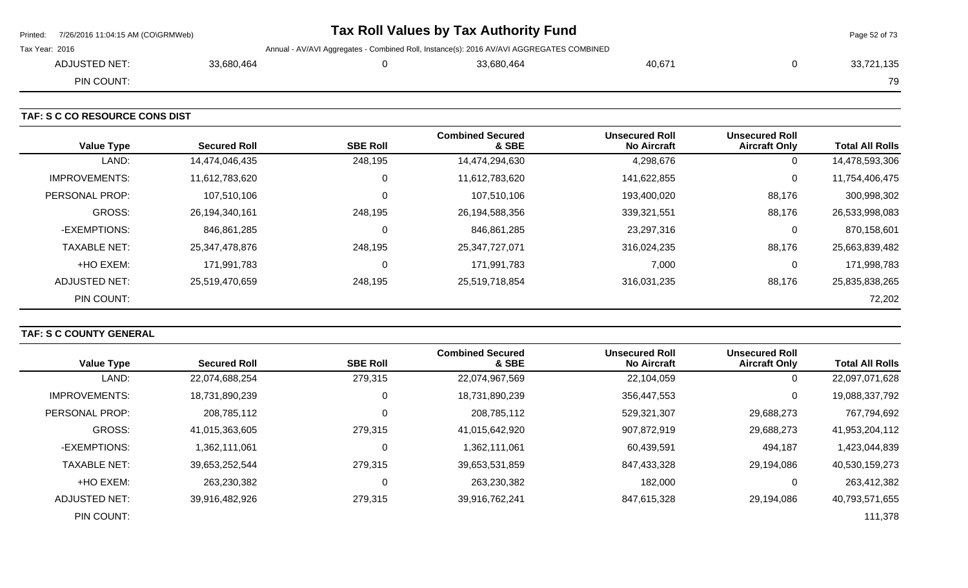| Printed: 7/26/2016 11:04:15 AM (CO\GRMWeb) |            | Tax Roll Values by Tax Authority Fund                                                    |        | Page 52 of 73 |  |
|--------------------------------------------|------------|------------------------------------------------------------------------------------------|--------|---------------|--|
| Tax Year: 2016                             |            | Annual - AV/AVI Aggregates - Combined Roll, Instance(s): 2016 AV/AVI AGGREGATES COMBINED |        |               |  |
| ADJUSTED NET:                              | 33,680,464 | 33,680,464                                                                               | 40.671 | 33,721,135    |  |
| PIN COUNT:                                 |            |                                                                                          |        | 79            |  |

**TAF: S C CO RESOURCE CONS DIST** 

| <b>Value Type</b>    | <b>Secured Roll</b> | <b>SBE Roll</b> | <b>Combined Secured</b><br>& SBE | <b>Unsecured Roll</b><br><b>No Aircraft</b> | <b>Unsecured Roll</b><br><b>Aircraft Only</b> | <b>Total All Rolls</b> |
|----------------------|---------------------|-----------------|----------------------------------|---------------------------------------------|-----------------------------------------------|------------------------|
| LAND:                | 14,474,046,435      | 248,195         | 14,474,294,630                   | 4,298,676                                   | 0                                             | 14,478,593,306         |
| <b>IMPROVEMENTS:</b> | 11,612,783,620      | $\Omega$        | 11,612,783,620                   | 141,622,855                                 | 0                                             | 11,754,406,475         |
| PERSONAL PROP:       | 107,510,106         | $\Omega$        | 107,510,106                      | 193,400,020                                 | 88,176                                        | 300,998,302            |
| <b>GROSS:</b>        | 26,194,340,161      | 248,195         | 26,194,588,356                   | 339,321,551                                 | 88,176                                        | 26,533,998,083         |
| -EXEMPTIONS:         | 846,861,285         | 0               | 846,861,285                      | 23,297,316                                  | 0                                             | 870,158,601            |
| <b>TAXABLE NET:</b>  | 25,347,478,876      | 248,195         | 25,347,727,071                   | 316,024,235                                 | 88,176                                        | 25,663,839,482         |
| +HO EXEM:            | 171,991,783         | $\Omega$        | 171,991,783                      | 7,000                                       | 0                                             | 171,998,783            |
| ADJUSTED NET:        | 25,519,470,659      | 248,195         | 25,519,718,854                   | 316,031,235                                 | 88,176                                        | 25,835,838,265         |
| PIN COUNT:           |                     |                 |                                  |                                             |                                               | 72,202                 |

# **TAF: S C COUNTY GENERAL**

| <b>Value Type</b>    | <b>Secured Roll</b> | <b>SBE Roll</b> | <b>Combined Secured</b><br>& SBE | <b>Unsecured Roll</b><br><b>No Aircraft</b> | <b>Unsecured Roll</b><br><b>Aircraft Only</b> | <b>Total All Rolls</b> |
|----------------------|---------------------|-----------------|----------------------------------|---------------------------------------------|-----------------------------------------------|------------------------|
| LAND:                | 22,074,688,254      | 279,315         | 22,074,967,569                   | 22,104,059                                  | 0                                             | 22,097,071,628         |
| <b>IMPROVEMENTS:</b> | 18,731,890,239      | 0               | 18,731,890,239                   | 356,447,553                                 | 0                                             | 19,088,337,792         |
| PERSONAL PROP:       | 208,785,112         | 0               | 208,785,112                      | 529,321,307                                 | 29,688,273                                    | 767,794,692            |
| <b>GROSS:</b>        | 41,015,363,605      | 279,315         | 41,015,642,920                   | 907,872,919                                 | 29,688,273                                    | 41,953,204,112         |
| -EXEMPTIONS:         | 1,362,111,061       | 0               | 1,362,111,061                    | 60,439,591                                  | 494,187                                       | 1,423,044,839          |
| <b>TAXABLE NET:</b>  | 39,653,252,544      | 279,315         | 39,653,531,859                   | 847,433,328                                 | 29,194,086                                    | 40,530,159,273         |
| +HO EXEM:            | 263,230,382         | 0               | 263,230,382                      | 182,000                                     |                                               | 263,412,382            |
| ADJUSTED NET:        | 39,916,482,926      | 279,315         | 39,916,762,241                   | 847,615,328                                 | 29,194,086                                    | 40,793,571,655         |
| PIN COUNT:           |                     |                 |                                  |                                             |                                               | 111,378                |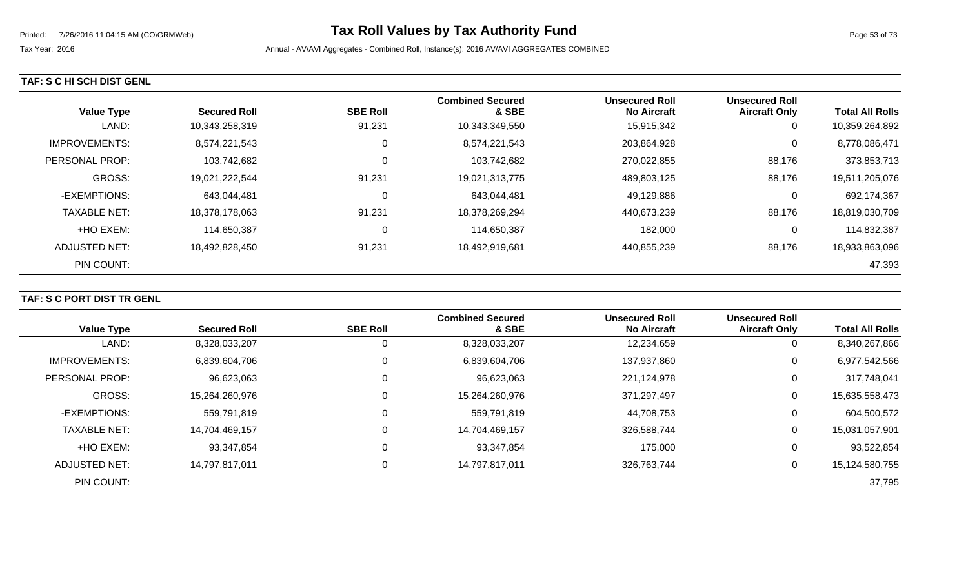|  |  |  |  |  | TAF: S C HI SCH DIST GENL |
|--|--|--|--|--|---------------------------|
|--|--|--|--|--|---------------------------|

| <b>Value Type</b>    | <b>Secured Roll</b> | <b>SBE Roll</b> | <b>Combined Secured</b><br>& SBE | <b>Unsecured Roll</b><br><b>No Aircraft</b> | <b>Unsecured Roll</b><br><b>Aircraft Only</b> | <b>Total All Rolls</b> |
|----------------------|---------------------|-----------------|----------------------------------|---------------------------------------------|-----------------------------------------------|------------------------|
| LAND:                | 10,343,258,319      | 91,231          | 10,343,349,550                   | 15,915,342                                  | 0                                             | 10,359,264,892         |
| <b>IMPROVEMENTS:</b> | 8,574,221,543       | 0               | 8,574,221,543                    | 203,864,928                                 | 0                                             | 8,778,086,471          |
| PERSONAL PROP:       | 103,742,682         | $\Omega$        | 103,742,682                      | 270,022,855                                 | 88,176                                        | 373,853,713            |
| GROSS:               | 19,021,222,544      | 91,231          | 19,021,313,775                   | 489,803,125                                 | 88,176                                        | 19,511,205,076         |
| -EXEMPTIONS:         | 643,044,481         | 0               | 643,044,481                      | 49,129,886                                  | 0                                             | 692,174,367            |
| <b>TAXABLE NET:</b>  | 18,378,178,063      | 91,231          | 18,378,269,294                   | 440,673,239                                 | 88,176                                        | 18,819,030,709         |
| +HO EXEM:            | 114,650,387         | 0               | 114,650,387                      | 182,000                                     | 0                                             | 114,832,387            |
| ADJUSTED NET:        | 18,492,828,450      | 91,231          | 18,492,919,681                   | 440,855,239                                 | 88,176                                        | 18,933,863,096         |
| PIN COUNT:           |                     |                 |                                  |                                             |                                               | 47,393                 |

### **TAF: S C PORT DIST TR GENL**

| <b>Value Type</b>    | <b>Secured Roll</b> | <b>SBE Roll</b> | <b>Combined Secured</b><br>& SBE | <b>Unsecured Roll</b><br><b>No Aircraft</b> | <b>Unsecured Roll</b><br><b>Aircraft Only</b> | <b>Total All Rolls</b> |
|----------------------|---------------------|-----------------|----------------------------------|---------------------------------------------|-----------------------------------------------|------------------------|
|                      |                     |                 |                                  |                                             |                                               |                        |
| LAND:                | 8,328,033,207       | O               | 8,328,033,207                    | 12,234,659                                  | 0                                             | 8,340,267,866          |
| <b>IMPROVEMENTS:</b> | 6,839,604,706       | 0               | 6,839,604,706                    | 137,937,860                                 | 0                                             | 6,977,542,566          |
| PERSONAL PROP:       | 96,623,063          | 0               | 96,623,063                       | 221,124,978                                 | 0                                             | 317,748,041            |
| GROSS:               | 15,264,260,976      |                 | 15,264,260,976                   | 371,297,497                                 | 0                                             | 15,635,558,473         |
| -EXEMPTIONS:         | 559,791,819         | 0               | 559,791,819                      | 44,708,753                                  | 0                                             | 604,500,572            |
| <b>TAXABLE NET:</b>  | 14,704,469,157      |                 | 14,704,469,157                   | 326,588,744                                 | $\overline{0}$                                | 15,031,057,901         |
| +HO EXEM:            | 93,347,854          | 0               | 93,347,854                       | 175,000                                     | 0                                             | 93,522,854             |
| ADJUSTED NET:        | 14,797,817,011      | 0               | 14,797,817,011                   | 326,763,744                                 | 0                                             | 15,124,580,755         |
| PIN COUNT:           |                     |                 |                                  |                                             |                                               | 37,795                 |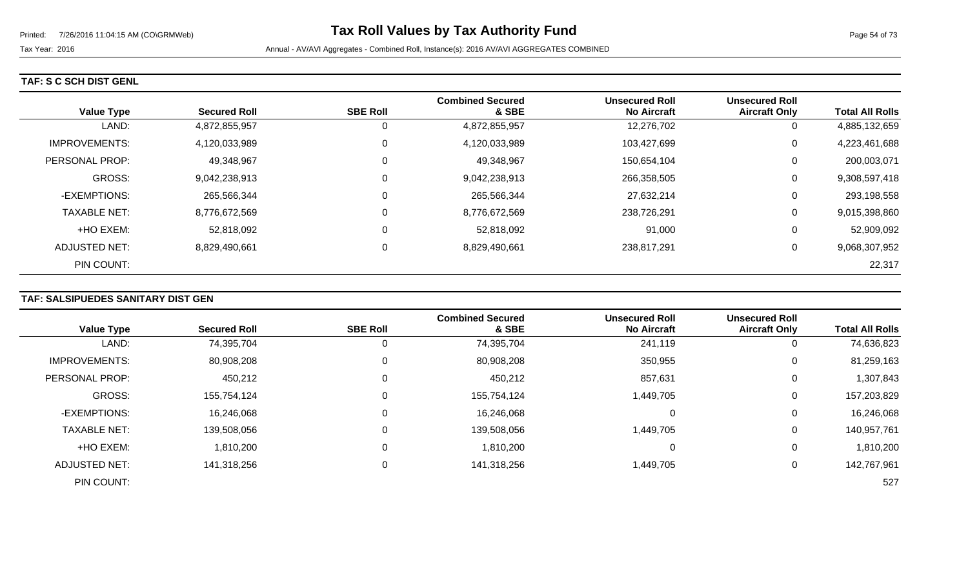### **TAF: S C SCH DIST GENL**

| <b>Value Type</b>    | <b>Secured Roll</b> | <b>SBE Roll</b> | <b>Combined Secured</b><br>& SBE | <b>Unsecured Roll</b><br><b>No Aircraft</b> | <b>Unsecured Roll</b><br><b>Aircraft Only</b> | <b>Total All Rolls</b> |
|----------------------|---------------------|-----------------|----------------------------------|---------------------------------------------|-----------------------------------------------|------------------------|
| LAND:                | 4,872,855,957       | 0               | 4,872,855,957                    | 12,276,702                                  | U                                             | 4,885,132,659          |
| <b>IMPROVEMENTS:</b> | 4,120,033,989       | 0               | 4,120,033,989                    | 103,427,699                                 | 0                                             | 4,223,461,688          |
| PERSONAL PROP:       | 49,348,967          | $\mathbf 0$     | 49,348,967                       | 150,654,104                                 | U                                             | 200,003,071            |
| <b>GROSS:</b>        | 9,042,238,913       | $\mathbf 0$     | 9,042,238,913                    | 266,358,505                                 | 0                                             | 9,308,597,418          |
| -EXEMPTIONS:         | 265,566,344         | 0               | 265,566,344                      | 27,632,214                                  | U                                             | 293,198,558            |
| <b>TAXABLE NET:</b>  | 8,776,672,569       | 0               | 8,776,672,569                    | 238,726,291                                 | 0                                             | 9,015,398,860          |
| +HO EXEM:            | 52,818,092          | 0               | 52,818,092                       | 91,000                                      | υ                                             | 52,909,092             |
| <b>ADJUSTED NET:</b> | 8,829,490,661       | 0               | 8,829,490,661                    | 238,817,291                                 | U                                             | 9,068,307,952          |
| PIN COUNT:           |                     |                 |                                  |                                             |                                               | 22,317                 |

### **TAF: SALSIPUEDES SANITARY DIST GEN**

|                      |                     |                 | <b>Combined Secured</b> | <b>Unsecured Roll</b> | <b>Unsecured Roll</b> |                        |
|----------------------|---------------------|-----------------|-------------------------|-----------------------|-----------------------|------------------------|
| <b>Value Type</b>    | <b>Secured Roll</b> | <b>SBE Roll</b> | & SBE                   | <b>No Aircraft</b>    | <b>Aircraft Only</b>  | <b>Total All Rolls</b> |
| LAND:                | 74,395,704          | 0               | 74,395,704              | 241,119               | 0                     | 74,636,823             |
| <b>IMPROVEMENTS:</b> | 80,908,208          | 0               | 80,908,208              | 350,955               | $\overline{0}$        | 81,259,163             |
| PERSONAL PROP:       | 450,212             | 0               | 450,212                 | 857,631               | 0                     | 1,307,843              |
| <b>GROSS:</b>        | 155,754,124         | 0               | 155,754,124             | 1,449,705             | 0                     | 157,203,829            |
| -EXEMPTIONS:         | 16,246,068          | 0               | 16,246,068              |                       | 0                     | 16,246,068             |
| <b>TAXABLE NET:</b>  | 139,508,056         | 0               | 139,508,056             | 1,449,705             | 0                     | 140,957,761            |
| +HO EXEM:            | 1,810,200           | $\Omega$        | 1,810,200               |                       | 0                     | 1,810,200              |
| <b>ADJUSTED NET:</b> | 141,318,256         | 0               | 141,318,256             | 1,449,705             | 0                     | 142,767,961            |
| PIN COUNT:           |                     |                 |                         |                       |                       | 527                    |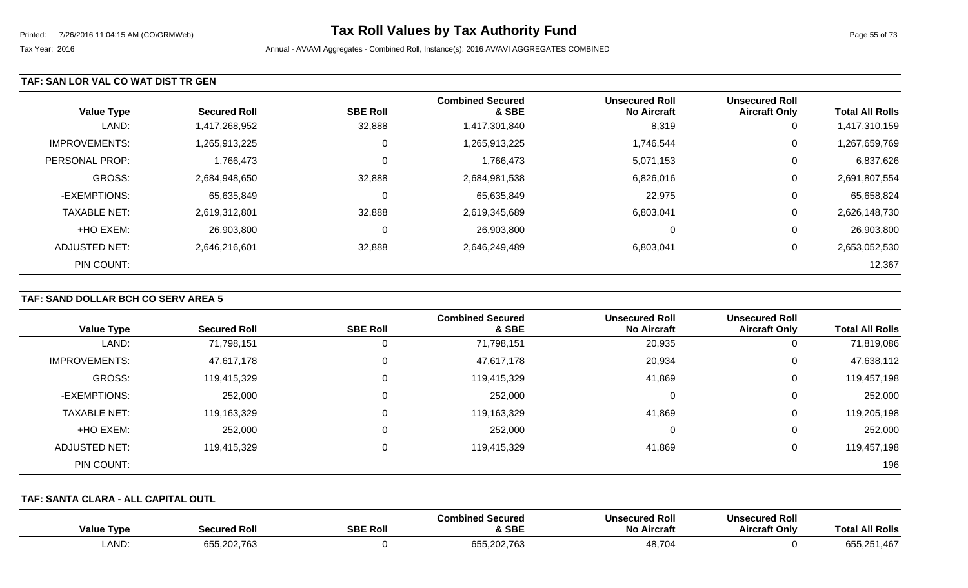### **TAF: SAN LOR VAL CO WAT DIST TR GEN**

| <b>Value Type</b>    | <b>Secured Roll</b> | <b>SBE Roll</b> | <b>Combined Secured</b><br>& SBE | <b>Unsecured Roll</b><br><b>No Aircraft</b> | <b>Unsecured Roll</b><br><b>Aircraft Only</b> | <b>Total All Rolls</b> |
|----------------------|---------------------|-----------------|----------------------------------|---------------------------------------------|-----------------------------------------------|------------------------|
| LAND:                | 1,417,268,952       | 32,888          | 1,417,301,840                    | 8,319                                       | 0                                             | 1,417,310,159          |
| <b>IMPROVEMENTS:</b> | 1,265,913,225       | 0               | 1,265,913,225                    | 1,746,544                                   | 0                                             | 1,267,659,769          |
| PERSONAL PROP:       | 1,766,473           | 0               | 1,766,473                        | 5,071,153                                   | 0                                             | 6,837,626              |
| <b>GROSS:</b>        | 2,684,948,650       | 32,888          | 2,684,981,538                    | 6,826,016                                   | 0                                             | 2,691,807,554          |
| -EXEMPTIONS:         | 65,635,849          | $\mathbf 0$     | 65,635,849                       | 22,975                                      | 0                                             | 65,658,824             |
| <b>TAXABLE NET:</b>  | 2,619,312,801       | 32,888          | 2,619,345,689                    | 6,803,041                                   | 0                                             | 2,626,148,730          |
| +HO EXEM:            | 26,903,800          | 0               | 26,903,800                       | 0                                           | 0                                             | 26,903,800             |
| ADJUSTED NET:        | 2,646,216,601       | 32,888          | 2,646,249,489                    | 6,803,041                                   | 0                                             | 2,653,052,530          |
| PIN COUNT:           |                     |                 |                                  |                                             |                                               | 12,367                 |

# **TAF: SAND DOLLAR BCH CO SERV AREA 5**

|                      |                     |                 | <b>Combined Secured</b> | <b>Unsecured Roll</b> | <b>Unsecured Roll</b> |                        |
|----------------------|---------------------|-----------------|-------------------------|-----------------------|-----------------------|------------------------|
| <b>Value Type</b>    | <b>Secured Roll</b> | <b>SBE Roll</b> | & SBE                   | <b>No Aircraft</b>    | <b>Aircraft Only</b>  | <b>Total All Rolls</b> |
| LAND:                | 71,798,151          | 0               | 71,798,151              | 20,935                | 0                     | 71,819,086             |
| <b>IMPROVEMENTS:</b> | 47,617,178          | $\mathbf 0$     | 47,617,178              | 20,934                | 0                     | 47,638,112             |
| GROSS:               | 119,415,329         | 0               | 119,415,329             | 41,869                | 0                     | 119,457,198            |
| -EXEMPTIONS:         | 252,000             | $\mathbf 0$     | 252,000                 | 0                     | 0                     | 252,000                |
| <b>TAXABLE NET:</b>  | 119,163,329         | 0               | 119,163,329             | 41,869                | 0                     | 119,205,198            |
| +HO EXEM:            | 252,000             | $\Omega$        | 252,000                 | 0                     | 0                     | 252,000                |
| <b>ADJUSTED NET:</b> | 119,415,329         | 0               | 119,415,329             | 41,869                | 0                     | 119,457,198            |
| PIN COUNT:           |                     |                 |                         |                       |                       | 196                    |

#### **TAF: SANTA CLARA - ALL CAPITAL OUTL**

| <b>All Rolls</b><br>Total                     | <b>Unsecured Roll</b><br><b>Aircraft Only</b> | <b>Unsecured Roll</b><br><b>No Aircraft</b> | l Secured<br>Combined.<br>& SBE | <b>SBE Roll</b> | <b>Secured Roll</b>                 | <b>Value Type</b> |
|-----------------------------------------------|-----------------------------------------------|---------------------------------------------|---------------------------------|-----------------|-------------------------------------|-------------------|
| $\sim$ $ -$<br>1,467<br>$\sim$ $ \sim$<br>ხჂჂ |                                               | 48,704                                      | 655,202,763                     |                 | 655,202,763<br><sub>ັ</sub> 202,76ວ | LAND:             |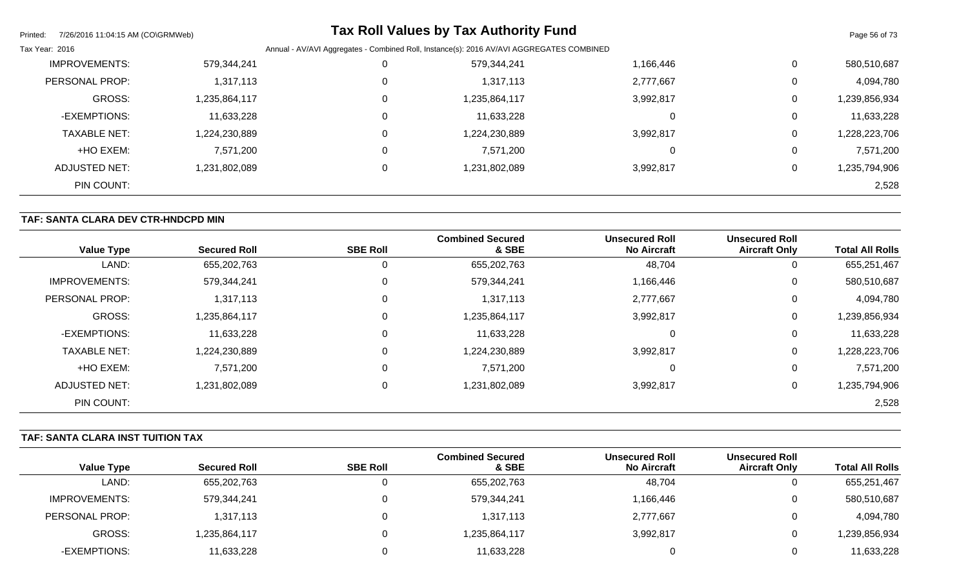| Printed:       | 7/26/2016 11:04:15 AM (CO\GRMWeb) |               |                                                                                          | <b>Tax Roll Values by Tax Authority Fund</b> |           |          | Page 56 of 73 |
|----------------|-----------------------------------|---------------|------------------------------------------------------------------------------------------|----------------------------------------------|-----------|----------|---------------|
| Tax Year: 2016 |                                   |               | Annual - AV/AVI Aggregates - Combined Roll, Instance(s): 2016 AV/AVI AGGREGATES COMBINED |                                              |           |          |               |
|                | <b>IMPROVEMENTS:</b>              | 579,344,241   |                                                                                          | 579,344,241                                  | 1,166,446 | 0        | 580,510,687   |
|                | PERSONAL PROP:                    | 1,317,113     |                                                                                          | 1,317,113                                    | 2,777,667 | $\Omega$ | 4,094,780     |
|                | <b>GROSS:</b>                     | 1,235,864,117 |                                                                                          | 1,235,864,117                                | 3,992,817 | 0        | 1,239,856,934 |
|                | -EXEMPTIONS:                      | 11,633,228    | 0                                                                                        | 11,633,228                                   |           | $\Omega$ | 11,633,228    |
|                | <b>TAXABLE NET:</b>               | 1,224,230,889 |                                                                                          | 1,224,230,889                                | 3,992,817 | 0        | 1,228,223,706 |
|                | +HO EXEM:                         | 7,571,200     | 0                                                                                        | 7,571,200                                    |           | 0        | 7,571,200     |
|                | ADJUSTED NET:                     | 1,231,802,089 |                                                                                          | 1,231,802,089                                | 3,992,817 | 0        | 1,235,794,906 |
|                | PIN COUNT:                        |               |                                                                                          |                                              |           |          | 2,528         |

### **TAF: SANTA CLARA DEV CTR-HNDCPD MIN**

| <b>Value Type</b>    | <b>Secured Roll</b> | <b>SBE Roll</b> | <b>Combined Secured</b><br>& SBE | <b>Unsecured Roll</b><br><b>No Aircraft</b> | <b>Unsecured Roll</b><br><b>Aircraft Only</b> | <b>Total All Rolls</b> |
|----------------------|---------------------|-----------------|----------------------------------|---------------------------------------------|-----------------------------------------------|------------------------|
| LAND:                | 655,202,763         | 0               | 655,202,763                      | 48,704                                      | U                                             | 655,251,467            |
| <b>IMPROVEMENTS:</b> | 579,344,241         | 0               | 579,344,241                      | 1,166,446                                   | U                                             | 580,510,687            |
| PERSONAL PROP:       | 1,317,113           | $\mathbf 0$     | 1,317,113                        | 2,777,667                                   | U                                             | 4,094,780              |
| <b>GROSS:</b>        | 1,235,864,117       | 0               | 1,235,864,117                    | 3,992,817                                   | 0                                             | 1,239,856,934          |
| -EXEMPTIONS:         | 11,633,228          | 0               | 11,633,228                       | $\Omega$                                    | 0                                             | 11,633,228             |
| <b>TAXABLE NET:</b>  | 1,224,230,889       | $\mathbf 0$     | 224,230,889                      | 3,992,817                                   | 0                                             | 1,228,223,706          |
| +HO EXEM:            | 7,571,200           | 0               | 7,571,200                        | $\Omega$                                    | 0                                             | 7,571,200              |
| <b>ADJUSTED NET:</b> | 1,231,802,089       | $\mathbf 0$     | 1,231,802,089                    | 3,992,817                                   | 0                                             | 1,235,794,906          |
| PIN COUNT:           |                     |                 |                                  |                                             |                                               | 2,528                  |

# **TAF: SANTA CLARA INST TUITION TAX**

|                   |                     |                 | <b>Combined Secured</b> | <b>Unsecured Roll</b> | <b>Unsecured Roll</b> |                        |
|-------------------|---------------------|-----------------|-------------------------|-----------------------|-----------------------|------------------------|
| <b>Value Type</b> | <b>Secured Roll</b> | <b>SBE Roll</b> | & SBE                   | <b>No Aircraft</b>    | <b>Aircraft Only</b>  | <b>Total All Rolls</b> |
| LAND:             | 655,202,763         |                 | 655,202,763             | 48,704                | U                     | 655,251,467            |
| IMPROVEMENTS:     | 579,344,241         |                 | 579,344,241             | 1,166,446             | 0                     | 580,510,687            |
| PERSONAL PROP:    | 1,317,113           |                 | 1,317,113               | 2,777,667             | 0                     | 4,094,780              |
| GROSS:            | 235,864,117         |                 | 1,235,864,117           | 3,992,817             | 0                     | ,239,856,934           |
| -EXEMPTIONS:      | 11,633,228          |                 | 11,633,228              |                       | 0                     | 11,633,228             |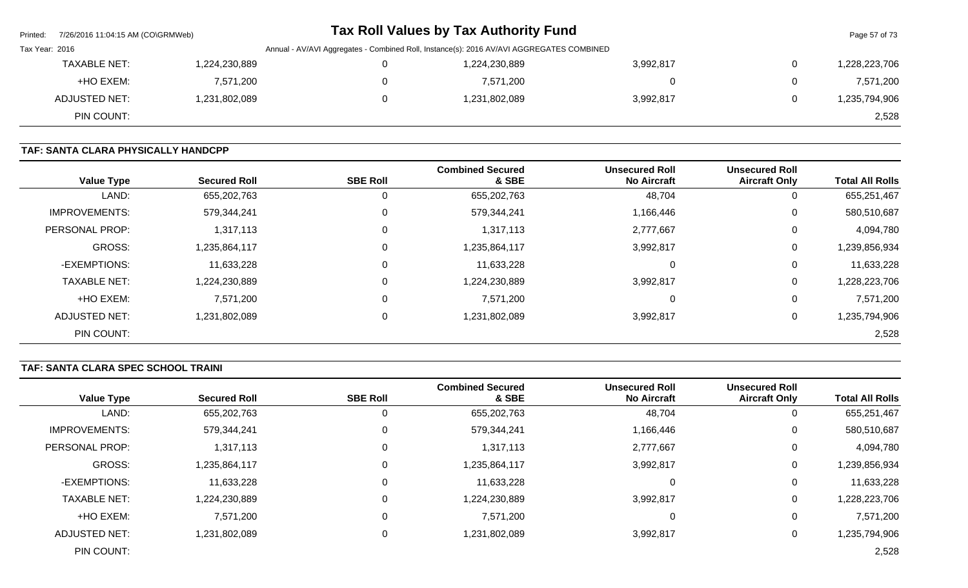| Printed:       | 7/26/2016 11:04:15 AM (CO\GRMWeb) |               |                                                                                          | <b>Tax Roll Values by Tax Authority Fund</b> |           |   | Page 57 of 73 |
|----------------|-----------------------------------|---------------|------------------------------------------------------------------------------------------|----------------------------------------------|-----------|---|---------------|
| Tax Year: 2016 |                                   |               | Annual - AV/AVI Aggregates - Combined Roll, Instance(s): 2016 AV/AVI AGGREGATES COMBINED |                                              |           |   |               |
|                | <b>TAXABLE NET:</b>               | 1,224,230,889 |                                                                                          | 1,224,230,889                                | 3,992,817 | 0 | 1,228,223,706 |
|                | +HO EXEM:                         | 7,571,200     |                                                                                          | 7,571,200                                    |           | 0 | 7,571,200     |
|                | ADJUSTED NET:                     | 1,231,802,089 |                                                                                          | 1,231,802,089                                | 3,992,817 | 0 | 1,235,794,906 |
|                | PIN COUNT:                        |               |                                                                                          |                                              |           |   | 2,528         |

# **TAF: SANTA CLARA PHYSICALLY HANDCPP**

| <b>Value Type</b>    | <b>Secured Roll</b> | <b>SBE Roll</b> | <b>Combined Secured</b><br>& SBE | <b>Unsecured Roll</b><br><b>No Aircraft</b> | <b>Unsecured Roll</b><br><b>Aircraft Only</b> | <b>Total All Rolls</b> |
|----------------------|---------------------|-----------------|----------------------------------|---------------------------------------------|-----------------------------------------------|------------------------|
| LAND:                | 655,202,763         | $\mathbf 0$     | 655,202,763                      | 48,704                                      | U                                             | 655,251,467            |
| <b>IMPROVEMENTS:</b> | 579,344,241         | $\mathbf 0$     | 579,344,241                      | 1,166,446                                   | U                                             | 580,510,687            |
| PERSONAL PROP:       | 1,317,113           | 0               | 1,317,113                        | 2,777,667                                   | 0                                             | 4,094,780              |
| <b>GROSS:</b>        | 1,235,864,117       | 0               | 1,235,864,117                    | 3,992,817                                   | 0                                             | 1,239,856,934          |
| -EXEMPTIONS:         | 11,633,228          | 0               | 11,633,228                       | 0                                           | 0                                             | 11,633,228             |
| <b>TAXABLE NET:</b>  | 1,224,230,889       | $\mathbf 0$     | 1,224,230,889                    | 3,992,817                                   | 0                                             | 1,228,223,706          |
| +HO EXEM:            | 7,571,200           | 0               | 7,571,200                        | 0                                           | 0                                             | 7,571,200              |
| <b>ADJUSTED NET:</b> | 1,231,802,089       | $\mathbf 0$     | 1,231,802,089                    | 3,992,817                                   | 0                                             | 1,235,794,906          |
| PIN COUNT:           |                     |                 |                                  |                                             |                                               | 2,528                  |

# **TAF: SANTA CLARA SPEC SCHOOL TRAINI**

| <b>Value Type</b>    | <b>Secured Roll</b> | <b>SBE Roll</b> | <b>Combined Secured</b><br>& SBE | <b>Unsecured Roll</b><br><b>No Aircraft</b> | <b>Unsecured Roll</b><br><b>Aircraft Only</b> | <b>Total All Rolls</b> |
|----------------------|---------------------|-----------------|----------------------------------|---------------------------------------------|-----------------------------------------------|------------------------|
| LAND:                | 655,202,763         |                 | 655,202,763                      | 48,704                                      | υ                                             | 655,251,467            |
| <b>IMPROVEMENTS:</b> | 579,344,241         | $\Omega$        | 579,344,241                      | 1,166,446                                   | 0                                             | 580,510,687            |
| PERSONAL PROP:       | 1,317,113           | $\Omega$        | 1,317,113                        | 2,777,667                                   | 0                                             | 4,094,780              |
| <b>GROSS:</b>        | 1,235,864,117       | $\Omega$        | 1,235,864,117                    | 3,992,817                                   | 0                                             | 1,239,856,934          |
| -EXEMPTIONS:         | 11,633,228          | $\Omega$        | 11,633,228                       | 0                                           | 0                                             | 11,633,228             |
| <b>TAXABLE NET:</b>  | 1,224,230,889       | $\Omega$        | 1,224,230,889                    | 3,992,817                                   | 0                                             | 1,228,223,706          |
| +HO EXEM:            | 7,571,200           | $\Omega$        | 7,571,200                        | 0                                           | 0                                             | 7,571,200              |
| <b>ADJUSTED NET:</b> | 1,231,802,089       | $\Omega$        | 1,231,802,089                    | 3,992,817                                   | 0                                             | 1,235,794,906          |
| PIN COUNT:           |                     |                 |                                  |                                             |                                               | 2,528                  |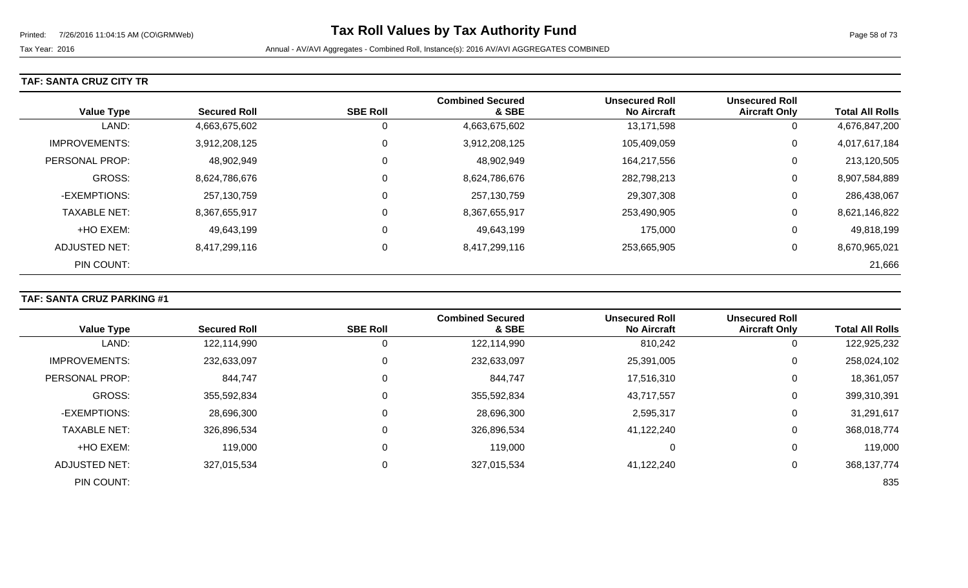# **TAF: SANTA CRUZ CITY TR**

| <b>Value Type</b>     | <b>Secured Roll</b> | <b>SBE Roll</b> | <b>Combined Secured</b><br>& SBE | <b>Unsecured Roll</b><br><b>No Aircraft</b> | <b>Unsecured Roll</b><br><b>Aircraft Only</b> | <b>Total All Rolls</b> |
|-----------------------|---------------------|-----------------|----------------------------------|---------------------------------------------|-----------------------------------------------|------------------------|
| LAND:                 | 4,663,675,602       | 0               | 4,663,675,602                    | 13,171,598                                  | 0                                             | 4,676,847,200          |
| <b>IMPROVEMENTS:</b>  | 3,912,208,125       | 0               | 3,912,208,125                    | 105,409,059                                 | 0                                             | 4,017,617,184          |
| <b>PERSONAL PROP:</b> | 48,902,949          | 0               | 48,902,949                       | 164,217,556                                 | 0                                             | 213,120,505            |
| <b>GROSS:</b>         | 8,624,786,676       | 0               | 8,624,786,676                    | 282,798,213                                 | 0                                             | 8,907,584,889          |
| -EXEMPTIONS:          | 257,130,759         | 0               | 257,130,759                      | 29,307,308                                  | 0                                             | 286,438,067            |
| <b>TAXABLE NET:</b>   | 8,367,655,917       | 0               | 8,367,655,917                    | 253,490,905                                 | 0                                             | 8,621,146,822          |
| +HO EXEM:             | 49,643,199          | $\mathbf 0$     | 49,643,199                       | 175,000                                     | 0                                             | 49,818,199             |
| ADJUSTED NET:         | 8,417,299,116       | 0               | 8,417,299,116                    | 253,665,905                                 | 0                                             | 8,670,965,021          |
| PIN COUNT:            |                     |                 |                                  |                                             |                                               | 21,666                 |

### **TAF: SANTA CRUZ PARKING #1**

|                      |                     |                 | <b>Combined Secured</b> | <b>Unsecured Roll</b> | <b>Unsecured Roll</b> |                        |
|----------------------|---------------------|-----------------|-------------------------|-----------------------|-----------------------|------------------------|
| <b>Value Type</b>    | <b>Secured Roll</b> | <b>SBE Roll</b> | & SBE                   | <b>No Aircraft</b>    | <b>Aircraft Only</b>  | <b>Total All Rolls</b> |
| LAND:                | 122,114,990         | U               | 122,114,990             | 810,242               | 0                     | 122,925,232            |
| <b>IMPROVEMENTS:</b> | 232,633,097         | 0               | 232,633,097             | 25,391,005            | 0                     | 258,024,102            |
| PERSONAL PROP:       | 844,747             | 0               | 844,747                 | 17,516,310            | 0                     | 18,361,057             |
| <b>GROSS:</b>        | 355,592,834         | $\Omega$        | 355,592,834             | 43,717,557            | 0                     | 399,310,391            |
| -EXEMPTIONS:         | 28,696,300          | $\Omega$        | 28,696,300              | 2,595,317             | 0                     | 31,291,617             |
| <b>TAXABLE NET:</b>  | 326,896,534         | 0               | 326,896,534             | 41,122,240            | 0                     | 368,018,774            |
| +HO EXEM:            | 119,000             | $\Omega$        | 119,000                 |                       | 0                     | 119,000                |
| <b>ADJUSTED NET:</b> | 327,015,534         | 0               | 327,015,534             | 41,122,240            | 0                     | 368, 137, 774          |
| PIN COUNT:           |                     |                 |                         |                       |                       | 835                    |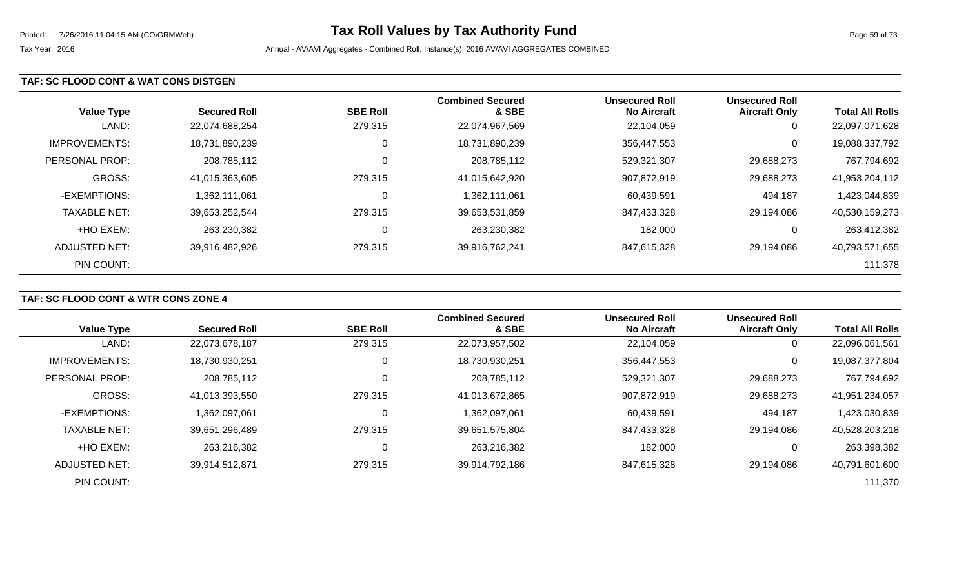### **TAF: SC FLOOD CONT & WAT CONS DISTGEN**

| <b>Value Type</b>    | <b>Secured Roll</b> | <b>SBE Roll</b> | <b>Combined Secured</b><br>& SBE | <b>Unsecured Roll</b><br><b>No Aircraft</b> | <b>Unsecured Roll</b><br><b>Aircraft Only</b> | <b>Total All Rolls</b> |
|----------------------|---------------------|-----------------|----------------------------------|---------------------------------------------|-----------------------------------------------|------------------------|
| LAND:                | 22,074,688,254      | 279,315         | 22,074,967,569                   | 22,104,059                                  | 0                                             | 22,097,071,628         |
| <b>IMPROVEMENTS:</b> | 18,731,890,239      | 0               | 18,731,890,239                   | 356,447,553                                 | 0                                             | 19,088,337,792         |
| PERSONAL PROP:       | 208,785,112         | $\mathbf 0$     | 208,785,112                      | 529,321,307                                 | 29,688,273                                    | 767,794,692            |
| <b>GROSS:</b>        | 41,015,363,605      | 279,315         | 41,015,642,920                   | 907,872,919                                 | 29,688,273                                    | 41,953,204,112         |
| -EXEMPTIONS:         | 1,362,111,061       | 0               | 1,362,111,061                    | 60,439,591                                  | 494,187                                       | 1,423,044,839          |
| <b>TAXABLE NET:</b>  | 39,653,252,544      | 279,315         | 39,653,531,859                   | 847,433,328                                 | 29,194,086                                    | 40,530,159,273         |
| +HO EXEM:            | 263,230,382         | 0               | 263,230,382                      | 182,000                                     | 0                                             | 263,412,382            |
| ADJUSTED NET:        | 39,916,482,926      | 279,315         | 39,916,762,241                   | 847,615,328                                 | 29,194,086                                    | 40,793,571,655         |
| PIN COUNT:           |                     |                 |                                  |                                             |                                               | 111,378                |

# **TAF: SC FLOOD CONT & WTR CONS ZONE 4**

|                      |                     |                 | <b>Combined Secured</b> | <b>Unsecured Roll</b> | <b>Unsecured Roll</b> |                        |
|----------------------|---------------------|-----------------|-------------------------|-----------------------|-----------------------|------------------------|
| <b>Value Type</b>    | <b>Secured Roll</b> | <b>SBE Roll</b> | & SBE                   | <b>No Aircraft</b>    | <b>Aircraft Only</b>  | <b>Total All Rolls</b> |
| LAND:                | 22,073,678,187      | 279,315         | 22,073,957,502          | 22,104,059            | 0                     | 22,096,061,561         |
| <b>IMPROVEMENTS:</b> | 18,730,930,251      | 0               | 18,730,930,251          | 356,447,553           | $\mathbf 0$           | 19,087,377,804         |
| PERSONAL PROP:       | 208,785,112         | 0               | 208,785,112             | 529,321,307           | 29,688,273            | 767,794,692            |
| <b>GROSS:</b>        | 41,013,393,550      | 279,315         | 41,013,672,865          | 907,872,919           | 29,688,273            | 41,951,234,057         |
| -EXEMPTIONS:         | 1,362,097,061       | 0               | 1,362,097,061           | 60,439,591            | 494,187               | 1,423,030,839          |
| <b>TAXABLE NET:</b>  | 39,651,296,489      | 279,315         | 39,651,575,804          | 847,433,328           | 29,194,086            | 40,528,203,218         |
| +HO EXEM:            | 263,216,382         | $\mathbf 0$     | 263,216,382             | 182,000               | 0                     | 263,398,382            |
| ADJUSTED NET:        | 39,914,512,871      | 279,315         | 39,914,792,186          | 847,615,328           | 29,194,086            | 40,791,601,600         |
| PIN COUNT:           |                     |                 |                         |                       |                       | 111,370                |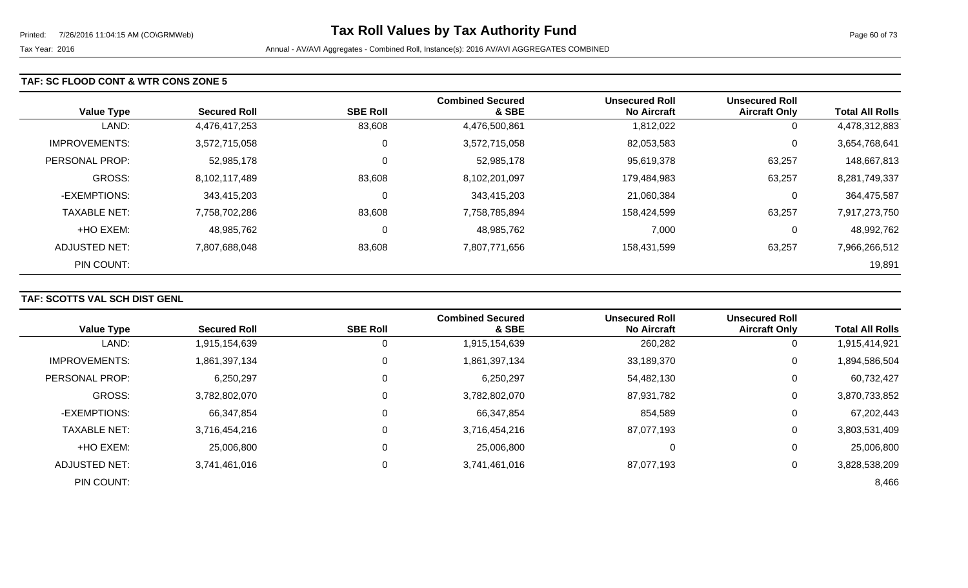#### **TAF: SC FLOOD CONT & WTR CONS ZONE 5**

| <b>Value Type</b>     | <b>Secured Roll</b> | <b>SBE Roll</b> | <b>Combined Secured</b><br>& SBE | <b>Unsecured Roll</b><br><b>No Aircraft</b> | <b>Unsecured Roll</b><br><b>Aircraft Only</b> | <b>Total All Rolls</b> |
|-----------------------|---------------------|-----------------|----------------------------------|---------------------------------------------|-----------------------------------------------|------------------------|
| LAND:                 | 4,476,417,253       | 83,608          | 4,476,500,861                    | 1,812,022                                   | 0                                             | 4,478,312,883          |
| <b>IMPROVEMENTS:</b>  | 3,572,715,058       | 0               | 3,572,715,058                    | 82,053,583                                  | 0                                             | 3,654,768,641          |
| <b>PERSONAL PROP:</b> | 52,985,178          | 0               | 52,985,178                       | 95,619,378                                  | 63,257                                        | 148,667,813            |
| <b>GROSS:</b>         | 8,102,117,489       | 83,608          | 8,102,201,097                    | 179,484,983                                 | 63,257                                        | 8,281,749,337          |
| -EXEMPTIONS:          | 343,415,203         | 0               | 343,415,203                      | 21,060,384                                  | 0                                             | 364,475,587            |
| <b>TAXABLE NET:</b>   | 7,758,702,286       | 83,608          | 7,758,785,894                    | 158,424,599                                 | 63,257                                        | 7,917,273,750          |
| +HO EXEM:             | 48,985,762          | 0               | 48,985,762                       | 7,000                                       | 0                                             | 48,992,762             |
| ADJUSTED NET:         | 7,807,688,048       | 83,608          | 7,807,771,656                    | 158,431,599                                 | 63,257                                        | 7,966,266,512          |
| PIN COUNT:            |                     |                 |                                  |                                             |                                               | 19,891                 |

# **TAF: SCOTTS VAL SCH DIST GENL**

|                       |                     |                 | <b>Combined Secured</b> | <b>Unsecured Roll</b> | <b>Unsecured Roll</b> |                        |
|-----------------------|---------------------|-----------------|-------------------------|-----------------------|-----------------------|------------------------|
| <b>Value Type</b>     | <b>Secured Roll</b> | <b>SBE Roll</b> | & SBE                   | <b>No Aircraft</b>    | <b>Aircraft Only</b>  | <b>Total All Rolls</b> |
| LAND:                 | 1,915,154,639       |                 | 1,915,154,639           | 260,282               |                       | 1,915,414,921          |
| <b>IMPROVEMENTS:</b>  | 1,861,397,134       | 0               | 1,861,397,134           | 33,189,370            | 0                     | 1,894,586,504          |
| <b>PERSONAL PROP:</b> | 6,250,297           | 0               | 6,250,297               | 54,482,130            | 0                     | 60,732,427             |
| <b>GROSS:</b>         | 3,782,802,070       | 0               | 3,782,802,070           | 87,931,782            | $\Omega$              | 3,870,733,852          |
| -EXEMPTIONS:          | 66,347,854          | 0               | 66,347,854              | 854,589               | 0                     | 67,202,443             |
| <b>TAXABLE NET:</b>   | 3,716,454,216       | 0               | 3,716,454,216           | 87,077,193            | $\Omega$              | 3,803,531,409          |
| +HO EXEM:             | 25,006,800          | 0               | 25,006,800              | 0                     | 0                     | 25,006,800             |
| <b>ADJUSTED NET:</b>  | 3,741,461,016       | 0               | 3,741,461,016           | 87,077,193            |                       | 3,828,538,209          |
| PIN COUNT:            |                     |                 |                         |                       |                       | 8,466                  |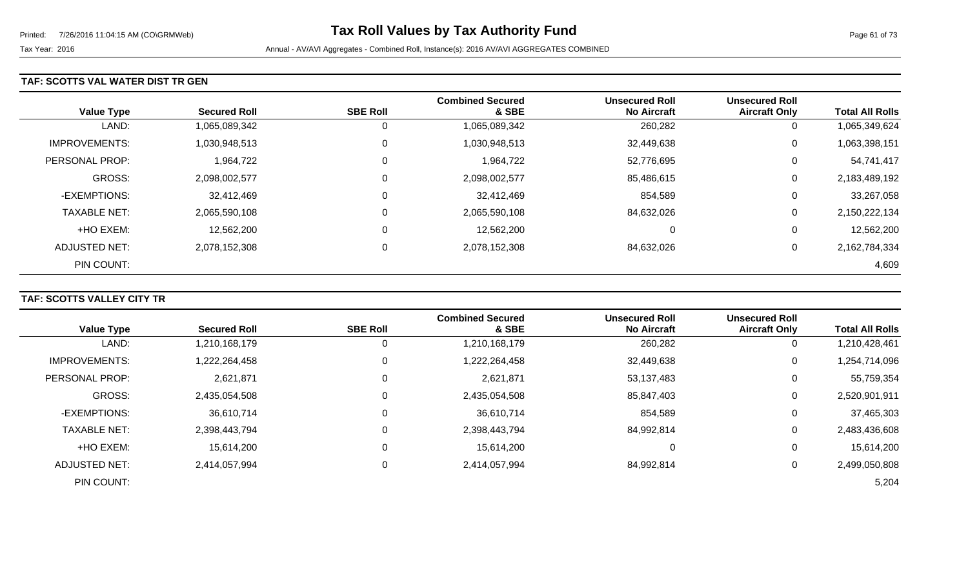### **TAF: SCOTTS VAL WATER DIST TR GEN**

| <b>Value Type</b>    | <b>Secured Roll</b> | <b>SBE Roll</b> | <b>Combined Secured</b><br>& SBE | <b>Unsecured Roll</b><br><b>No Aircraft</b> | <b>Unsecured Roll</b><br><b>Aircraft Only</b> | <b>Total All Rolls</b> |
|----------------------|---------------------|-----------------|----------------------------------|---------------------------------------------|-----------------------------------------------|------------------------|
| LAND:                | 1,065,089,342       | 0               | 1,065,089,342                    | 260,282                                     | 0                                             | 1,065,349,624          |
| <b>IMPROVEMENTS:</b> | 1,030,948,513       | $\overline{0}$  | 1,030,948,513                    | 32,449,638                                  | 0                                             | 1,063,398,151          |
| PERSONAL PROP:       | 1,964,722           | $\overline{0}$  | 1,964,722                        | 52,776,695                                  | 0                                             | 54,741,417             |
| <b>GROSS:</b>        | 2,098,002,577       | $\overline{0}$  | 2,098,002,577                    | 85,486,615                                  | 0                                             | 2,183,489,192          |
| -EXEMPTIONS:         | 32,412,469          | 0               | 32,412,469                       | 854,589                                     | 0                                             | 33,267,058             |
| <b>TAXABLE NET:</b>  | 2,065,590,108       | $\overline{0}$  | 2,065,590,108                    | 84,632,026                                  | 0                                             | 2,150,222,134          |
| +HO EXEM:            | 12,562,200          | $\mathbf 0$     | 12,562,200                       | 0                                           | 0                                             | 12,562,200             |
| ADJUSTED NET:        | 2,078,152,308       | 0               | 2,078,152,308                    | 84,632,026                                  | 0                                             | 2,162,784,334          |
| PIN COUNT:           |                     |                 |                                  |                                             |                                               | 4,609                  |

### **TAF: SCOTTS VALLEY CITY TR**

| <b>Value Type</b>    | <b>Secured Roll</b> | <b>SBE Roll</b> | <b>Combined Secured</b><br>& SBE | <b>Unsecured Roll</b><br><b>No Aircraft</b> | <b>Unsecured Roll</b><br><b>Aircraft Only</b> | <b>Total All Rolls</b> |
|----------------------|---------------------|-----------------|----------------------------------|---------------------------------------------|-----------------------------------------------|------------------------|
| LAND:                | 1,210,168,179       |                 | 1,210,168,179                    | 260,282                                     | 0                                             | 1,210,428,461          |
|                      |                     | U               |                                  |                                             |                                               |                        |
| <b>IMPROVEMENTS:</b> | 1,222,264,458       | 0               | 1,222,264,458                    | 32,449,638                                  | 0                                             | 1,254,714,096          |
| PERSONAL PROP:       | 2,621,871           | 0               | 2,621,871                        | 53,137,483                                  | 0                                             | 55,759,354             |
| <b>GROSS:</b>        | 2,435,054,508       | 0               | 2,435,054,508                    | 85,847,403                                  | 0                                             | 2,520,901,911          |
| -EXEMPTIONS:         | 36,610,714          | 0               | 36,610,714                       | 854,589                                     | 0                                             | 37,465,303             |
| <b>TAXABLE NET:</b>  | 2,398,443,794       | $\Omega$        | 2,398,443,794                    | 84,992,814                                  | $\overline{0}$                                | 2,483,436,608          |
| +HO EXEM:            | 15,614,200          | 0               | 15,614,200                       | 0                                           | 0                                             | 15,614,200             |
| ADJUSTED NET:        | 2,414,057,994       | 0               | 2,414,057,994                    | 84.992.814                                  | 0                                             | 2,499,050,808          |
| PIN COUNT:           |                     |                 |                                  |                                             |                                               | 5,204                  |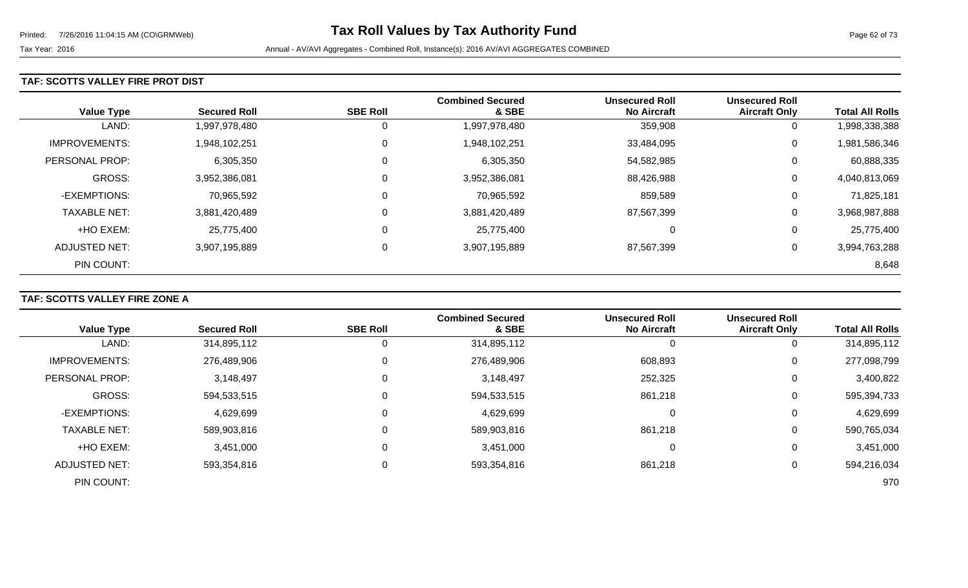### **TAF: SCOTTS VALLEY FIRE PROT DIST**

| <b>Value Type</b>    | <b>Secured Roll</b> | <b>SBE Roll</b> | <b>Combined Secured</b><br>& SBE | <b>Unsecured Roll</b><br><b>No Aircraft</b> | <b>Unsecured Roll</b><br><b>Aircraft Only</b> | <b>Total All Rolls</b> |
|----------------------|---------------------|-----------------|----------------------------------|---------------------------------------------|-----------------------------------------------|------------------------|
| LAND:                | 1,997,978,480       | 0               | 1,997,978,480                    | 359,908                                     | 0                                             | 1,998,338,388          |
| <b>IMPROVEMENTS:</b> | 1,948,102,251       | 0               | 1,948,102,251                    | 33,484,095                                  | 0                                             | 1,981,586,346          |
| PERSONAL PROP:       | 6,305,350           | 0               | 6,305,350                        | 54,582,985                                  | 0                                             | 60,888,335             |
| <b>GROSS:</b>        | 3,952,386,081       | 0               | 3,952,386,081                    | 88,426,988                                  | 0                                             | 4,040,813,069          |
| -EXEMPTIONS:         | 70,965,592          | $\mathbf 0$     | 70,965,592                       | 859,589                                     | 0                                             | 71,825,181             |
| <b>TAXABLE NET:</b>  | 3,881,420,489       | 0               | 3,881,420,489                    | 87,567,399                                  | 0                                             | 3,968,987,888          |
| +HO EXEM:            | 25,775,400          | $\mathbf 0$     | 25,775,400                       | $\mathbf 0$                                 | 0                                             | 25,775,400             |
| ADJUSTED NET:        | 3,907,195,889       | 0               | 3,907,195,889                    | 87,567,399                                  | 0                                             | 3,994,763,288          |
| PIN COUNT:           |                     |                 |                                  |                                             |                                               | 8,648                  |

### **TAF: SCOTTS VALLEY FIRE ZONE A**

|                       |                     |                 | <b>Combined Secured</b> | <b>Unsecured Roll</b> | <b>Unsecured Roll</b> |                        |
|-----------------------|---------------------|-----------------|-------------------------|-----------------------|-----------------------|------------------------|
| <b>Value Type</b>     | <b>Secured Roll</b> | <b>SBE Roll</b> | & SBE                   | <b>No Aircraft</b>    | <b>Aircraft Only</b>  | <b>Total All Rolls</b> |
| LAND:                 | 314,895,112         |                 | 314,895,112             | O                     | O                     | 314,895,112            |
| <b>IMPROVEMENTS:</b>  | 276,489,906         |                 | 276,489,906             | 608,893               | 0                     | 277,098,799            |
| <b>PERSONAL PROP:</b> | 3,148,497           |                 | 3,148,497               | 252,325               | 0                     | 3,400,822              |
| <b>GROSS:</b>         | 594,533,515         |                 | 594,533,515             | 861,218               | 0                     | 595,394,733            |
| -EXEMPTIONS:          | 4,629,699           |                 | 4,629,699               | 0                     | 0                     | 4,629,699              |
| <b>TAXABLE NET:</b>   | 589,903,816         |                 | 589,903,816             | 861,218               | 0                     | 590,765,034            |
| +HO EXEM:             | 3,451,000           |                 | 3,451,000               | 0                     | 0                     | 3,451,000              |
| <b>ADJUSTED NET:</b>  | 593,354,816         |                 | 593,354,816             | 861,218               | 0                     | 594,216,034            |
| PIN COUNT:            |                     |                 |                         |                       |                       | 970                    |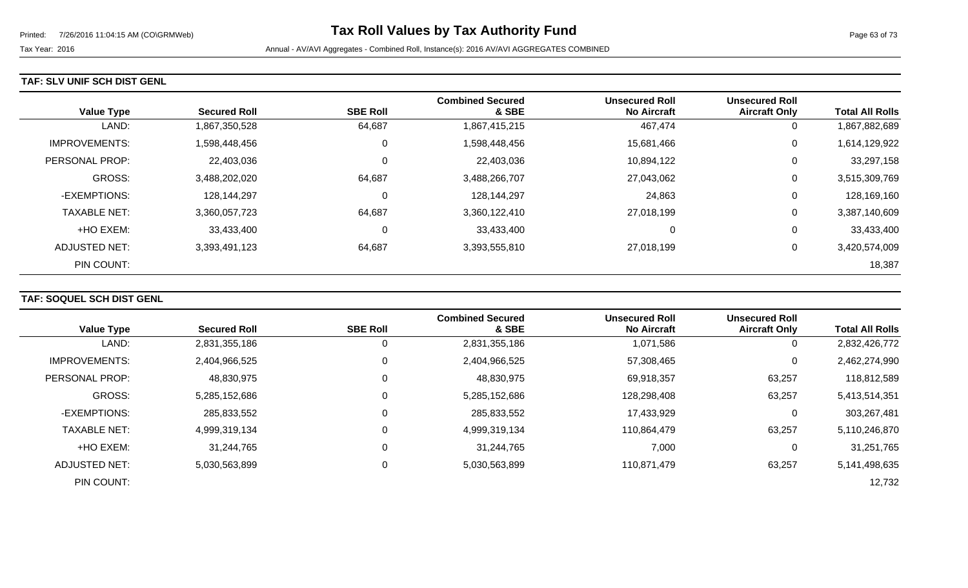#### **TAF: SLV UNIF SCH DIST GENL**

| <b>Value Type</b>    | <b>Secured Roll</b> | <b>SBE Roll</b> | <b>Combined Secured</b><br>& SBE | <b>Unsecured Roll</b><br><b>No Aircraft</b> | <b>Unsecured Roll</b><br><b>Aircraft Only</b> | <b>Total All Rolls</b> |
|----------------------|---------------------|-----------------|----------------------------------|---------------------------------------------|-----------------------------------------------|------------------------|
| LAND:                | 1,867,350,528       | 64,687          | 1,867,415,215                    | 467,474                                     | 0                                             | 1,867,882,689          |
| <b>IMPROVEMENTS:</b> | 1,598,448,456       | 0               | 1,598,448,456                    | 15,681,466                                  | 0                                             | 1,614,129,922          |
| PERSONAL PROP:       | 22,403,036          | 0               | 22,403,036                       | 10,894,122                                  | 0                                             | 33,297,158             |
| GROSS:               | 3,488,202,020       | 64,687          | 3,488,266,707                    | 27,043,062                                  | 0                                             | 3,515,309,769          |
| -EXEMPTIONS:         | 128,144,297         | 0               | 128,144,297                      | 24,863                                      | 0                                             | 128,169,160            |
| <b>TAXABLE NET:</b>  | 3,360,057,723       | 64,687          | 3,360,122,410                    | 27,018,199                                  | 0                                             | 3,387,140,609          |
| +HO EXEM:            | 33,433,400          | 0               | 33,433,400                       | 0                                           | 0                                             | 33,433,400             |
| ADJUSTED NET:        | 3,393,491,123       | 64,687          | 3,393,555,810                    | 27,018,199                                  | 0                                             | 3,420,574,009          |
| PIN COUNT:           |                     |                 |                                  |                                             |                                               | 18,387                 |

### **TAF: SOQUEL SCH DIST GENL**

|                       | <b>Secured Roll</b> | <b>SBE Roll</b> | <b>Combined Secured</b><br>& SBE | <b>Unsecured Roll</b><br><b>No Aircraft</b> | <b>Unsecured Roll</b> | <b>Total All Rolls</b> |
|-----------------------|---------------------|-----------------|----------------------------------|---------------------------------------------|-----------------------|------------------------|
| <b>Value Type</b>     |                     |                 |                                  |                                             | <b>Aircraft Only</b>  |                        |
| LAND:                 | 2,831,355,186       | 0               | 2,831,355,186                    | 1,071,586                                   | 0                     | 2,832,426,772          |
| <b>IMPROVEMENTS:</b>  | 2,404,966,525       | 0               | 2,404,966,525                    | 57,308,465                                  | $\mathbf 0$           | 2,462,274,990          |
| <b>PERSONAL PROP:</b> | 48,830,975          | 0               | 48,830,975                       | 69,918,357                                  | 63,257                | 118,812,589            |
| <b>GROSS:</b>         | 5,285,152,686       | 0               | 5,285,152,686                    | 128,298,408                                 | 63,257                | 5,413,514,351          |
| -EXEMPTIONS:          | 285,833,552         | 0               | 285,833,552                      | 17,433,929                                  | 0                     | 303,267,481            |
| <b>TAXABLE NET:</b>   | 4,999,319,134       | 0               | 4,999,319,134                    | 110,864,479                                 | 63,257                | 5,110,246,870          |
| +HO EXEM:             | 31,244,765          | 0               | 31,244,765                       | 7,000                                       | 0                     | 31,251,765             |
| <b>ADJUSTED NET:</b>  | 5,030,563,899       | 0               | 5,030,563,899                    | 110,871,479                                 | 63,257                | 5,141,498,635          |
| PIN COUNT:            |                     |                 |                                  |                                             |                       | 12,732                 |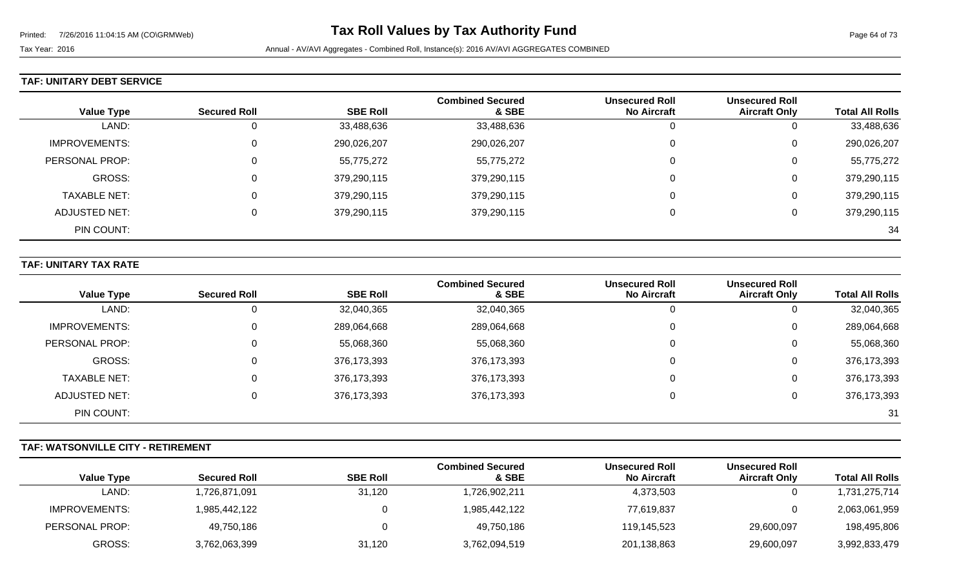#### **TAF: UNITARY DEBT SERVICE**

| <b>Value Type</b>   | <b>Secured Roll</b> | <b>SBE Roll</b> | <b>Combined Secured</b><br>& SBE | <b>Unsecured Roll</b><br><b>No Aircraft</b> | <b>Unsecured Roll</b><br><b>Aircraft Only</b> | <b>Total All Rolls</b> |
|---------------------|---------------------|-----------------|----------------------------------|---------------------------------------------|-----------------------------------------------|------------------------|
| LAND:               | Ü                   | 33,488,636      | 33,488,636                       | U                                           | U                                             | 33,488,636             |
| IMPROVEMENTS:       | $\mathbf 0$         | 290,026,207     | 290,026,207                      | 0                                           | 0                                             | 290,026,207            |
| PERSONAL PROP:      | $\Omega$            | 55,775,272      | 55,775,272                       |                                             | 0                                             | 55,775,272             |
| GROSS:              | $\Omega$            | 379,290,115     | 379,290,115                      |                                             | 0                                             | 379,290,115            |
| <b>TAXABLE NET:</b> | 0                   | 379,290,115     | 379,290,115                      | $\Omega$                                    | 0                                             | 379,290,115            |
| ADJUSTED NET:       | $\Omega$            | 379,290,115     | 379,290,115                      |                                             | 0                                             | 379,290,115            |
| PIN COUNT:          |                     |                 |                                  |                                             |                                               | 34                     |

### **TAF: UNITARY TAX RATE**

|                   |                     |                 | <b>Combined Secured</b> | <b>Unsecured Roll</b> | <b>Unsecured Roll</b> |                        |
|-------------------|---------------------|-----------------|-------------------------|-----------------------|-----------------------|------------------------|
| <b>Value Type</b> | <b>Secured Roll</b> | <b>SBE Roll</b> | & SBE                   | <b>No Aircraft</b>    | <b>Aircraft Only</b>  | <b>Total All Rolls</b> |
| LAND:             |                     | 32,040,365      | 32,040,365              | ັບ                    |                       | 32,040,365             |
| IMPROVEMENTS:     |                     | 289,064,668     | 289,064,668             | 0                     | 0                     | 289,064,668            |
| PERSONAL PROP:    |                     | 55,068,360      | 55,068,360              | 0                     | 0                     | 55,068,360             |
| GROSS:            |                     | 376,173,393     | 376,173,393             | 0                     | 0                     | 376,173,393            |
| TAXABLE NET:      |                     | 376,173,393     | 376,173,393             | 0                     | 0                     | 376,173,393            |
| ADJUSTED NET:     |                     | 376,173,393     | 376,173,393             |                       | 0                     | 376,173,393            |
| PIN COUNT:        |                     |                 |                         |                       |                       | -31                    |

### **TAF: WATSONVILLE CITY - RETIREMENT**

|                   |                     |                 | <b>Combined Secured</b> | <b>Unsecured Roll</b> | <b>Unsecured Roll</b> |                        |
|-------------------|---------------------|-----------------|-------------------------|-----------------------|-----------------------|------------------------|
| <b>Value Type</b> | <b>Secured Roll</b> | <b>SBE Roll</b> | & SBE                   | <b>No Aircraft</b>    | <b>Aircraft Only</b>  | <b>Total All Rolls</b> |
| LAND:             | ,726,871,091        | 31,120          | 1,726,902,211           | 4,373,503             |                       | 1,731,275,714          |
| IMPROVEMENTS:     | 1,985,442,122       |                 | 1,985,442,122           | 77,619,837            |                       | 2,063,061,959          |
| PERSONAL PROP:    | 49,750,186          |                 | 49,750,186              | 119.145.523           | 29,600,097            | 198,495,806            |
| GROSS:            | 3,762,063,399       | 31,120          | 3,762,094,519           | 201,138,863           | 29,600,097            | 3,992,833,479          |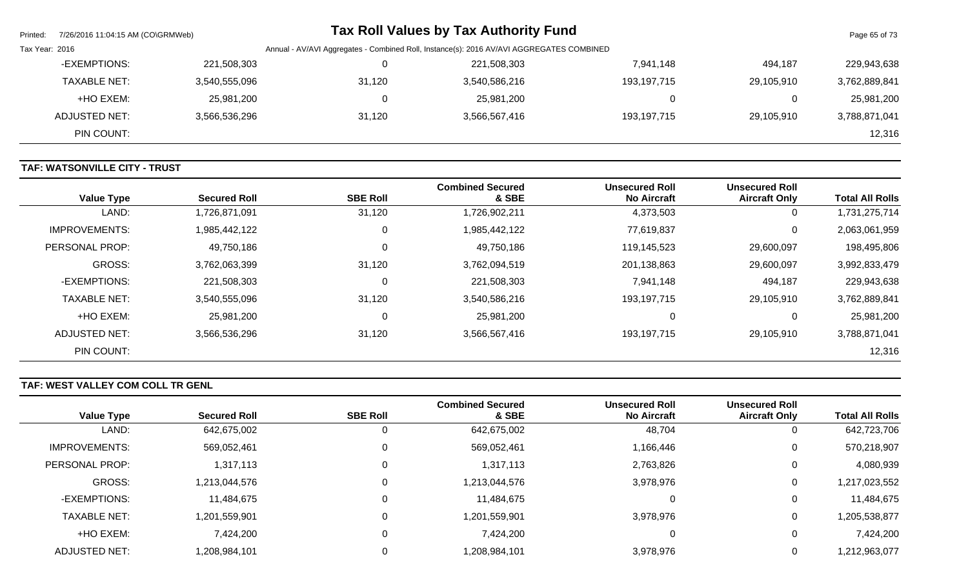| Printed:       | 7/26/2016 11:04:15 AM (CO\GRMWeb) |               |                                                                                          | Tax Roll Values by Tax Authority Fund |             |            | Page 65 of 73 |
|----------------|-----------------------------------|---------------|------------------------------------------------------------------------------------------|---------------------------------------|-------------|------------|---------------|
| Tax Year: 2016 |                                   |               | Annual - AV/AVI Aggregates - Combined Roll, Instance(s): 2016 AV/AVI AGGREGATES COMBINED |                                       |             |            |               |
|                | -EXEMPTIONS:                      | 221,508,303   |                                                                                          | 221,508,303                           | 7,941,148   | 494,187    | 229,943,638   |
|                | <b>TAXABLE NET:</b>               | 3,540,555,096 | 31,120                                                                                   | 3,540,586,216                         | 193,197,715 | 29.105.910 | 3,762,889,841 |
|                | +HO EXEM:                         | 25,981,200    |                                                                                          | 25,981,200                            | 0           |            | 25,981,200    |
|                | <b>ADJUSTED NET:</b>              | 3,566,536,296 | 31,120                                                                                   | 3,566,567,416                         | 193,197,715 | 29.105.910 | 3,788,871,041 |
|                | PIN COUNT:                        |               |                                                                                          |                                       |             |            | 12,316        |

# **TAF: WATSONVILLE CITY - TRUST**

| <b>Value Type</b>    | <b>Secured Roll</b> | <b>SBE Roll</b> | <b>Combined Secured</b><br>& SBE | <b>Unsecured Roll</b><br><b>No Aircraft</b> | <b>Unsecured Roll</b><br><b>Aircraft Only</b> | <b>Total All Rolls</b> |
|----------------------|---------------------|-----------------|----------------------------------|---------------------------------------------|-----------------------------------------------|------------------------|
| LAND:                | 1,726,871,091       | 31,120          | 1,726,902,211                    | 4,373,503                                   | 0                                             | 1,731,275,714          |
| <b>IMPROVEMENTS:</b> | 1,985,442,122       | 0               | 1,985,442,122                    | 77,619,837                                  | 0                                             | 2,063,061,959          |
| PERSONAL PROP:       | 49,750,186          | $\mathbf 0$     | 49,750,186                       | 119,145,523                                 | 29,600,097                                    | 198,495,806            |
| GROSS:               | 3,762,063,399       | 31,120          | 3,762,094,519                    | 201,138,863                                 | 29,600,097                                    | 3,992,833,479          |
| -EXEMPTIONS:         | 221,508,303         | 0               | 221,508,303                      | 7,941,148                                   | 494,187                                       | 229,943,638            |
| <b>TAXABLE NET:</b>  | 3,540,555,096       | 31,120          | 3,540,586,216                    | 193, 197, 715                               | 29,105,910                                    | 3,762,889,841          |
| +HO EXEM:            | 25,981,200          | 0               | 25,981,200                       | 0                                           | 0                                             | 25,981,200             |
| <b>ADJUSTED NET:</b> | 3,566,536,296       | 31,120          | 3,566,567,416                    | 193, 197, 715                               | 29,105,910                                    | 3,788,871,041          |
| PIN COUNT:           |                     |                 |                                  |                                             |                                               | 12,316                 |

# **TAF: WEST VALLEY COM COLL TR GENL**

|                      |                     |                 | <b>Combined Secured</b> | <b>Unsecured Roll</b> | <b>Unsecured Roll</b> |                        |
|----------------------|---------------------|-----------------|-------------------------|-----------------------|-----------------------|------------------------|
| <b>Value Type</b>    | <b>Secured Roll</b> | <b>SBE Roll</b> | & SBE                   | <b>No Aircraft</b>    | <b>Aircraft Only</b>  | <b>Total All Rolls</b> |
| LAND:                | 642,675,002         | U               | 642,675,002             | 48,704                |                       | 642,723,706            |
| <b>IMPROVEMENTS:</b> | 569,052,461         |                 | 569,052,461             | 1,166,446             | 0                     | 570,218,907            |
| PERSONAL PROP:       | 1,317,113           | υ               | 1,317,113               | 2,763,826             |                       | 4,080,939              |
| GROSS:               | 1,213,044,576       |                 | 1,213,044,576           | 3,978,976             | 0                     | 1,217,023,552          |
| -EXEMPTIONS:         | 11,484,675          |                 | 11,484,675              | 0                     | 0                     | 11,484,675             |
| <b>TAXABLE NET:</b>  | 1,201,559,901       |                 | 1,201,559,901           | 3,978,976             | 0                     | 1,205,538,877          |
| +HO EXEM:            | 7,424,200           | υ               | 7,424,200               | 0                     | 0                     | 7,424,200              |
| ADJUSTED NET:        | 1,208,984,101       |                 | 1,208,984,101           | 3,978,976             | 0                     | 1,212,963,077          |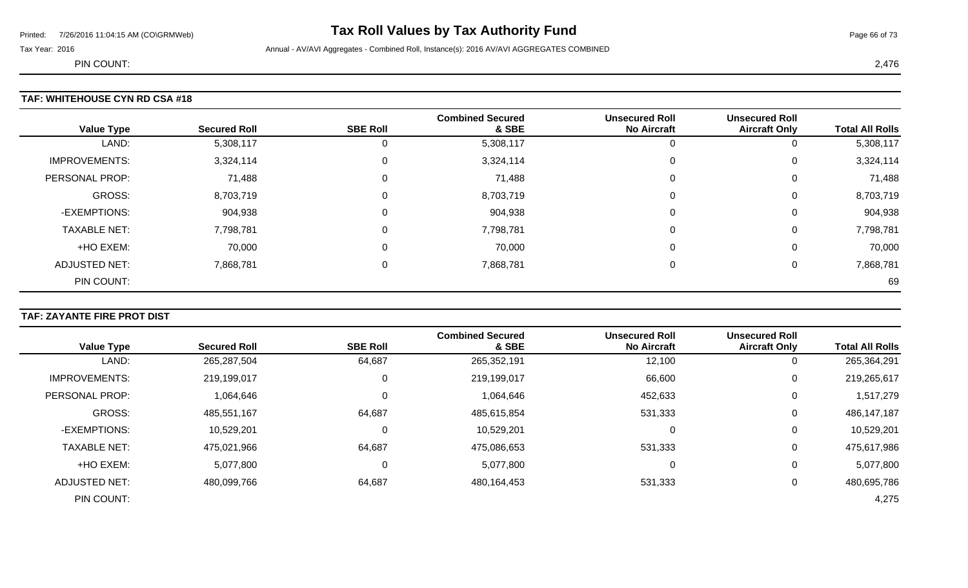# Printed: 7/26/2016 11:04:15 AM (CO\GRMWeb) **Tax Roll Values by Tax Authority Fund** Page 11:04:15 AM (CO\GRMWeb)

Tax Year: 2016 **Annual - AV/AVI Aggregates - Combined Roll**, Instance(s): 2016 AV/AVI AGGREGATES COMBINED

PIN COUNT: 2,476

# **TAF: WHITEHOUSE CYN RD CSA #18**

| <b>Value Type</b>    | <b>Secured Roll</b> | <b>SBE Roll</b> | <b>Combined Secured</b><br>& SBE | <b>Unsecured Roll</b><br><b>No Aircraft</b> | <b>Unsecured Roll</b><br><b>Aircraft Only</b> | <b>Total All Rolls</b> |
|----------------------|---------------------|-----------------|----------------------------------|---------------------------------------------|-----------------------------------------------|------------------------|
| LAND:                | 5,308,117           |                 | 5,308,117                        |                                             | 0                                             | 5,308,117              |
| <b>IMPROVEMENTS:</b> | 3,324,114           |                 | 3,324,114                        | 0                                           | 0                                             | 3,324,114              |
| PERSONAL PROP:       | 71,488              |                 | 71,488                           | 0                                           | 0                                             | 71,488                 |
| GROSS:               | 8,703,719           |                 | 8,703,719                        | $\Omega$                                    | 0                                             | 8,703,719              |
| -EXEMPTIONS:         | 904,938             |                 | 904,938                          | $\Omega$                                    | 0                                             | 904,938                |
| <b>TAXABLE NET:</b>  | 7,798,781           |                 | 7,798,781                        | 0                                           | 0                                             | 7,798,781              |
| +HO EXEM:            | 70,000              |                 | 70,000                           | 0                                           | 0                                             | 70,000                 |
| <b>ADJUSTED NET:</b> | 7,868,781           |                 | 7,868,781                        | 0                                           | 0                                             | 7,868,781              |
| PIN COUNT:           |                     |                 |                                  |                                             |                                               | 69                     |

### **TAF: ZAYANTE FIRE PROT DIST**

|                      |                     |                 | <b>Combined Secured</b> | <b>Unsecured Roll</b> | <b>Unsecured Roll</b> |                        |
|----------------------|---------------------|-----------------|-------------------------|-----------------------|-----------------------|------------------------|
| <b>Value Type</b>    | <b>Secured Roll</b> | <b>SBE Roll</b> | & SBE                   | <b>No Aircraft</b>    | <b>Aircraft Only</b>  | <b>Total All Rolls</b> |
| LAND:                | 265,287,504         | 64,687          | 265,352,191             | 12,100                | 0                     | 265,364,291            |
| <b>IMPROVEMENTS:</b> | 219,199,017         | 0               | 219,199,017             | 66,600                | 0                     | 219,265,617            |
| PERSONAL PROP:       | 1,064,646           | 0               | 1,064,646               | 452,633               | 0                     | 1,517,279              |
| <b>GROSS:</b>        | 485,551,167         | 64,687          | 485,615,854             | 531,333               | 0                     | 486, 147, 187          |
| -EXEMPTIONS:         | 10,529,201          | $\mathbf 0$     | 10,529,201              | 0                     | 0                     | 10,529,201             |
| <b>TAXABLE NET:</b>  | 475,021,966         | 64,687          | 475,086,653             | 531,333               | 0                     | 475,617,986            |
| +HO EXEM:            | 5,077,800           | 0               | 5,077,800               | 0                     | 0                     | 5,077,800              |
| <b>ADJUSTED NET:</b> | 480,099,766         | 64,687          | 480,164,453             | 531,333               | 0                     | 480,695,786            |
| PIN COUNT:           |                     |                 |                         |                       |                       | 4,275                  |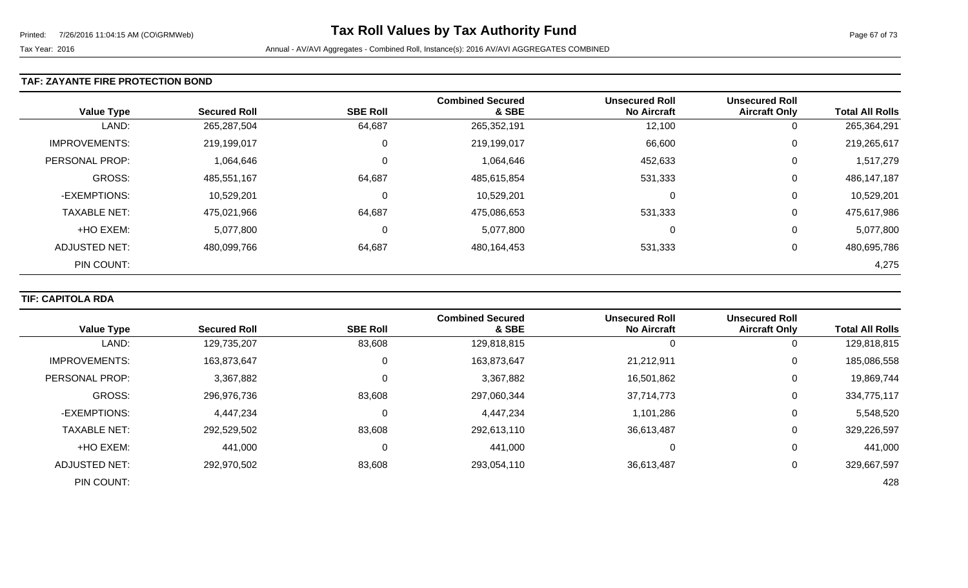### **TAF: ZAYANTE FIRE PROTECTION BOND**

| <b>Value Type</b>     | <b>Secured Roll</b> | <b>SBE Roll</b> | <b>Combined Secured</b><br>& SBE | <b>Unsecured Roll</b><br><b>No Aircraft</b> | <b>Unsecured Roll</b><br><b>Aircraft Only</b> | <b>Total All Rolls</b> |
|-----------------------|---------------------|-----------------|----------------------------------|---------------------------------------------|-----------------------------------------------|------------------------|
| LAND:                 | 265,287,504         | 64,687          | 265,352,191                      | 12,100                                      | 0                                             | 265,364,291            |
| <b>IMPROVEMENTS:</b>  | 219,199,017         | 0               | 219,199,017                      | 66,600                                      | 0                                             | 219,265,617            |
| <b>PERSONAL PROP:</b> | 1,064,646           | 0               | 1,064,646                        | 452,633                                     | 0                                             | 1,517,279              |
| <b>GROSS:</b>         | 485,551,167         | 64,687          | 485,615,854                      | 531,333                                     | 0                                             | 486,147,187            |
| -EXEMPTIONS:          | 10,529,201          | 0               | 10,529,201                       | 0                                           | 0                                             | 10,529,201             |
| <b>TAXABLE NET:</b>   | 475,021,966         | 64,687          | 475,086,653                      | 531,333                                     | 0                                             | 475,617,986            |
| +HO EXEM:             | 5,077,800           | 0               | 5,077,800                        | 0                                           | 0                                             | 5,077,800              |
| ADJUSTED NET:         | 480,099,766         | 64,687          | 480,164,453                      | 531,333                                     | 0                                             | 480,695,786            |
| PIN COUNT:            |                     |                 |                                  |                                             |                                               | 4,275                  |

### **TIF: CAPITOLA RDA**

| <b>Value Type</b>     | <b>Secured Roll</b> | <b>SBE Roll</b> | <b>Combined Secured</b><br>& SBE | <b>Unsecured Roll</b><br><b>No Aircraft</b> | <b>Unsecured Roll</b><br><b>Aircraft Only</b> | <b>Total All Rolls</b> |
|-----------------------|---------------------|-----------------|----------------------------------|---------------------------------------------|-----------------------------------------------|------------------------|
|                       |                     |                 |                                  |                                             |                                               |                        |
| LAND:                 | 129,735,207         | 83,608          | 129,818,815                      |                                             | 0                                             | 129,818,815            |
| <b>IMPROVEMENTS:</b>  | 163,873,647         | 0               | 163,873,647                      | 21,212,911                                  | $\overline{0}$                                | 185,086,558            |
| <b>PERSONAL PROP:</b> | 3,367,882           | 0               | 3,367,882                        | 16,501,862                                  | 0                                             | 19,869,744             |
| <b>GROSS:</b>         | 296,976,736         | 83,608          | 297,060,344                      | 37,714,773                                  | 0                                             | 334,775,117            |
| -EXEMPTIONS:          | 4,447,234           | $\Omega$        | 4,447,234                        | 1,101,286                                   | 0                                             | 5,548,520              |
| <b>TAXABLE NET:</b>   | 292,529,502         | 83,608          | 292,613,110                      | 36,613,487                                  | 0                                             | 329,226,597            |
| +HO EXEM:             | 441,000             | 0               | 441,000                          |                                             | 0                                             | 441,000                |
| ADJUSTED NET:         | 292,970,502         | 83,608          | 293,054,110                      | 36,613,487                                  | 0                                             | 329,667,597            |
| PIN COUNT:            |                     |                 |                                  |                                             |                                               | 428                    |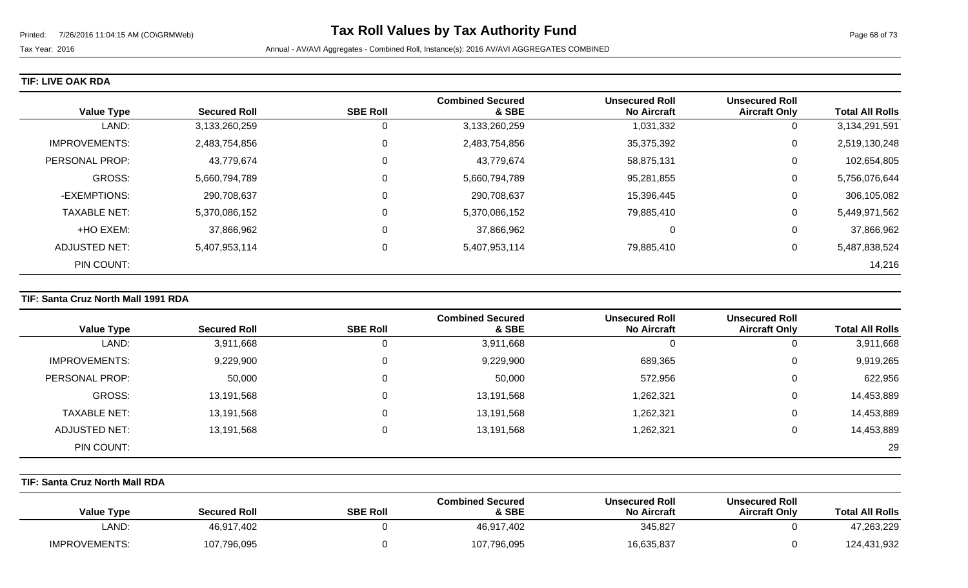| <b>Value Type</b>    | <b>Secured Roll</b> | <b>SBE Roll</b> | <b>Combined Secured</b><br>& SBE | <b>Unsecured Roll</b><br><b>No Aircraft</b> | <b>Unsecured Roll</b><br><b>Aircraft Only</b> | <b>Total All Rolls</b> |
|----------------------|---------------------|-----------------|----------------------------------|---------------------------------------------|-----------------------------------------------|------------------------|
| LAND:                | 3,133,260,259       |                 | 3,133,260,259                    | 1,031,332                                   | 0                                             | 3,134,291,591          |
| <b>IMPROVEMENTS:</b> | 2,483,754,856       |                 | 2,483,754,856                    | 35,375,392                                  | 0                                             | 2,519,130,248          |
| PERSONAL PROP:       | 43,779,674          |                 | 43,779,674                       | 58,875,131                                  | 0                                             | 102,654,805            |
| GROSS:               | 5,660,794,789       |                 | 5,660,794,789                    | 95,281,855                                  | 0                                             | 5,756,076,644          |
| -EXEMPTIONS:         | 290,708,637         |                 | 290,708,637                      | 15,396,445                                  | 0                                             | 306,105,082            |
| <b>TAXABLE NET:</b>  | 5,370,086,152       |                 | 5,370,086,152                    | 79,885,410                                  | 0                                             | 5,449,971,562          |
| +HO EXEM:            | 37,866,962          |                 | 37,866,962                       | 0                                           | 0                                             | 37,866,962             |
| ADJUSTED NET:        | 5,407,953,114       |                 | 5,407,953,114                    | 79,885,410                                  | 0                                             | 5,487,838,524          |
| PIN COUNT:           |                     |                 |                                  |                                             |                                               | 14,216                 |

### **TIF: Santa Cruz North Mall 1991 RDA**

|                      |                     |                 | <b>Combined Secured</b> | <b>Unsecured Roll</b> | <b>Unsecured Roll</b> |                        |
|----------------------|---------------------|-----------------|-------------------------|-----------------------|-----------------------|------------------------|
| <b>Value Type</b>    | <b>Secured Roll</b> | <b>SBE Roll</b> | & SBE                   | <b>No Aircraft</b>    | <b>Aircraft Only</b>  | <b>Total All Rolls</b> |
| LAND:                | 3,911,668           | v               | 3,911,668               | 0                     | υ                     | 3,911,668              |
| <b>IMPROVEMENTS:</b> | 9,229,900           | U               | 9,229,900               | 689,365               | 0                     | 9,919,265              |
| PERSONAL PROP:       | 50,000              |                 | 50,000                  | 572,956               | 0                     | 622,956                |
| GROSS:               | 13,191,568          |                 | 13,191,568              | ,262,321              | 0                     | 14,453,889             |
| <b>TAXABLE NET:</b>  | 13,191,568          |                 | 13,191,568              | 262,321               | 0                     | 14,453,889             |
| ADJUSTED NET:        | 13,191,568          | 0               | 13,191,568              | ,262,321              | 0                     | 14,453,889             |
| PIN COUNT:           |                     |                 |                         |                       |                       | 29                     |

### **TIF: Santa Cruz North Mall RDA**

| <b>Value Type</b>    | <b>Secured Roll</b> | <b>SBE Roll</b> | <b>Combined Secured</b><br>& SBE | <b>Unsecured Roll</b><br><b>No Aircraft</b> | <b>Unsecured Roll</b><br><b>Aircraft Only</b> | <b>Total All Rolls</b> |
|----------------------|---------------------|-----------------|----------------------------------|---------------------------------------------|-----------------------------------------------|------------------------|
| ∟AND:                | 46,917,402          |                 | 46,917,402                       | 345,827                                     |                                               | 47,263,229             |
| <b>IMPROVEMENTS:</b> | 107,796,095         |                 | 107,796,095                      | 16,635,837                                  |                                               | 124,431,932            |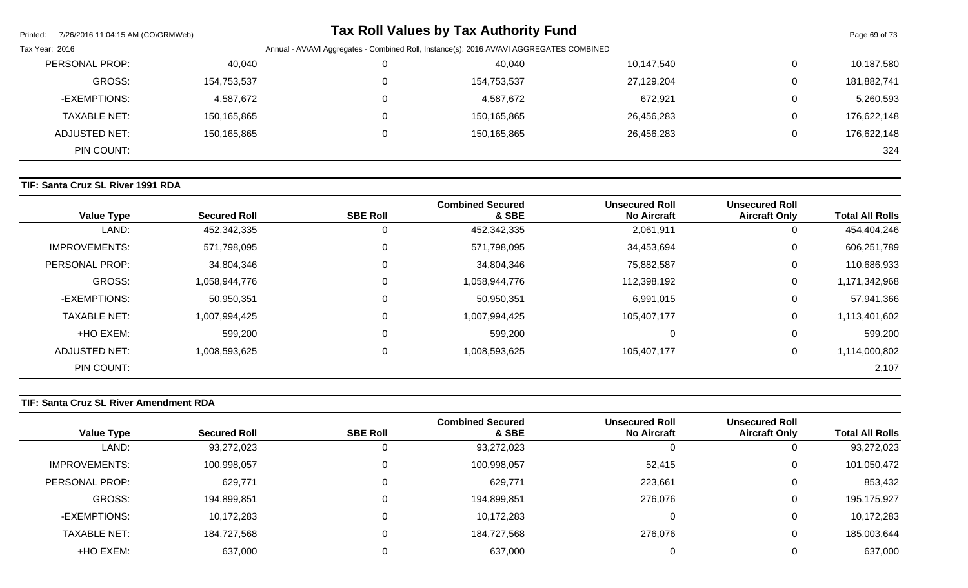| Printed:             | 7/26/2016 11:04:15 AM (CO\GRMWeb) |                                                                                          | <b>Tax Roll Values by Tax Authority Fund</b> |            |   | Page 69 of 73 |
|----------------------|-----------------------------------|------------------------------------------------------------------------------------------|----------------------------------------------|------------|---|---------------|
| Tax Year: 2016       |                                   | Annual - AV/AVI Aggregates - Combined Roll, Instance(s): 2016 AV/AVI AGGREGATES COMBINED |                                              |            |   |               |
| PERSONAL PROP:       |                                   | 40,040                                                                                   | 40,040                                       | 10,147,540 | 0 | 10,187,580    |
|                      | GROSS:<br>154,753,537             |                                                                                          | 154,753,537                                  | 27,129,204 | 0 | 181,882,741   |
| -EXEMPTIONS:         | 4,587,672                         |                                                                                          | 4,587,672                                    | 672,921    | 0 | 5,260,593     |
| <b>TAXABLE NET:</b>  | 150,165,865                       |                                                                                          | 150,165,865                                  | 26,456,283 | 0 | 176,622,148   |
| <b>ADJUSTED NET:</b> | 150,165,865                       |                                                                                          | 150,165,865                                  | 26,456,283 | 0 | 176,622,148   |
|                      | PIN COUNT:                        |                                                                                          |                                              |            |   | 324           |

# **TIF: Santa Cruz SL River 1991 RDA**

| <b>Value Type</b>    | <b>Secured Roll</b> | <b>SBE Roll</b> | <b>Combined Secured</b><br>& SBE | <b>Unsecured Roll</b><br><b>No Aircraft</b> | <b>Unsecured Roll</b><br><b>Aircraft Only</b> | <b>Total All Rolls</b> |
|----------------------|---------------------|-----------------|----------------------------------|---------------------------------------------|-----------------------------------------------|------------------------|
| LAND:                | 452,342,335         | 0               | 452,342,335                      | 2,061,911                                   | 0                                             | 454,404,246            |
| <b>IMPROVEMENTS:</b> | 571,798,095         | 0               | 571,798,095                      | 34,453,694                                  | 0                                             | 606,251,789            |
| PERSONAL PROP:       | 34,804,346          | 0               | 34,804,346                       | 75,882,587                                  | $\mathbf 0$                                   | 110,686,933            |
| <b>GROSS:</b>        | 1,058,944,776       | 0               | 1,058,944,776                    | 112,398,192                                 | $\mathbf 0$                                   | 1,171,342,968          |
| -EXEMPTIONS:         | 50,950,351          | 0               | 50,950,351                       | 6,991,015                                   | 0                                             | 57,941,366             |
| <b>TAXABLE NET:</b>  | 1,007,994,425       | 0               | 1,007,994,425                    | 105,407,177                                 | $\mathbf 0$                                   | 1,113,401,602          |
| +HO EXEM:            | 599,200             | $\mathbf{0}$    | 599,200                          | 0                                           | 0                                             | 599,200                |
| <b>ADJUSTED NET:</b> | 1,008,593,625       | 0               | 1,008,593,625                    | 105,407,177                                 | 0                                             | 1,114,000,802          |
| PIN COUNT:           |                     |                 |                                  |                                             |                                               | 2,107                  |

# **TIF: Santa Cruz SL River Amendment RDA**

|                        | <b>Unsecured Roll</b> | <b>Unsecured Roll</b> | <b>Combined Secured</b> |                 |                     |                     |
|------------------------|-----------------------|-----------------------|-------------------------|-----------------|---------------------|---------------------|
| <b>Total All Rolls</b> | <b>Aircraft Only</b>  | <b>No Aircraft</b>    | & SBE                   | <b>SBE Roll</b> | <b>Secured Roll</b> | <b>Value Type</b>   |
| 93,272,023             | 0                     |                       | 93,272,023              |                 | 93,272,023          | LAND:               |
| 101,050,472            | 0                     | 52,415                | 100,998,057             |                 | 100,998,057         | IMPROVEMENTS:       |
| 853,432                | $\mathbf{0}$          | 223,661               | 629,771                 |                 | 629,771             | PERSONAL PROP:      |
| 195,175,927            | 0                     | 276,076               | 194,899,851             |                 | 194,899,851         | GROSS:              |
| 10,172,283             | 0                     |                       | 10,172,283              |                 | 10,172,283          | -EXEMPTIONS:        |
| 185,003,644            | 0                     | 276,076               | 184,727,568             |                 | 184,727,568         | <b>TAXABLE NET:</b> |
| 637,000                | 0                     |                       | 637,000                 |                 | 637,000             | +HO EXEM:           |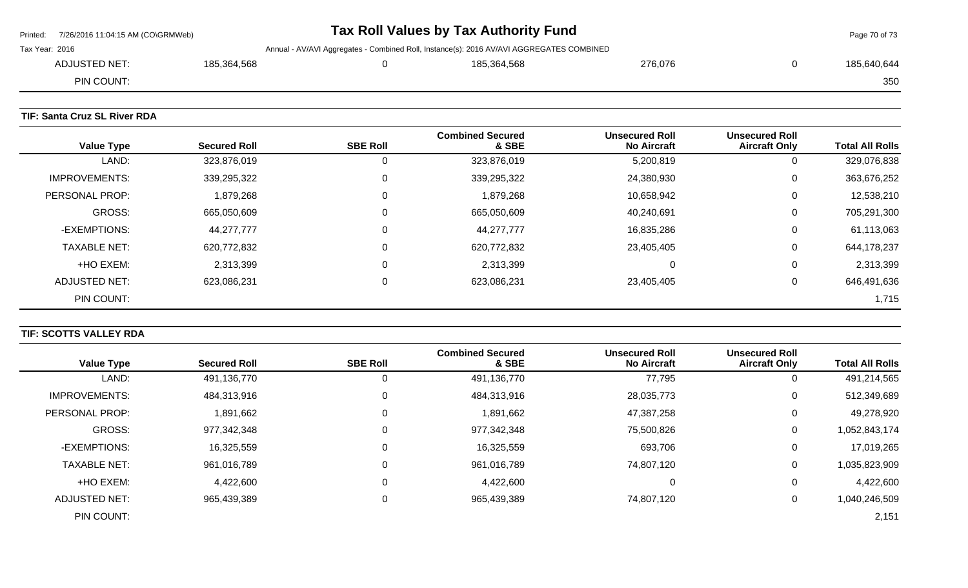|                | Printed: 7/26/2016 11:04:15 AM (CO\GRMWeb) |             |  | Tax Roll Values by Tax Authority Fund                                                    |         |  | Page 70 of 73 |
|----------------|--------------------------------------------|-------------|--|------------------------------------------------------------------------------------------|---------|--|---------------|
| Tax Year: 2016 |                                            |             |  | Annual - AV/AVI Aggregates - Combined Roll, Instance(s): 2016 AV/AVI AGGREGATES COMBINED |         |  |               |
|                | ADJUSTED NET:                              | 185,364,568 |  | 185,364,568                                                                              | 276,076 |  | 185,640,644   |
|                | PIN COUNT:                                 |             |  |                                                                                          |         |  | 350           |
|                |                                            |             |  |                                                                                          |         |  |               |

# **TIF: Santa Cruz SL River RDA**

| <b>Value Type</b>    | <b>Secured Roll</b> | <b>SBE Roll</b> | <b>Combined Secured</b><br>& SBE | <b>Unsecured Roll</b><br><b>No Aircraft</b> | <b>Unsecured Roll</b><br><b>Aircraft Only</b> | <b>Total All Rolls</b> |
|----------------------|---------------------|-----------------|----------------------------------|---------------------------------------------|-----------------------------------------------|------------------------|
| LAND:                | 323,876,019         | U               | 323,876,019                      | 5,200,819                                   | υ                                             | 329,076,838            |
| <b>IMPROVEMENTS:</b> | 339,295,322         | 0               | 339,295,322                      | 24,380,930                                  | 0                                             | 363,676,252            |
| PERSONAL PROP:       | 1,879,268           | 0               | 1,879,268                        | 10,658,942                                  | 0                                             | 12,538,210             |
| <b>GROSS:</b>        | 665,050,609         | 0               | 665,050,609                      | 40,240,691                                  | 0                                             | 705,291,300            |
| -EXEMPTIONS:         | 44,277,777          |                 | 44,277,777                       | 16,835,286                                  | 0                                             | 61,113,063             |
| <b>TAXABLE NET:</b>  | 620,772,832         |                 | 620,772,832                      | 23,405,405                                  | 0                                             | 644,178,237            |
| +HO EXEM:            | 2,313,399           |                 | 2,313,399                        | 0                                           | 0                                             | 2,313,399              |
| ADJUSTED NET:        | 623,086,231         |                 | 623,086,231                      | 23,405,405                                  | 0                                             | 646,491,636            |
| PIN COUNT:           |                     |                 |                                  |                                             |                                               | 1,715                  |

# **TIF: SCOTTS VALLEY RDA**

|                      |                     |                 | <b>Combined Secured</b> | <b>Unsecured Roll</b> | <b>Unsecured Roll</b> |                        |
|----------------------|---------------------|-----------------|-------------------------|-----------------------|-----------------------|------------------------|
| <b>Value Type</b>    | <b>Secured Roll</b> | <b>SBE Roll</b> | & SBE                   | <b>No Aircraft</b>    | <b>Aircraft Only</b>  | <b>Total All Rolls</b> |
| LAND:                | 491,136,770         |                 | 491,136,770             | 77,795                |                       | 491,214,565            |
| <b>IMPROVEMENTS:</b> | 484,313,916         | 0               | 484,313,916             | 28,035,773            | 0                     | 512,349,689            |
| PERSONAL PROP:       | 891,662             |                 | 1,891,662               | 47,387,258            | 0                     | 49,278,920             |
| GROSS:               | 977,342,348         |                 | 977,342,348             | 75,500,826            | 0                     | 1,052,843,174          |
| -EXEMPTIONS:         | 16,325,559          | $\mathbf{0}$    | 16,325,559              | 693,706               | 0                     | 17,019,265             |
| <b>TAXABLE NET:</b>  | 961,016,789         | $\Omega$        | 961,016,789             | 74,807,120            | 0                     | 1,035,823,909          |
| +HO EXEM:            | 4,422,600           |                 | 4,422,600               | 0                     | $\Omega$              | 4,422,600              |
| <b>ADJUSTED NET:</b> | 965,439,389         |                 | 965,439,389             | 74,807,120            | 0                     | 1,040,246,509          |
| PIN COUNT:           |                     |                 |                         |                       |                       | 2,151                  |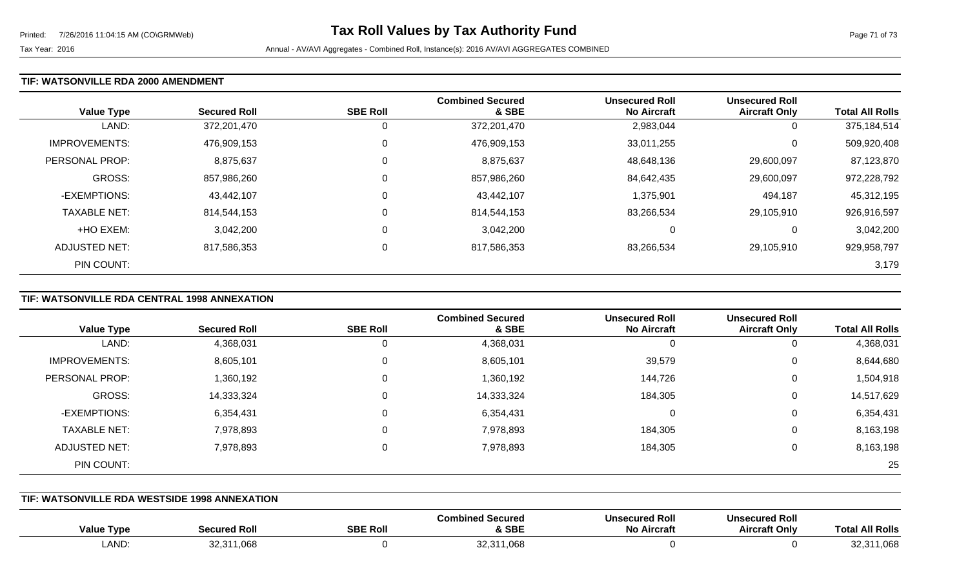#### **TIF: WATSONVILLE RDA 2000 AMENDMENT**

| <b>Value Type</b>    | <b>Secured Roll</b> | <b>SBE Roll</b> | <b>Combined Secured</b><br>& SBE | <b>Unsecured Roll</b><br><b>No Aircraft</b> | <b>Unsecured Roll</b><br><b>Aircraft Only</b> | <b>Total All Rolls</b> |
|----------------------|---------------------|-----------------|----------------------------------|---------------------------------------------|-----------------------------------------------|------------------------|
| LAND:                | 372,201,470         |                 | 372,201,470                      | 2,983,044                                   | 0                                             | 375,184,514            |
| <b>IMPROVEMENTS:</b> | 476,909,153         | 0               | 476,909,153                      | 33,011,255                                  | 0                                             | 509,920,408            |
| PERSONAL PROP:       | 8,875,637           |                 | 8,875,637                        | 48,648,136                                  | 29,600,097                                    | 87,123,870             |
| <b>GROSS:</b>        | 857,986,260         |                 | 857,986,260                      | 84,642,435                                  | 29,600,097                                    | 972,228,792            |
| -EXEMPTIONS:         | 43,442,107          | $\Omega$        | 43,442,107                       | 1,375,901                                   | 494,187                                       | 45,312,195             |
| <b>TAXABLE NET:</b>  | 814,544,153         | 0               | 814,544,153                      | 83,266,534                                  | 29,105,910                                    | 926,916,597            |
| +HO EXEM:            | 3,042,200           | $\Omega$        | 3,042,200                        | 0                                           | 0                                             | 3,042,200              |
| ADJUSTED NET:        | 817,586,353         | 0               | 817,586,353                      | 83,266,534                                  | 29,105,910                                    | 929,958,797            |
| PIN COUNT:           |                     |                 |                                  |                                             |                                               | 3,179                  |

# **TIF: WATSONVILLE RDA CENTRAL 1998 ANNEXATION**

|                      |                     |                 | <b>Combined Secured</b> | <b>Unsecured Roll</b> | <b>Unsecured Roll</b> |                        |
|----------------------|---------------------|-----------------|-------------------------|-----------------------|-----------------------|------------------------|
| <b>Value Type</b>    | <b>Secured Roll</b> | <b>SBE Roll</b> | & SBE                   | <b>No Aircraft</b>    | <b>Aircraft Only</b>  | <b>Total All Rolls</b> |
| LAND:                | 4,368,031           | 0               | 4,368,031               |                       | 0                     | 4,368,031              |
| <b>IMPROVEMENTS:</b> | 8,605,101           | 0               | 8,605,101               | 39,579                | 0                     | 8,644,680              |
| PERSONAL PROP:       | 1,360,192           | 0               | 1,360,192               | 144,726               | 0                     | 1,504,918              |
| GROSS:               | 14,333,324          | 0               | 14,333,324              | 184,305               | 0                     | 14,517,629             |
| -EXEMPTIONS:         | 6,354,431           | 0               | 6,354,431               |                       | 0                     | 6,354,431              |
| <b>TAXABLE NET:</b>  | 7,978,893           | 0               | 7,978,893               | 184,305               | 0                     | 8,163,198              |
| <b>ADJUSTED NET:</b> | 7,978,893           | 0               | 7,978,893               | 184,305               | 0                     | 8,163,198              |
| PIN COUNT:           |                     |                 |                         |                       |                       | 25                     |

#### **TIF: WATSONVILLE RDA WESTSIDE 1998 ANNEXATION**

| <b>Value Type</b> | <b>Secured Rol</b>      | <b>SBE Roll</b> | <b>Combined Secured</b><br>& SBE | 'Jnsecured Rol.<br><b>No Aircraft</b> | secured Roll<br><b>Uns</b><br>Aircraft Onlv | <b>All Rolls</b><br>l ota |
|-------------------|-------------------------|-----------------|----------------------------------|---------------------------------------|---------------------------------------------|---------------------------|
| LAND:             | 1,068<br>00.01<br>⊢ت.∠ت |                 | 32,311,068                       |                                       |                                             | $\sim$<br>1,008           |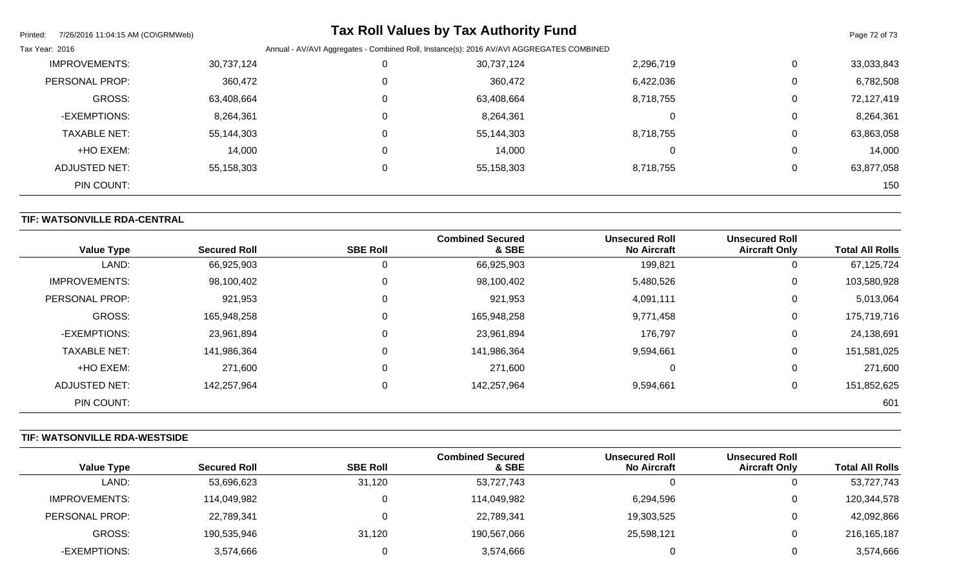| 7/26/2016 11:04:15 AM (CO\GRMWeb)<br>Printed: |            |          | <b>Tax Roll Values by Tax Authority Fund</b>                                             |           |             | Page 72 of 73 |  |
|-----------------------------------------------|------------|----------|------------------------------------------------------------------------------------------|-----------|-------------|---------------|--|
| Tax Year: 2016                                |            |          | Annual - AV/AVI Aggregates - Combined Roll, Instance(s): 2016 AV/AVI AGGREGATES COMBINED |           |             |               |  |
| <b>IMPROVEMENTS:</b>                          | 30,737,124 |          | 30,737,124                                                                               | 2,296,719 | 0           | 33,033,843    |  |
| PERSONAL PROP:                                | 360,472    |          | 360,472                                                                                  | 6,422,036 | $\mathbf 0$ | 6,782,508     |  |
| <b>GROSS:</b>                                 | 63,408,664 | $\Omega$ | 63,408,664                                                                               | 8,718,755 | 0           | 72,127,419    |  |
| -EXEMPTIONS:                                  | 8,264,361  |          | 8,264,361                                                                                | 0         | $\mathbf 0$ | 8,264,361     |  |
| <b>TAXABLE NET:</b>                           | 55,144,303 |          | 55,144,303                                                                               | 8,718,755 | 0           | 63,863,058    |  |
| +HO EXEM:                                     | 14,000     | 0        | 14,000                                                                                   | 0         | 0           | 14,000        |  |
| ADJUSTED NET:                                 | 55,158,303 | $\Omega$ | 55,158,303                                                                               | 8,718,755 | $\mathbf 0$ | 63,877,058    |  |
| PIN COUNT:                                    |            |          |                                                                                          |           |             | 150           |  |

# **TIF: WATSONVILLE RDA-CENTRAL**

| <b>Value Type</b>    | <b>Secured Roll</b> | <b>SBE Roll</b> | <b>Combined Secured</b><br>& SBE | <b>Unsecured Roll</b><br><b>No Aircraft</b> | <b>Unsecured Roll</b><br><b>Aircraft Only</b> | <b>Total All Rolls</b> |
|----------------------|---------------------|-----------------|----------------------------------|---------------------------------------------|-----------------------------------------------|------------------------|
| LAND:                | 66,925,903          | 0               | 66,925,903                       | 199,821                                     | 0                                             | 67,125,724             |
| <b>IMPROVEMENTS:</b> | 98,100,402          | 0               | 98,100,402                       | 5,480,526                                   | 0                                             | 103,580,928            |
| PERSONAL PROP:       | 921,953             | $\mathbf 0$     | 921,953                          | 4,091,111                                   | 0                                             | 5,013,064              |
| <b>GROSS:</b>        | 165,948,258         | $\mathbf 0$     | 165,948,258                      | 9,771,458                                   | 0                                             | 175,719,716            |
| -EXEMPTIONS:         | 23,961,894          | $\mathbf 0$     | 23,961,894                       | 176,797                                     | 0                                             | 24,138,691             |
| <b>TAXABLE NET:</b>  | 141,986,364         | $\mathbf 0$     | 141,986,364                      | 9,594,661                                   | 0                                             | 151,581,025            |
| +HO EXEM:            | 271,600             | $\mathbf 0$     | 271,600                          |                                             | 0                                             | 271,600                |
| ADJUSTED NET:        | 142,257,964         | $\mathbf 0$     | 142,257,964                      | 9,594,661                                   | 0                                             | 151,852,625            |
| PIN COUNT:           |                     |                 |                                  |                                             |                                               | 601                    |

# **TIF: WATSONVILLE RDA-WESTSIDE**

|                   |                     |                 | <b>Combined Secured</b> | <b>Unsecured Roll</b> | <b>Unsecured Roll</b> |                        |
|-------------------|---------------------|-----------------|-------------------------|-----------------------|-----------------------|------------------------|
| <b>Value Type</b> | <b>Secured Roll</b> | <b>SBE Roll</b> | & SBE                   | <b>No Aircraft</b>    | <b>Aircraft Only</b>  | <b>Total All Rolls</b> |
| LAND:             | 53,696,623          | 31,120          | 53,727,743              |                       | υ                     | 53,727,743             |
| IMPROVEMENTS:     | 114,049,982         |                 | 114,049,982             | 6,294,596             | 0                     | 120,344,578            |
| PERSONAL PROP:    | 22,789,341          |                 | 22,789,341              | 19,303,525            | 0                     | 42,092,866             |
| GROSS:            | 190,535,946         | 31,120          | 190,567,066             | 25,598,121            | 0                     | 216, 165, 187          |
| -EXEMPTIONS:      | 3,574,666           |                 | 3,574,666               |                       | O                     | 3,574,666              |